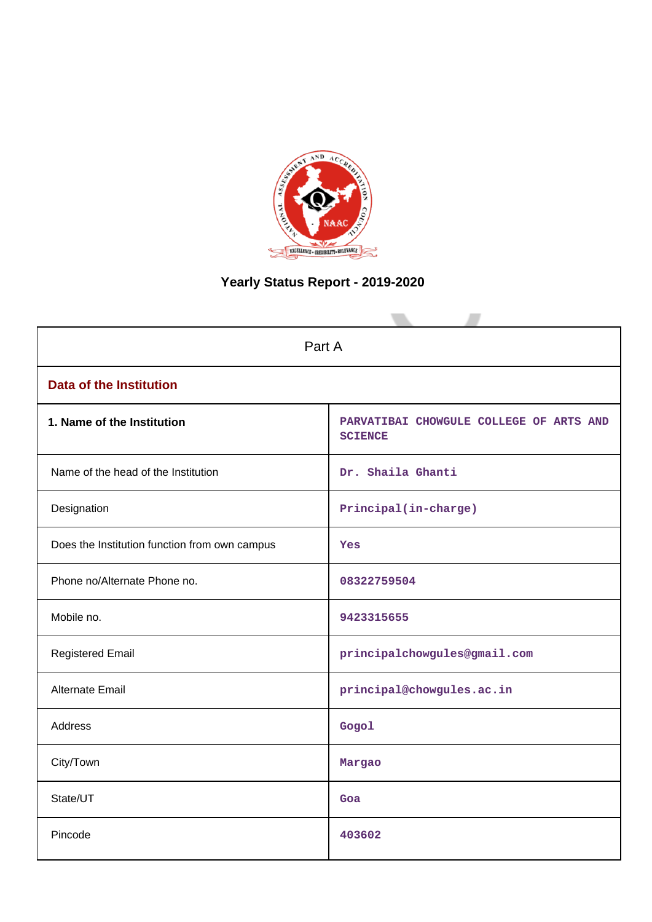

# **Yearly Status Report - 2019-2020**

| Part A                                        |                                                           |  |
|-----------------------------------------------|-----------------------------------------------------------|--|
| <b>Data of the Institution</b>                |                                                           |  |
| 1. Name of the Institution                    | PARVATIBAI CHOWGULE COLLEGE OF ARTS AND<br><b>SCIENCE</b> |  |
| Name of the head of the Institution           | Dr. Shaila Ghanti                                         |  |
| Designation                                   | Principal(in-charge)                                      |  |
| Does the Institution function from own campus | <b>Yes</b>                                                |  |
| Phone no/Alternate Phone no.                  | 08322759504                                               |  |
| Mobile no.                                    | 9423315655                                                |  |
| <b>Registered Email</b>                       | principalchowgules@gmail.com                              |  |
| Alternate Email                               | principal@chowgules.ac.in                                 |  |
| <b>Address</b>                                | Gogol                                                     |  |
| City/Town                                     | Margao                                                    |  |
| State/UT                                      | Goa                                                       |  |
| Pincode                                       | 403602                                                    |  |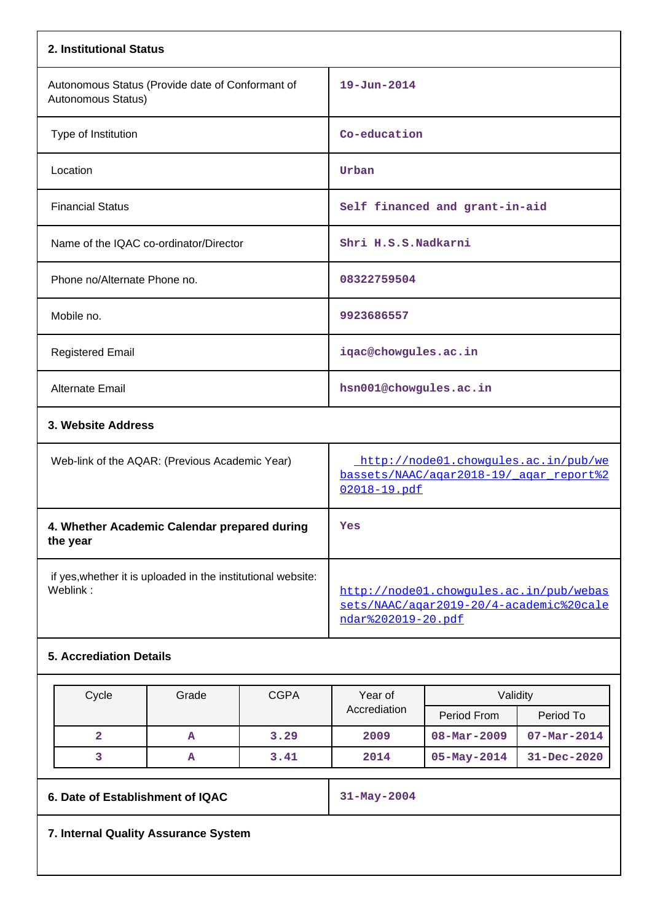| 2. Institutional Status                                                  |                                                                                                          |
|--------------------------------------------------------------------------|----------------------------------------------------------------------------------------------------------|
| Autonomous Status (Provide date of Conformant of<br>Autonomous Status)   | $19 - Jun - 2014$                                                                                        |
| Type of Institution                                                      | Co-education                                                                                             |
| Location                                                                 | Urban                                                                                                    |
| <b>Financial Status</b>                                                  | Self financed and grant-in-aid                                                                           |
| Name of the IQAC co-ordinator/Director                                   | Shri H.S.S.Nadkarni                                                                                      |
| Phone no/Alternate Phone no.                                             | 08322759504                                                                                              |
| Mobile no.                                                               | 9923686557                                                                                               |
| <b>Registered Email</b>                                                  | iqac@chowgules.ac.in                                                                                     |
| <b>Alternate Email</b>                                                   | hsn001@chowgules.ac.in                                                                                   |
| 3. Website Address                                                       |                                                                                                          |
| Web-link of the AQAR: (Previous Academic Year)                           | http://node01.chowqules.ac.in/pub/we<br>bassets/NAAC/agar2018-19/ agar report%2<br>02018-19.pdf          |
| 4. Whether Academic Calendar prepared during<br>the year                 | Yes                                                                                                      |
| if yes, whether it is uploaded in the institutional website:<br>Weblink: | http://node01.chowqules.ac.in/pub/webas<br>sets/NAAC/agar2019-20/4-academic%20cale<br>ndar%202019-20.pdf |
| <b>5. Accrediation Details</b>                                           |                                                                                                          |

| Cycle | Grade | <b>CGPA</b> | Year of      | Validity                 |                   |
|-------|-------|-------------|--------------|--------------------------|-------------------|
|       |       |             | Accrediation | Period From              | Period To         |
|       | А     | 3.29        | 2009         | $08 - \text{Mar} - 2009$ | $07 - Mar - 2014$ |
|       | А     | 3.41        | 2014         | $05 - May - 2014$        | $31 - Dec - 2020$ |

**6. Date of Establishment of IQAC 31-May-2004**

**7. Internal Quality Assurance System**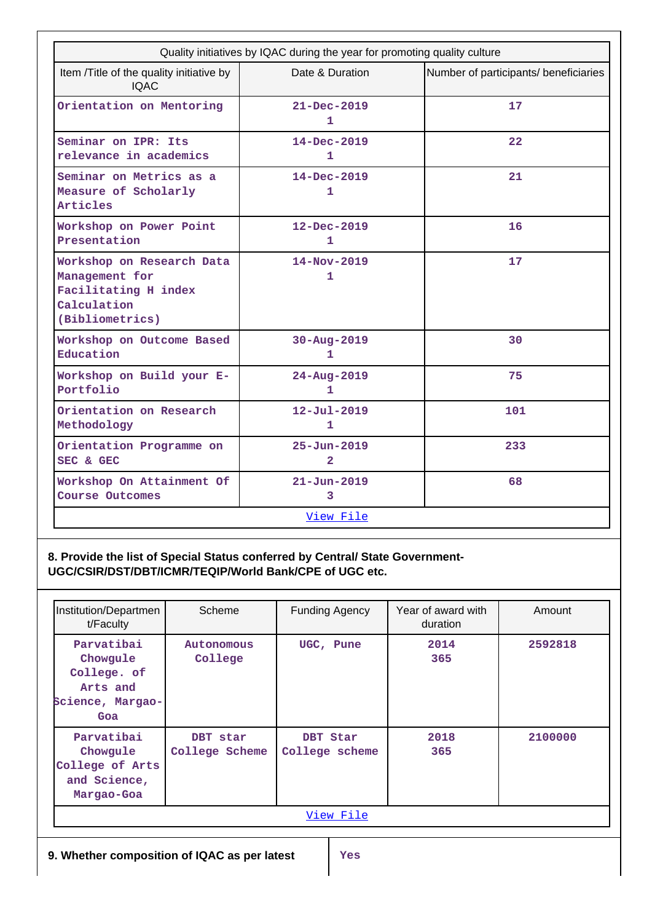| Quality initiatives by IQAC during the year for promoting quality culture                             |                                     |                                       |  |  |
|-------------------------------------------------------------------------------------------------------|-------------------------------------|---------------------------------------|--|--|
| Item /Title of the quality initiative by<br><b>IQAC</b>                                               | Date & Duration                     | Number of participants/ beneficiaries |  |  |
| Orientation on Mentoring                                                                              | $21 - Dec - 2019$<br>1              | 17                                    |  |  |
| Seminar on IPR: Its<br>relevance in academics                                                         | $14 - Dec - 2019$<br>1              | $22 \overline{)}$                     |  |  |
| Seminar on Metrics as a<br>Measure of Scholarly<br>Articles                                           | $14 - Dec - 2019$<br>1              | 21                                    |  |  |
| Workshop on Power Point<br>Presentation                                                               | $12 - Dec - 2019$<br>1              | 16                                    |  |  |
| Workshop on Research Data<br>Management for<br>Facilitating H index<br>Calculation<br>(Bibliometrics) | $14 - Nov - 2019$<br>1              | 17                                    |  |  |
| Workshop on Outcome Based<br>Education                                                                | 30-Aug-2019<br>1                    | 30                                    |  |  |
| Workshop on Build your E-<br>Portfolio                                                                | 24-Aug-2019<br>1                    | 75                                    |  |  |
| Orientation on Research<br>Methodology                                                                | $12 - Ju1 - 2019$<br>1              | 101                                   |  |  |
| Orientation Programme on<br>SEC & GEC                                                                 | $25 - Jun - 2019$<br>$\overline{2}$ | 233                                   |  |  |
| Workshop On Attainment Of<br>Course Outcomes                                                          | $21 - Jun - 2019$<br>3              | 68                                    |  |  |
|                                                                                                       | View File                           |                                       |  |  |

**8. Provide the list of Special Status conferred by Central/ State Government-UGC/CSIR/DST/DBT/ICMR/TEQIP/World Bank/CPE of UGC etc.**

| Institution/Departmen<br>t/Faculty                                           | Scheme                     | <b>Funding Agency</b>      | Year of award with<br>duration | Amount  |
|------------------------------------------------------------------------------|----------------------------|----------------------------|--------------------------------|---------|
| Parvatibai<br>Chowgule<br>College. of<br>Arts and<br>Science, Margao-<br>Goa | Autonomous<br>College      | UGC, Pune                  | 2014<br>365                    | 2592818 |
| Parvatibai<br>Chowqule<br>College of Arts<br>and Science,<br>Margao-Goa      | DBT star<br>College Scheme | DBT Star<br>College scheme | 2018<br>365                    | 2100000 |
| View File                                                                    |                            |                            |                                |         |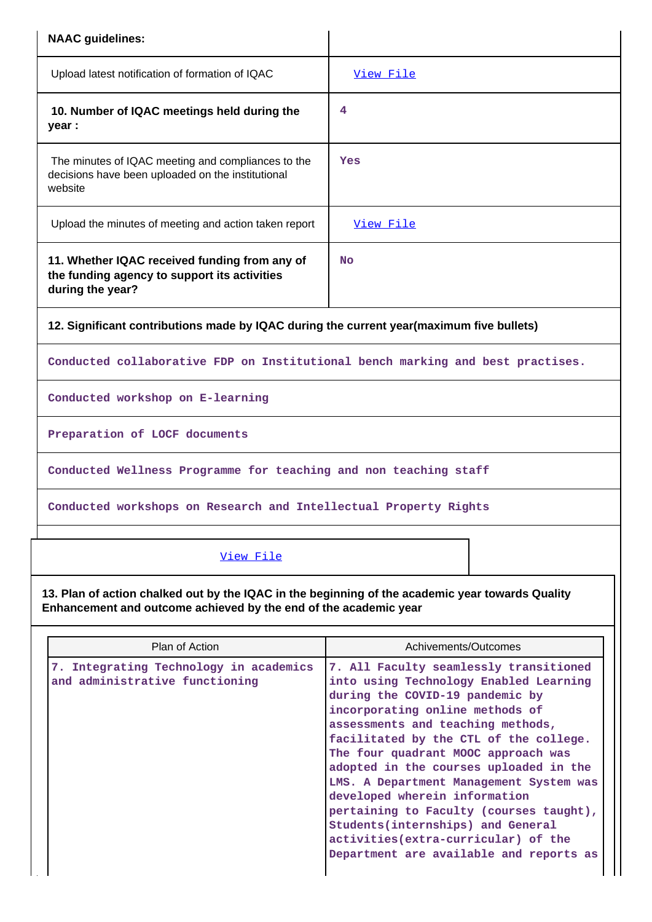| <b>NAAC</b> guidelines:                                                                                                                                              |                                                                                                                                                                                                                                                                                                                                                                                                                                               |
|----------------------------------------------------------------------------------------------------------------------------------------------------------------------|-----------------------------------------------------------------------------------------------------------------------------------------------------------------------------------------------------------------------------------------------------------------------------------------------------------------------------------------------------------------------------------------------------------------------------------------------|
| Upload latest notification of formation of IQAC                                                                                                                      | View File                                                                                                                                                                                                                                                                                                                                                                                                                                     |
| 10. Number of IQAC meetings held during the<br>year :                                                                                                                | 4                                                                                                                                                                                                                                                                                                                                                                                                                                             |
| The minutes of IQAC meeting and compliances to the<br>decisions have been uploaded on the institutional<br>website                                                   | Yes                                                                                                                                                                                                                                                                                                                                                                                                                                           |
| Upload the minutes of meeting and action taken report                                                                                                                | View File                                                                                                                                                                                                                                                                                                                                                                                                                                     |
| 11. Whether IQAC received funding from any of<br>the funding agency to support its activities<br>during the year?                                                    | <b>No</b>                                                                                                                                                                                                                                                                                                                                                                                                                                     |
| 12. Significant contributions made by IQAC during the current year(maximum five bullets)                                                                             |                                                                                                                                                                                                                                                                                                                                                                                                                                               |
| Conducted collaborative FDP on Institutional bench marking and best practises.                                                                                       |                                                                                                                                                                                                                                                                                                                                                                                                                                               |
| Conducted workshop on E-learning                                                                                                                                     |                                                                                                                                                                                                                                                                                                                                                                                                                                               |
| Preparation of LOCF documents                                                                                                                                        |                                                                                                                                                                                                                                                                                                                                                                                                                                               |
| Conducted Wellness Programme for teaching and non teaching staff                                                                                                     |                                                                                                                                                                                                                                                                                                                                                                                                                                               |
| Conducted workshops on Research and Intellectual Property Rights                                                                                                     |                                                                                                                                                                                                                                                                                                                                                                                                                                               |
| View File                                                                                                                                                            |                                                                                                                                                                                                                                                                                                                                                                                                                                               |
| 13. Plan of action chalked out by the IQAC in the beginning of the academic year towards Quality<br>Enhancement and outcome achieved by the end of the academic year |                                                                                                                                                                                                                                                                                                                                                                                                                                               |
| Plan of Action                                                                                                                                                       | Achivements/Outcomes                                                                                                                                                                                                                                                                                                                                                                                                                          |
| 7. Integrating Technology in academics<br>and administrative functioning                                                                                             | 7. All Faculty seamlessly transitioned<br>into using Technology Enabled Learning<br>during the COVID-19 pandemic by<br>incorporating online methods of<br>assessments and teaching methods,<br>facilitated by the CTL of the college.<br>The four quadrant MOOC approach was<br>adopted in the courses uploaded in the<br>LMS. A Department Management System was<br>developed wherein information<br>pertaining to Faculty (courses taught), |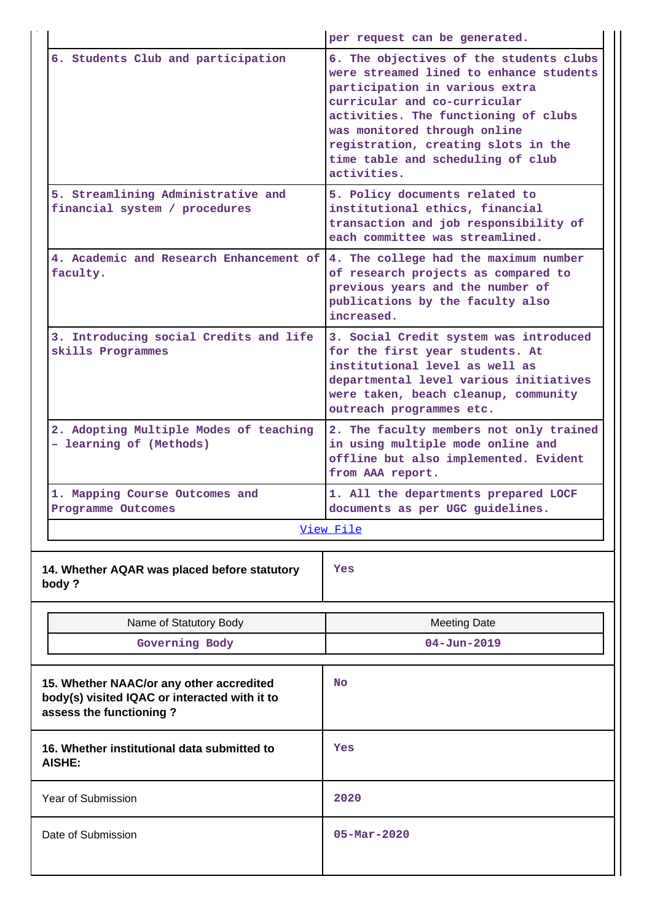|                    |                                                                                                                      | per request can be generated.                                                                                                                                                                                                                                                                                           |  |
|--------------------|----------------------------------------------------------------------------------------------------------------------|-------------------------------------------------------------------------------------------------------------------------------------------------------------------------------------------------------------------------------------------------------------------------------------------------------------------------|--|
|                    | 6. Students Club and participation                                                                                   | 6. The objectives of the students clubs<br>were streamed lined to enhance students<br>participation in various extra<br>curricular and co-curricular<br>activities. The functioning of clubs<br>was monitored through online<br>registration, creating slots in the<br>time table and scheduling of club<br>activities. |  |
|                    | 5. Streamlining Administrative and<br>financial system / procedures                                                  | 5. Policy documents related to<br>institutional ethics, financial<br>transaction and job responsibility of<br>each committee was streamlined.                                                                                                                                                                           |  |
|                    | 4. Academic and Research Enhancement of<br>faculty.                                                                  | 4. The college had the maximum number<br>of research projects as compared to<br>previous years and the number of<br>publications by the faculty also<br>increased.                                                                                                                                                      |  |
|                    | 3. Introducing social Credits and life<br>skills Programmes                                                          | 3. Social Credit system was introduced<br>for the first year students. At<br>institutional level as well as<br>departmental level various initiatives<br>were taken, beach cleanup, community<br>outreach programmes etc.                                                                                               |  |
|                    | 2. Adopting Multiple Modes of teaching<br>- learning of (Methods)                                                    | 2. The faculty members not only trained<br>in using multiple mode online and<br>offline but also implemented. Evident<br>from AAA report.                                                                                                                                                                               |  |
|                    | 1. Mapping Course Outcomes and<br>Programme Outcomes                                                                 | 1. All the departments prepared LOCF<br>documents as per UGC guidelines.                                                                                                                                                                                                                                                |  |
|                    |                                                                                                                      | View File                                                                                                                                                                                                                                                                                                               |  |
|                    | 14. Whether AQAR was placed before statutory<br>body?                                                                | Yes                                                                                                                                                                                                                                                                                                                     |  |
|                    | Name of Statutory Body                                                                                               | <b>Meeting Date</b>                                                                                                                                                                                                                                                                                                     |  |
|                    | Governing Body                                                                                                       | $04 - Jun - 2019$                                                                                                                                                                                                                                                                                                       |  |
|                    | 15. Whether NAAC/or any other accredited<br>body(s) visited IQAC or interacted with it to<br>assess the functioning? | No                                                                                                                                                                                                                                                                                                                      |  |
|                    | 16. Whether institutional data submitted to<br><b>AISHE:</b>                                                         | Yes                                                                                                                                                                                                                                                                                                                     |  |
| Year of Submission |                                                                                                                      | 2020                                                                                                                                                                                                                                                                                                                    |  |
| Date of Submission |                                                                                                                      | $05 - \text{Mar} - 2020$                                                                                                                                                                                                                                                                                                |  |
|                    |                                                                                                                      |                                                                                                                                                                                                                                                                                                                         |  |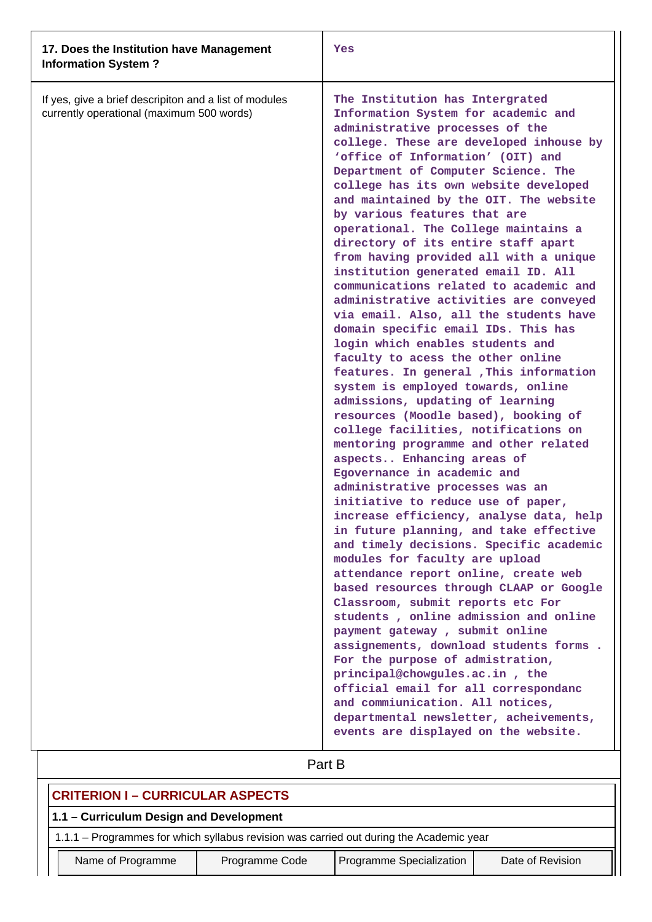| 17. Does the Institution have Management<br><b>Information System?</b>                              | Yes                                                                                                                                                                                                                                                                                                                                                                                                                                                                                                                                                                                                                                                                                                                                                                                                                                                                                                                                                                                                                                                                                                                                                                                                                                                                                                                                                                                                                                                                                                                                                                                                                                                                                                                                                                                                      |
|-----------------------------------------------------------------------------------------------------|----------------------------------------------------------------------------------------------------------------------------------------------------------------------------------------------------------------------------------------------------------------------------------------------------------------------------------------------------------------------------------------------------------------------------------------------------------------------------------------------------------------------------------------------------------------------------------------------------------------------------------------------------------------------------------------------------------------------------------------------------------------------------------------------------------------------------------------------------------------------------------------------------------------------------------------------------------------------------------------------------------------------------------------------------------------------------------------------------------------------------------------------------------------------------------------------------------------------------------------------------------------------------------------------------------------------------------------------------------------------------------------------------------------------------------------------------------------------------------------------------------------------------------------------------------------------------------------------------------------------------------------------------------------------------------------------------------------------------------------------------------------------------------------------------------|
| If yes, give a brief descripiton and a list of modules<br>currently operational (maximum 500 words) | The Institution has Intergrated<br>Information System for academic and<br>administrative processes of the<br>college. These are developed inhouse by<br>'office of Information' (OIT) and<br>Department of Computer Science. The<br>college has its own website developed<br>and maintained by the OIT. The website<br>by various features that are<br>operational. The College maintains a<br>directory of its entire staff apart<br>from having provided all with a unique<br>institution generated email ID. All<br>communications related to academic and<br>administrative activities are conveyed<br>via email. Also, all the students have<br>domain specific email IDs. This has<br>login which enables students and<br>faculty to acess the other online<br>features. In general , This information<br>system is employed towards, online<br>admissions, updating of learning<br>resources (Moodle based), booking of<br>college facilities, notifications on<br>mentoring programme and other related<br>aspects Enhancing areas of<br>Egovernance in academic and<br>administrative processes was an<br>initiative to reduce use of paper,<br>increase efficiency, analyse data, help<br>in future planning, and take effective<br>and timely decisions. Specific academic<br>modules for faculty are upload<br>attendance report online, create web<br>based resources through CLAAP or Google<br>Classroom, submit reports etc For<br>students, online admission and online<br>payment gateway, submit online<br>assignements, download students forms.<br>For the purpose of admistration,<br>principal@chowgules.ac.in, the<br>official email for all correspondanc<br>and commiunication. All notices,<br>departmental newsletter, acheivements,<br>events are displayed on the website. |

# Part B

| <b>CRITERION I – CURRICULAR ASPECTS</b>                                                 |  |  |  |  |
|-----------------------------------------------------------------------------------------|--|--|--|--|
| 1.1 - Curriculum Design and Development                                                 |  |  |  |  |
| 1.1.1 - Programmes for which syllabus revision was carried out during the Academic year |  |  |  |  |
| Programme Specialization<br>Name of Programme<br>Programme Code<br>Date of Revision     |  |  |  |  |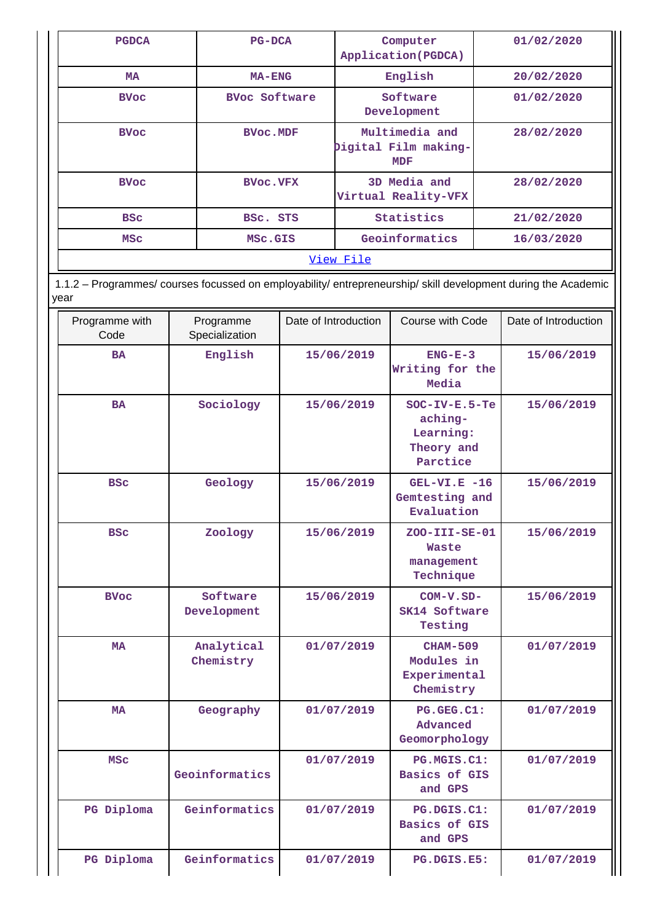| <b>PGDCA</b> | $PG-DCA$             | Computer<br>Application (PGDCA)                      | 01/02/2020 |
|--------------|----------------------|------------------------------------------------------|------------|
| <b>MA</b>    | $MA$ – $ENG$         | English                                              | 20/02/2020 |
| <b>BVoc</b>  | <b>BVoc Software</b> | Software<br>Development                              | 01/02/2020 |
| <b>BVoc</b>  | <b>BVoc.MDF</b>      | Multimedia and<br>Digital Film making-<br><b>MDF</b> | 28/02/2020 |
| <b>BVoc</b>  | <b>BVoc.VFX</b>      | 3D Media and<br>Virtual Reality-VFX                  | 28/02/2020 |
| <b>BSC</b>   | BSC. STS             | Statistics                                           | 21/02/2020 |
| <b>MSC</b>   | MSc.GIS              | Geoinformatics                                       | 16/03/2020 |
|              |                      | View File                                            |            |

 1.1.2 – Programmes/ courses focussed on employability/ entrepreneurship/ skill development during the Academic year

| Programme with<br>Code | Programme<br>Specialization | Date of Introduction | Course with Code                                                  | Date of Introduction |
|------------------------|-----------------------------|----------------------|-------------------------------------------------------------------|----------------------|
| <b>BA</b>              | English                     | 15/06/2019           | $ENG-E-3$<br>Writing for the<br>Media                             | 15/06/2019           |
| <b>BA</b>              | Sociology                   | 15/06/2019           | $SOC-IV-E.5-Te$<br>aching-<br>Learning:<br>Theory and<br>Parctice | 15/06/2019           |
| <b>BSC</b>             | Geology                     | 15/06/2019           | $GEL-VI.E -16$<br>Gemtesting and<br>Evaluation                    | 15/06/2019           |
| <b>BSC</b>             | Zoology                     | 15/06/2019           | $ZOO-TII-SE-01$<br>Waste<br>management<br>Technique               | 15/06/2019           |
| <b>BVoc</b>            | Software<br>Development     | 15/06/2019           | COM-V.SD-<br>SK14 Software<br>Testing                             | 15/06/2019           |
| <b>MA</b>              | Analytical<br>Chemistry     | 01/07/2019           | <b>CHAM-509</b><br>Modules in<br>Experimental<br>Chemistry        | 01/07/2019           |
| <b>MA</b>              | Geography                   | 01/07/2019           | PG.GEG.C1:<br>Advanced<br>Geomorphology                           | 01/07/2019           |
| <b>MSC</b>             | Geoinformatics              | 01/07/2019           | PG.MGIS.C1:<br><b>Basics of GIS</b><br>and GPS                    | 01/07/2019           |
| PG Diploma             | Geinformatics               | 01/07/2019           | PG.DGIS.C1:<br>Basics of GIS<br>and GPS                           | 01/07/2019           |
| PG Diploma             | Geinformatics               | 01/07/2019           | PG.DGIS.E5:                                                       | 01/07/2019           |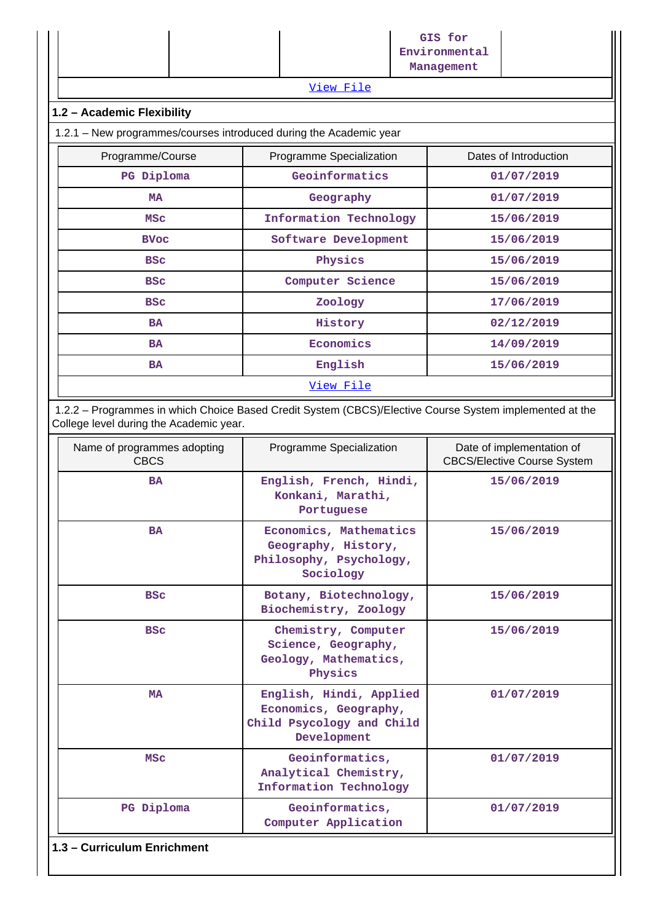|                                                                    | View File                | GIS for<br>Environmental<br>Management |  |
|--------------------------------------------------------------------|--------------------------|----------------------------------------|--|
| 1.2 - Academic Flexibility                                         |                          |                                        |  |
| 1.2.1 - New programmes/courses introduced during the Academic year |                          |                                        |  |
| Programme/Course                                                   | Programme Specialization | Dates of Introduction                  |  |
| PG Diploma                                                         | Geoinformatics           | 01/07/2019                             |  |
| <b>MA</b>                                                          | Geography                | 01/07/2019                             |  |
| <b>MSC</b>                                                         | Information Technology   | 15/06/2019                             |  |
| <b>BVoc</b>                                                        | Software Development     | 15/06/2019                             |  |
| <b>BSC</b>                                                         | Physics                  | 15/06/2019                             |  |
| <b>BSC</b>                                                         | Computer Science         | 15/06/2019                             |  |
| <b>BSC</b>                                                         | Zoology                  | 17/06/2019                             |  |
| <b>BA</b>                                                          | History                  | 02/12/2019                             |  |
| <b>BA</b>                                                          | Economics                | 14/09/2019                             |  |
| <b>BA</b>                                                          | English                  | 15/06/2019                             |  |
| View File                                                          |                          |                                        |  |

 1.2.2 – Programmes in which Choice Based Credit System (CBCS)/Elective Course System implemented at the College level during the Academic year.

| Name of programmes adopting<br><b>CBCS</b> | Programme Specialization                                                                     | Date of implementation of<br><b>CBCS/Elective Course System</b> |  |  |  |  |
|--------------------------------------------|----------------------------------------------------------------------------------------------|-----------------------------------------------------------------|--|--|--|--|
| <b>BA</b>                                  | English, French, Hindi,<br>Konkani, Marathi,<br>Portuguese                                   | 15/06/2019                                                      |  |  |  |  |
| <b>BA</b>                                  | Economics, Mathematics<br>Geography, History,<br>Philosophy, Psychology,<br>Sociology        | 15/06/2019                                                      |  |  |  |  |
| <b>BSC</b>                                 | Botany, Biotechnology,<br>Biochemistry, Zoology                                              | 15/06/2019                                                      |  |  |  |  |
| <b>BSC</b>                                 | Chemistry, Computer<br>Science, Geography,<br>Geology, Mathematics,<br>Physics               | 15/06/2019                                                      |  |  |  |  |
| <b>MA</b>                                  | English, Hindi, Applied<br>Economics, Geography,<br>Child Psycology and Child<br>Development | 01/07/2019                                                      |  |  |  |  |
| <b>MSC</b>                                 | Geoinformatics,<br>Analytical Chemistry,<br>Information Technology                           | 01/07/2019                                                      |  |  |  |  |
| PG Diploma                                 | Geoinformatics,<br>Computer Application                                                      | 01/07/2019                                                      |  |  |  |  |
| 1.3 - Curriculum Enrichment                |                                                                                              |                                                                 |  |  |  |  |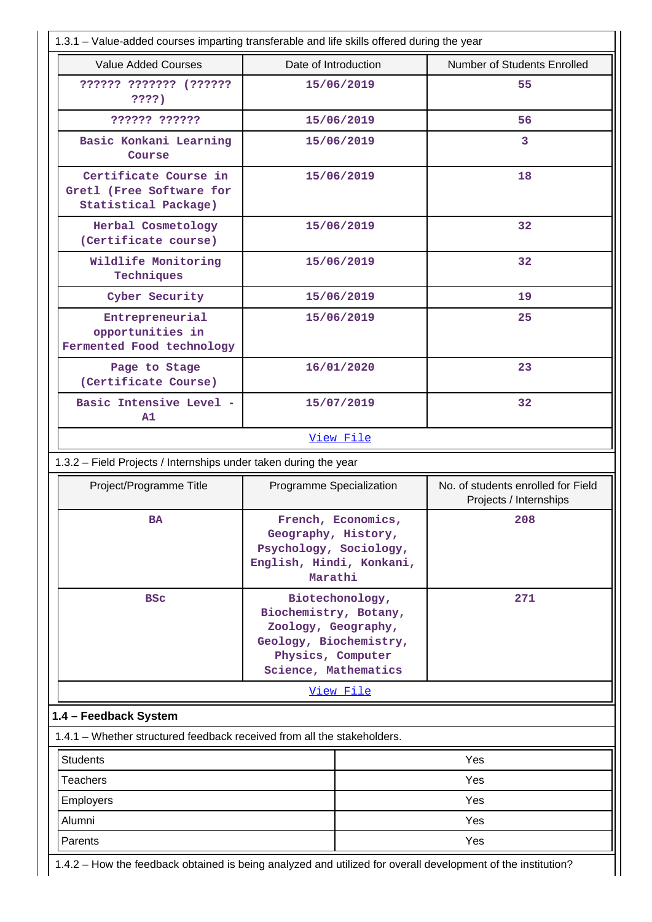|                                                                           | 1.3.1 – Value-added courses imparting transferable and life skills offered during the year                                             |                                                              |  |
|---------------------------------------------------------------------------|----------------------------------------------------------------------------------------------------------------------------------------|--------------------------------------------------------------|--|
| <b>Value Added Courses</b>                                                | Date of Introduction                                                                                                                   | Number of Students Enrolled                                  |  |
| ?????? ??????? (??????<br>????)                                           | 15/06/2019                                                                                                                             | 55                                                           |  |
| ?????? ??????                                                             | 15/06/2019                                                                                                                             | 56                                                           |  |
| Basic Konkani Learning<br>Course                                          | 15/06/2019                                                                                                                             | 3                                                            |  |
| Certificate Course in<br>Gretl (Free Software for<br>Statistical Package) | 15/06/2019                                                                                                                             | 18                                                           |  |
| Herbal Cosmetology<br>(Certificate course)                                | 15/06/2019                                                                                                                             | 32                                                           |  |
| Wildlife Monitoring<br>Techniques                                         | 15/06/2019                                                                                                                             | 32                                                           |  |
| Cyber Security                                                            | 15/06/2019                                                                                                                             | 19                                                           |  |
| Entrepreneurial<br>opportunities in<br>Fermented Food technology          | 15/06/2019                                                                                                                             | 25                                                           |  |
| Page to Stage<br>(Certificate Course)                                     | 16/01/2020                                                                                                                             | 23                                                           |  |
| Basic Intensive Level -<br>A1                                             | 15/07/2019                                                                                                                             | 32                                                           |  |
|                                                                           | View File                                                                                                                              |                                                              |  |
| 1.3.2 - Field Projects / Internships under taken during the year          |                                                                                                                                        |                                                              |  |
| Project/Programme Title                                                   | Programme Specialization                                                                                                               | No. of students enrolled for Field<br>Projects / Internships |  |
| <b>BA</b>                                                                 | French, Economics,<br>Geography, History,<br>Psychology, Sociology,                                                                    | 208                                                          |  |
|                                                                           | English, Hindi, Konkani,<br>Marathi                                                                                                    |                                                              |  |
| <b>BSC</b>                                                                | Biotechonology,<br>Biochemistry, Botany,<br>Zoology, Geography,<br>Geology, Biochemistry,<br>Physics, Computer<br>Science, Mathematics | 271                                                          |  |
|                                                                           | <u>View File</u>                                                                                                                       |                                                              |  |
| 1.4 - Feedback System                                                     |                                                                                                                                        |                                                              |  |
| 1.4.1 – Whether structured feedback received from all the stakeholders.   |                                                                                                                                        |                                                              |  |
| <b>Students</b>                                                           |                                                                                                                                        | Yes                                                          |  |
| <b>Teachers</b>                                                           |                                                                                                                                        | Yes                                                          |  |
| Employers                                                                 |                                                                                                                                        | Yes                                                          |  |
| Alumni                                                                    |                                                                                                                                        | Yes                                                          |  |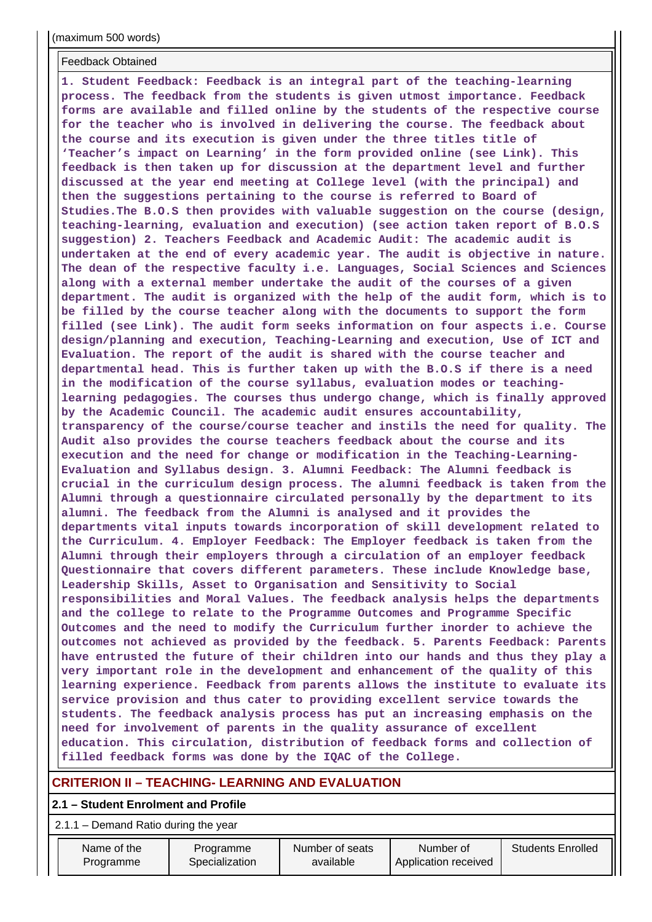#### Feedback Obtained

**1. Student Feedback: Feedback is an integral part of the teaching-learning process. The feedback from the students is given utmost importance. Feedback forms are available and filled online by the students of the respective course for the teacher who is involved in delivering the course. The feedback about the course and its execution is given under the three titles title of 'Teacher's impact on Learning' in the form provided online (see Link). This feedback is then taken up for discussion at the department level and further discussed at the year end meeting at College level (with the principal) and then the suggestions pertaining to the course is referred to Board of Studies.The B.O.S then provides with valuable suggestion on the course (design, teaching-learning, evaluation and execution) (see action taken report of B.O.S suggestion) 2. Teachers Feedback and Academic Audit: The academic audit is undertaken at the end of every academic year. The audit is objective in nature. The dean of the respective faculty i.e. Languages, Social Sciences and Sciences along with a external member undertake the audit of the courses of a given department. The audit is organized with the help of the audit form, which is to be filled by the course teacher along with the documents to support the form filled (see Link). The audit form seeks information on four aspects i.e. Course design/planning and execution, Teaching-Learning and execution, Use of ICT and Evaluation. The report of the audit is shared with the course teacher and departmental head. This is further taken up with the B.O.S if there is a need in the modification of the course syllabus, evaluation modes or teachinglearning pedagogies. The courses thus undergo change, which is finally approved by the Academic Council. The academic audit ensures accountability, transparency of the course/course teacher and instils the need for quality. The Audit also provides the course teachers feedback about the course and its execution and the need for change or modification in the Teaching-Learning-Evaluation and Syllabus design. 3. Alumni Feedback: The Alumni feedback is crucial in the curriculum design process. The alumni feedback is taken from the Alumni through a questionnaire circulated personally by the department to its alumni. The feedback from the Alumni is analysed and it provides the departments vital inputs towards incorporation of skill development related to the Curriculum. 4. Employer Feedback: The Employer feedback is taken from the Alumni through their employers through a circulation of an employer feedback Questionnaire that covers different parameters. These include Knowledge base, Leadership Skills, Asset to Organisation and Sensitivity to Social responsibilities and Moral Values. The feedback analysis helps the departments and the college to relate to the Programme Outcomes and Programme Specific Outcomes and the need to modify the Curriculum further inorder to achieve the outcomes not achieved as provided by the feedback. 5. Parents Feedback: Parents have entrusted the future of their children into our hands and thus they play a very important role in the development and enhancement of the quality of this learning experience. Feedback from parents allows the institute to evaluate its service provision and thus cater to providing excellent service towards the students. The feedback analysis process has put an increasing emphasis on the need for involvement of parents in the quality assurance of excellent education. This circulation, distribution of feedback forms and collection of filled feedback forms was done by the IQAC of the College.**

## **CRITERION II – TEACHING- LEARNING AND EVALUATION**

#### **2.1 – Student Enrolment and Profile**

| Name of the | Programme      | Number of seats | Number of            | Students Enrolled |
|-------------|----------------|-----------------|----------------------|-------------------|
| Programme   | Specialization | available       | Application received |                   |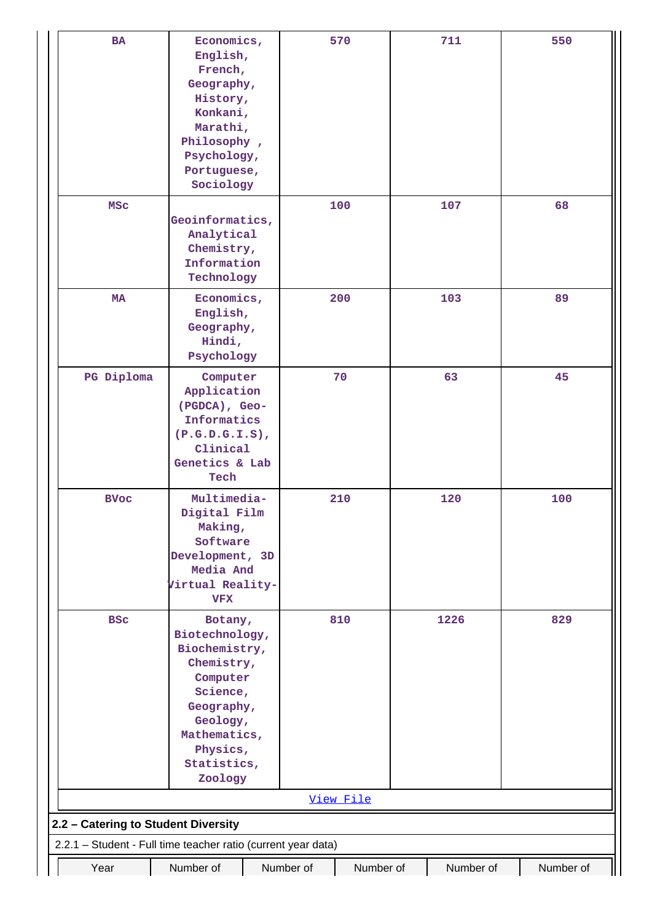| <b>BA</b>                           | Economics,<br>English,<br>French,<br>Geography,<br>History,<br>Konkani,<br>Marathi,<br>Philosophy,<br>Psychology,<br>Portuguese,<br>Sociology                    |           | 570       | 711       | 550       |
|-------------------------------------|------------------------------------------------------------------------------------------------------------------------------------------------------------------|-----------|-----------|-----------|-----------|
| <b>MSC</b>                          | Geoinformatics,<br>Analytical<br>Chemistry,<br>Information<br>Technology                                                                                         |           | 100       | 107       | 68        |
| MA                                  | Economics,<br>English,<br>Geography,<br>Hindi,<br>Psychology                                                                                                     |           | 200       | 103       | 89        |
| PG Diploma                          | Computer<br>Application<br>(PGDCA), Geo-<br>Informatics<br>$(P.G.D.G.I.S)$ ,<br>Clinical<br>Genetics & Lab<br>Tech                                               |           | 70        | 63        | 45        |
| <b>BVoc</b>                         | Multimedia-<br>Digital Film<br>Making,<br>Software<br>Development, 3D<br>Media And<br>Virtual Reality-<br><b>VFX</b>                                             |           | 210       | 120       | 100       |
| <b>BSC</b>                          | Botany,<br>Biotechnology,<br>Biochemistry,<br>Chemistry,<br>Computer<br>Science,<br>Geography,<br>Geology,<br>Mathematics,<br>Physics,<br>Statistics,<br>Zoology |           | 810       | 1226      | 829       |
|                                     |                                                                                                                                                                  |           | View File |           |           |
| 2.2 - Catering to Student Diversity |                                                                                                                                                                  |           |           |           |           |
|                                     | 2.2.1 - Student - Full time teacher ratio (current year data)                                                                                                    |           |           |           |           |
| Year                                | Number of                                                                                                                                                        | Number of | Number of | Number of | Number of |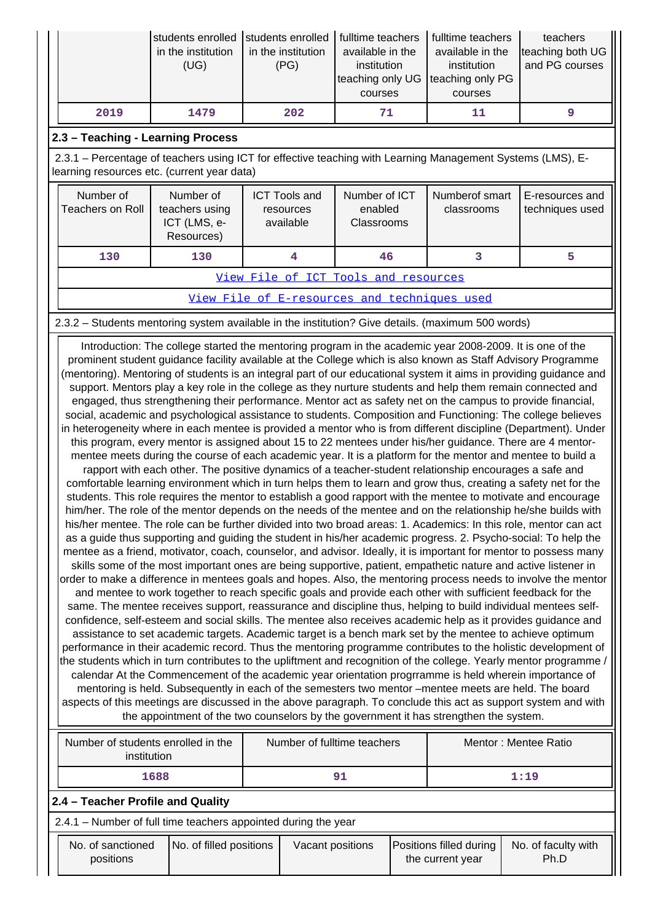|      | Istudents enrolled Istudents enrolled<br>in the institution<br>(UG) | in the institution<br>(PG) | I fulltime teachers<br>available in the<br>institution<br>teaching only UG teaching only PG<br>courses | fulltime teachers<br>available in the<br>institution<br>courses | teachers<br>teaching both UG<br>and PG courses |
|------|---------------------------------------------------------------------|----------------------------|--------------------------------------------------------------------------------------------------------|-----------------------------------------------------------------|------------------------------------------------|
| 2019 | 1479                                                                | 202                        | 71                                                                                                     |                                                                 |                                                |

## **2.3 – Teaching - Learning Process**

 2.3.1 – Percentage of teachers using ICT for effective teaching with Learning Management Systems (LMS), Elearning resources etc. (current year data)

| Number of<br>Teachers on Roll        | Number of<br>teachers using<br>ICT (LMS, e-<br>Resources) | Number of ICT<br><b>ICT Tools and</b><br>enabled<br>resources<br>available<br>Classrooms<br>46 |  | Numberof smart<br>classrooms | E-resources and<br>techniques used |
|--------------------------------------|-----------------------------------------------------------|------------------------------------------------------------------------------------------------|--|------------------------------|------------------------------------|
| 130<br>130                           |                                                           |                                                                                                |  |                              |                                    |
| View File of ICT Tools and resources |                                                           |                                                                                                |  |                              |                                    |

[View File of E-resources and techniques used](https://assessmentonline.naac.gov.in/public/Postacc/e_resource/10904_e_resource_1631098628.xlsx)

## 2.3.2 – Students mentoring system available in the institution? Give details. (maximum 500 words)

 Introduction: The college started the mentoring program in the academic year 2008-2009. It is one of the prominent student guidance facility available at the College which is also known as Staff Advisory Programme (mentoring). Mentoring of students is an integral part of our educational system it aims in providing guidance and support. Mentors play a key role in the college as they nurture students and help them remain connected and engaged, thus strengthening their performance. Mentor act as safety net on the campus to provide financial, social, academic and psychological assistance to students. Composition and Functioning: The college believes in heterogeneity where in each mentee is provided a mentor who is from different discipline (Department). Under this program, every mentor is assigned about 15 to 22 mentees under his/her guidance. There are 4 mentormentee meets during the course of each academic year. It is a platform for the mentor and mentee to build a rapport with each other. The positive dynamics of a teacher-student relationship encourages a safe and comfortable learning environment which in turn helps them to learn and grow thus, creating a safety net for the students. This role requires the mentor to establish a good rapport with the mentee to motivate and encourage him/her. The role of the mentor depends on the needs of the mentee and on the relationship he/she builds with his/her mentee. The role can be further divided into two broad areas: 1. Academics: In this role, mentor can act as a guide thus supporting and guiding the student in his/her academic progress. 2. Psycho-social: To help the mentee as a friend, motivator, coach, counselor, and advisor. Ideally, it is important for mentor to possess many skills some of the most important ones are being supportive, patient, empathetic nature and active listener in order to make a difference in mentees goals and hopes. Also, the mentoring process needs to involve the mentor and mentee to work together to reach specific goals and provide each other with sufficient feedback for the same. The mentee receives support, reassurance and discipline thus, helping to build individual mentees selfconfidence, self-esteem and social skills. The mentee also receives academic help as it provides guidance and assistance to set academic targets. Academic target is a bench mark set by the mentee to achieve optimum performance in their academic record. Thus the mentoring programme contributes to the holistic development of the students which in turn contributes to the upliftment and recognition of the college. Yearly mentor programme, calendar At the Commencement of the academic year orientation progrramme is held wherein importance of mentoring is held. Subsequently in each of the semesters two mentor –mentee meets are held. The board aspects of this meetings are discussed in the above paragraph. To conclude this act as support system and with the appointment of the two counselors by the government it has strengthen the system.

| Number of students enrolled in the<br>institution              | Number of fulltime teachers | Mentor: Mentee Ratio |  |  |  |  |  |
|----------------------------------------------------------------|-----------------------------|----------------------|--|--|--|--|--|
| 1688                                                           | 91                          | 1:19                 |  |  |  |  |  |
| 2.4 – Teacher Profile and Quality                              |                             |                      |  |  |  |  |  |
| 2.4.1 - Number of full time teachers appointed during the year |                             |                      |  |  |  |  |  |
|                                                                |                             |                      |  |  |  |  |  |

| No. of sanctioned<br>positions | No. of filled positions | Vacant positions | <b>Positions filled during</b><br>the current year | No. of faculty with<br>Ph.D |
|--------------------------------|-------------------------|------------------|----------------------------------------------------|-----------------------------|
|                                |                         |                  |                                                    |                             |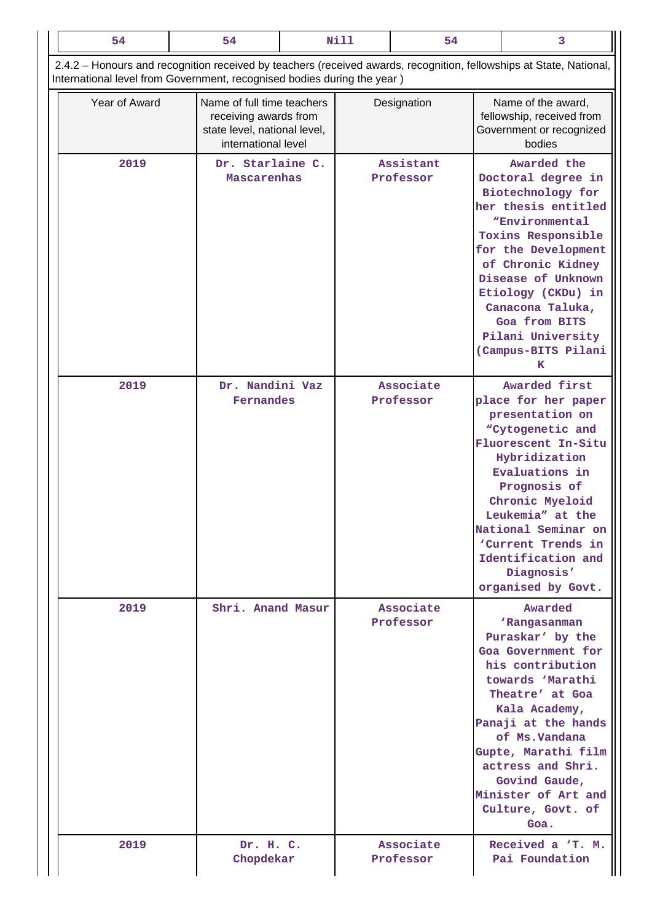| 54            |      | 54                                                                      |                                                                                                                           | Nill | 54                     |                                                                                                                                                                                                                                                                                                            | 3                                                                                                                                                                                                                                                                                                                 |                                                                                                                                                                                                                                                                                                         |
|---------------|------|-------------------------------------------------------------------------|---------------------------------------------------------------------------------------------------------------------------|------|------------------------|------------------------------------------------------------------------------------------------------------------------------------------------------------------------------------------------------------------------------------------------------------------------------------------------------------|-------------------------------------------------------------------------------------------------------------------------------------------------------------------------------------------------------------------------------------------------------------------------------------------------------------------|---------------------------------------------------------------------------------------------------------------------------------------------------------------------------------------------------------------------------------------------------------------------------------------------------------|
|               |      | International level from Government, recognised bodies during the year) |                                                                                                                           |      |                        |                                                                                                                                                                                                                                                                                                            | 2.4.2 - Honours and recognition received by teachers (received awards, recognition, fellowships at State, National,                                                                                                                                                                                               |                                                                                                                                                                                                                                                                                                         |
| Year of Award |      |                                                                         | Name of full time teachers<br>Designation<br>receiving awards from<br>state level, national level,<br>international level |      |                        |                                                                                                                                                                                                                                                                                                            | Name of the award,<br>fellowship, received from<br>Government or recognized<br>bodies                                                                                                                                                                                                                             |                                                                                                                                                                                                                                                                                                         |
|               | 2019 | Dr. Starlaine C.<br>Mascarenhas                                         |                                                                                                                           |      | Assistant<br>Professor |                                                                                                                                                                                                                                                                                                            | Awarded the<br>Doctoral degree in<br>Biotechnology for<br>her thesis entitled<br><i><b>"Environmental</b></i><br>Toxins Responsible<br>for the Development<br>of Chronic Kidney<br>Disease of Unknown<br>Etiology (CKDu) in<br>Canacona Taluka,<br>Goa from BITS<br>Pilani University<br>(Campus-BITS Pilani<br>ĸ |                                                                                                                                                                                                                                                                                                         |
|               | 2019 | Dr. Nandini Vaz<br>Fernandes                                            |                                                                                                                           |      | Associate<br>Professor | <b>Awarded first</b><br>place for her paper<br>presentation on<br>"Cytogenetic and<br>Fluorescent In-Situ<br>Hybridization<br>Evaluations in<br>Prognosis of<br>Chronic Myeloid<br>Leukemia" at the<br>National Seminar on<br>'Current Trends in<br>Identification and<br>Diagnosis'<br>organised by Govt. |                                                                                                                                                                                                                                                                                                                   |                                                                                                                                                                                                                                                                                                         |
|               | 2019 |                                                                         | Shri. Anand Masur                                                                                                         |      |                        | Associate<br>Professor                                                                                                                                                                                                                                                                                     |                                                                                                                                                                                                                                                                                                                   | Awarded<br>'Rangasanman<br>Puraskar' by the<br>Goa Government for<br>his contribution<br>towards 'Marathi<br>Theatre' at Goa<br>Kala Academy,<br>Panaji at the hands<br>of Ms. Vandana<br>Gupte, Marathi film<br>actress and Shri.<br>Govind Gaude,<br>Minister of Art and<br>Culture, Govt. of<br>Goa. |
|               | 2019 | Dr. H. C.<br>Chopdekar                                                  |                                                                                                                           |      | Associate<br>Professor |                                                                                                                                                                                                                                                                                                            | Received a 'T. M.<br>Pai Foundation                                                                                                                                                                                                                                                                               |                                                                                                                                                                                                                                                                                                         |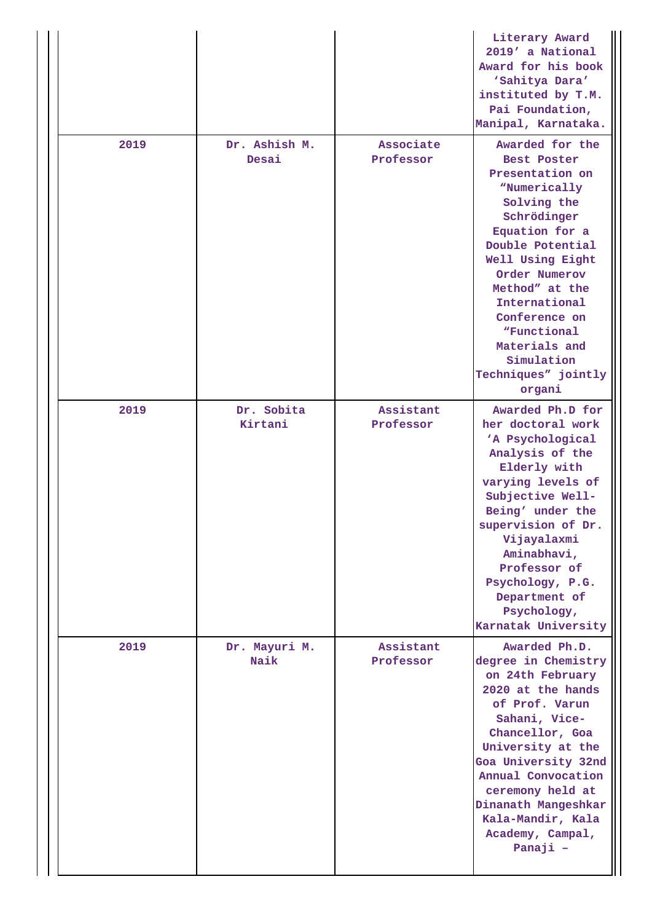|      |                        |                        | Literary Award<br>2019' a National<br>Award for his book<br>'Sahitya Dara'<br>instituted by T.M.<br>Pai Foundation,<br>Manipal, Karnataka.                                                                                                                                                                    |
|------|------------------------|------------------------|---------------------------------------------------------------------------------------------------------------------------------------------------------------------------------------------------------------------------------------------------------------------------------------------------------------|
| 2019 | Dr. Ashish M.<br>Desai | Associate<br>Professor | Awarded for the<br>Best Poster<br>Presentation on<br>"Numerically<br>Solving the<br>Schrödinger<br>Equation for a<br>Double Potential<br>Well Using Eight<br>Order Numerov<br>Method" at the<br>International<br>Conference on<br>"Functional<br>Materials and<br>Simulation<br>Techniques" jointly<br>organi |
| 2019 | Dr. Sobita<br>Kirtani  | Assistant<br>Professor | Awarded Ph.D for<br>her doctoral work<br>'A Psychological<br>Analysis of the<br>Elderly with<br>varying levels of<br>Subjective Well-<br>Being' under the<br>supervision of Dr.<br>Vijayalaxmi<br>Aminabhavi,<br>Professor of<br>Psychology, P.G.<br>Department of<br>Psychology,<br>Karnatak University      |
| 2019 | Dr. Mayuri M.<br>Naik  | Assistant<br>Professor | Awarded Ph.D.<br>degree in Chemistry<br>on 24th February<br>2020 at the hands<br>of Prof. Varun<br>Sahani, Vice-<br>Chancellor, Goa<br>University at the<br>Goa University 32nd<br>Annual Convocation<br>ceremony held at<br>Dinanath Mangeshkar<br>Kala-Mandir, Kala<br>Academy, Campal,<br>Panaji -         |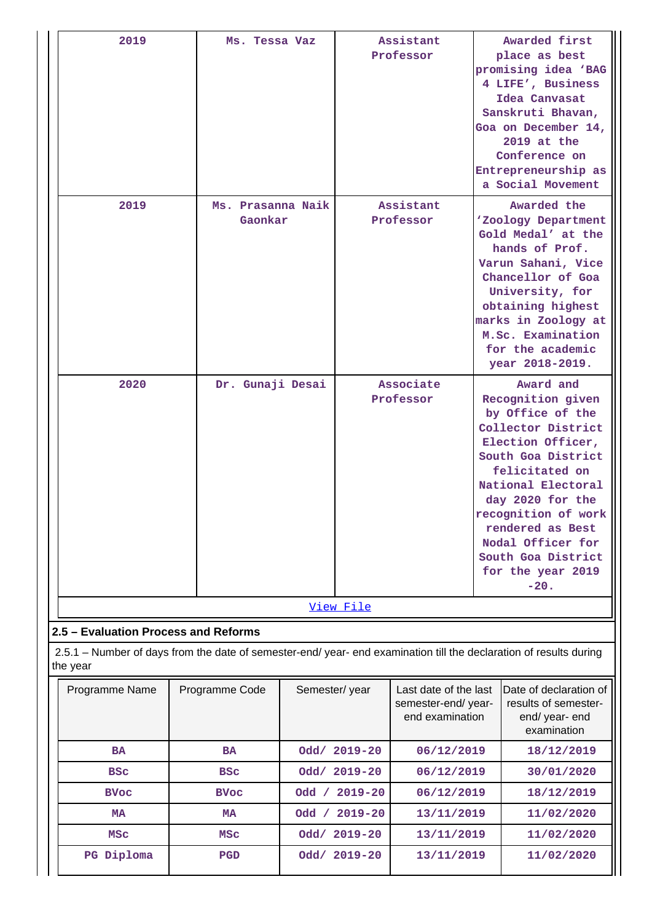| 2019                                                                                                                         | Ms. Tessa Vaz  |                              |               | Assistant<br>Professor                                         |  | Awarded first<br>place as best<br>promising idea 'BAG<br>4 LIFE', Business<br>Idea Canvasat<br>Sanskruti Bhavan,<br>Goa on December 14,<br>2019 at the<br>Conference on<br>Entrepreneurship as<br>a Social Movement                                                                                  |
|------------------------------------------------------------------------------------------------------------------------------|----------------|------------------------------|---------------|----------------------------------------------------------------|--|------------------------------------------------------------------------------------------------------------------------------------------------------------------------------------------------------------------------------------------------------------------------------------------------------|
| 2019                                                                                                                         |                | Ms. Prasanna Naik<br>Gaonkar |               | Assistant<br>Professor                                         |  | Awarded the<br>'Zoology Department<br>Gold Medal' at the<br>hands of Prof.<br>Varun Sahani, Vice<br>Chancellor of Goa<br>University, for<br>obtaining highest<br>marks in Zoology at<br>M.Sc. Examination<br>for the academic<br>year 2018-2019.                                                     |
| 2020                                                                                                                         |                | Dr. Gunaji Desai             |               | Associate<br>Professor                                         |  | Award and<br>Recognition given<br>by Office of the<br>Collector District<br>Election Officer,<br>South Goa District<br>felicitated on<br>National Electoral<br>day 2020 for the<br>recognition of work<br>rendered as Best<br>Nodal Officer for<br>South Goa District<br>for the year 2019<br>$-20.$ |
|                                                                                                                              |                |                              | View File     |                                                                |  |                                                                                                                                                                                                                                                                                                      |
| 2.5 - Evaluation Process and Reforms                                                                                         |                |                              |               |                                                                |  |                                                                                                                                                                                                                                                                                                      |
| 2.5.1 - Number of days from the date of semester-end/year-end examination till the declaration of results during<br>the year |                |                              |               |                                                                |  |                                                                                                                                                                                                                                                                                                      |
| Programme Name                                                                                                               | Programme Code | Semester/year                |               | Last date of the last<br>semester-end/year-<br>end examination |  | Date of declaration of<br>results of semester-<br>end/ year- end<br>examination                                                                                                                                                                                                                      |
| <b>BA</b>                                                                                                                    | <b>BA</b>      |                              | Odd/ 2019-20  | 06/12/2019                                                     |  | 18/12/2019                                                                                                                                                                                                                                                                                           |
| <b>BSC</b>                                                                                                                   | <b>BSC</b>     |                              | Odd/ 2019-20  | 06/12/2019                                                     |  | 30/01/2020                                                                                                                                                                                                                                                                                           |
| <b>BVoc</b>                                                                                                                  | <b>BVoc</b>    |                              | Odd / 2019-20 | 06/12/2019                                                     |  | 18/12/2019                                                                                                                                                                                                                                                                                           |
| <b>MA</b>                                                                                                                    | <b>MA</b>      |                              | Odd / 2019-20 | 13/11/2019                                                     |  | 11/02/2020                                                                                                                                                                                                                                                                                           |
| MSC                                                                                                                          | MSC            |                              | Odd/ 2019-20  | 13/11/2019                                                     |  | 11/02/2020                                                                                                                                                                                                                                                                                           |
| PG Diploma                                                                                                                   | PGD            |                              | Odd/ 2019-20  | 13/11/2019                                                     |  | 11/02/2020                                                                                                                                                                                                                                                                                           |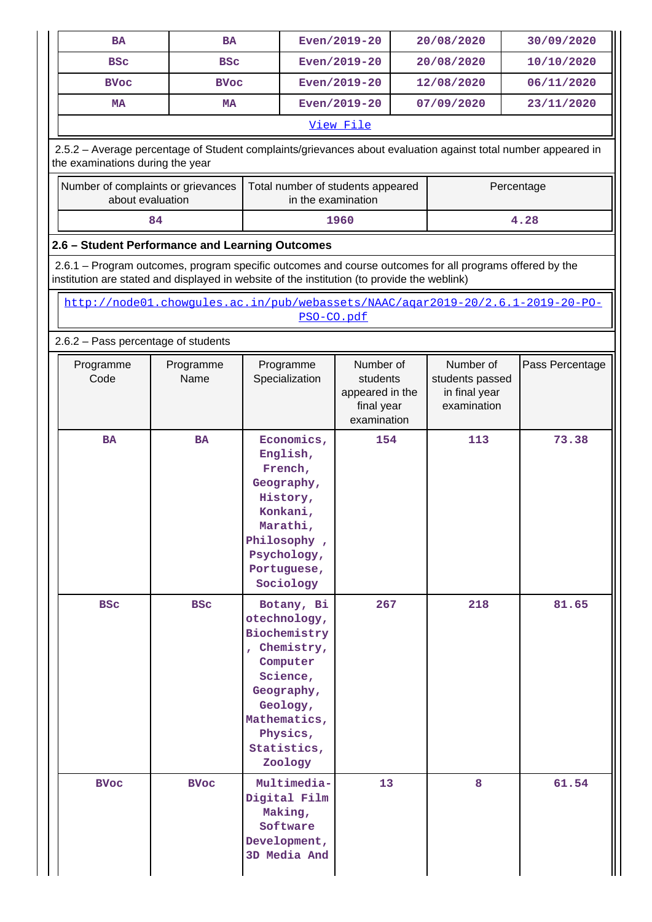| <b>BA</b>                        | <b>BA</b>                                                                                                                                                                                              |                                                                                                                                                                    | Even/2019-20       |                                                                                                                                       | 20/08/2020 | 30/09/2020      |
|----------------------------------|--------------------------------------------------------------------------------------------------------------------------------------------------------------------------------------------------------|--------------------------------------------------------------------------------------------------------------------------------------------------------------------|--------------------|---------------------------------------------------------------------------------------------------------------------------------------|------------|-----------------|
| <b>BSC</b>                       | <b>BSC</b>                                                                                                                                                                                             |                                                                                                                                                                    | Even/2019-20       |                                                                                                                                       | 20/08/2020 | 10/10/2020      |
| <b>BVoc</b>                      | <b>BVoc</b>                                                                                                                                                                                            |                                                                                                                                                                    | Even/2019-20       |                                                                                                                                       | 12/08/2020 | 06/11/2020      |
| <b>MA</b>                        | <b>MA</b>                                                                                                                                                                                              |                                                                                                                                                                    | Even/2019-20       |                                                                                                                                       | 07/09/2020 | 23/11/2020      |
|                                  |                                                                                                                                                                                                        |                                                                                                                                                                    | View File          |                                                                                                                                       |            |                 |
| the examinations during the year | 2.5.2 - Average percentage of Student complaints/grievances about evaluation against total number appeared in                                                                                          |                                                                                                                                                                    |                    |                                                                                                                                       |            |                 |
|                                  | Number of complaints or grievances<br>about evaluation                                                                                                                                                 | Total number of students appeared                                                                                                                                  | in the examination |                                                                                                                                       |            | Percentage      |
|                                  | 84                                                                                                                                                                                                     |                                                                                                                                                                    | 1960               |                                                                                                                                       |            | 4.28            |
|                                  | 2.6 - Student Performance and Learning Outcomes                                                                                                                                                        |                                                                                                                                                                    |                    |                                                                                                                                       |            |                 |
|                                  | 2.6.1 - Program outcomes, program specific outcomes and course outcomes for all programs offered by the<br>institution are stated and displayed in website of the institution (to provide the weblink) |                                                                                                                                                                    |                    |                                                                                                                                       |            |                 |
|                                  | http://node01.chowqules.ac.in/pub/webassets/NAAC/agar2019-20/2.6.1-2019-20-PO-                                                                                                                         |                                                                                                                                                                    | PSO-CO.pdf         |                                                                                                                                       |            |                 |
|                                  | 2.6.2 - Pass percentage of students                                                                                                                                                                    |                                                                                                                                                                    |                    |                                                                                                                                       |            |                 |
| Programme<br>Code                | Programme<br>Name                                                                                                                                                                                      | Programme<br>Specialization                                                                                                                                        |                    | Number of<br>Number of<br>students passed<br>students<br>appeared in the<br>in final year<br>final year<br>examination<br>examination |            | Pass Percentage |
| <b>BA</b>                        | <b>BA</b>                                                                                                                                                                                              | Economics,<br>English,<br>French,<br>Geography,<br>History,<br>Konkani,<br>Marathi,<br>Philosophy,<br>Psychology,<br>Portuguese,<br>Sociology                      | 154                |                                                                                                                                       | 113        | 73.38           |
| <b>BSC</b>                       | <b>BSC</b>                                                                                                                                                                                             | Botany, Bi<br>otechnology,<br>Biochemistry<br>, Chemistry,<br>Computer<br>Science,<br>Geography,<br>Geology,<br>Mathematics,<br>Physics,<br>Statistics,<br>Zoology | 267                |                                                                                                                                       | 218        | 81.65           |
| <b>BVoc</b>                      | <b>BVoc</b>                                                                                                                                                                                            | Multimedia-<br>Digital Film<br>Making,<br>Software<br>Development,<br>3D Media And                                                                                 | 13                 | 8                                                                                                                                     |            | 61.54           |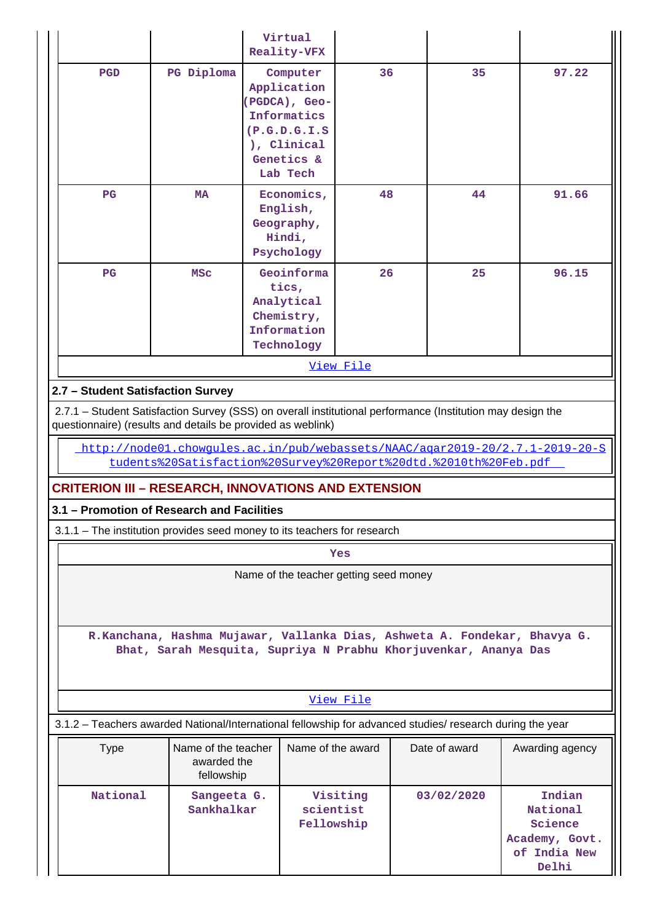|                                                                                                                                              |                                                  | Virtual<br>Reality-VFX                                                                                                 |                                                   |                                                                                                            |                                                                              |  |  |  |  |
|----------------------------------------------------------------------------------------------------------------------------------------------|--------------------------------------------------|------------------------------------------------------------------------------------------------------------------------|---------------------------------------------------|------------------------------------------------------------------------------------------------------------|------------------------------------------------------------------------------|--|--|--|--|
| <b>PGD</b><br>PG Diploma                                                                                                                     |                                                  | 36<br>Computer<br>Application<br>(PGDCA), Geo-<br>Informatics<br>(P.G.D.G.I.S<br>), Clinical<br>Genetics &<br>Lab Tech |                                                   | 35                                                                                                         | 97.22                                                                        |  |  |  |  |
| $_{\rm PG}$<br><b>MA</b>                                                                                                                     |                                                  | Economics,<br>English,<br>Geography,<br>Hindi,<br>Psychology                                                           | 48                                                | 44                                                                                                         | 91.66                                                                        |  |  |  |  |
| $_{\rm PG}$<br><b>MSC</b>                                                                                                                    |                                                  | Geoinforma<br>tics,<br>Analytical<br>Chemistry,<br>Information<br>Technology                                           | 26<br>25                                          |                                                                                                            | 96.15                                                                        |  |  |  |  |
| View File                                                                                                                                    |                                                  |                                                                                                                        |                                                   |                                                                                                            |                                                                              |  |  |  |  |
| 2.7 - Student Satisfaction Survey                                                                                                            |                                                  |                                                                                                                        |                                                   |                                                                                                            |                                                                              |  |  |  |  |
| questionnaire) (results and details be provided as weblink)                                                                                  |                                                  |                                                                                                                        |                                                   | 2.7.1 - Student Satisfaction Survey (SSS) on overall institutional performance (Institution may design the |                                                                              |  |  |  |  |
|                                                                                                                                              |                                                  |                                                                                                                        |                                                   | tudents%20Satisfaction%20Survey%20Report%20dtd.%2010th%20Feb.pdf                                           | http://node01.chowgules.ac.in/pub/webassets/NAAC/agar2019-20/2.7.1-2019-20-S |  |  |  |  |
| <b>CRITERION III - RESEARCH, INNOVATIONS AND EXTENSION</b>                                                                                   |                                                  |                                                                                                                        |                                                   |                                                                                                            |                                                                              |  |  |  |  |
| 3.1 - Promotion of Research and Facilities                                                                                                   |                                                  |                                                                                                                        |                                                   |                                                                                                            |                                                                              |  |  |  |  |
| 3.1.1 - The institution provides seed money to its teachers for research                                                                     |                                                  |                                                                                                                        |                                                   |                                                                                                            |                                                                              |  |  |  |  |
|                                                                                                                                              |                                                  |                                                                                                                        | Yes                                               |                                                                                                            |                                                                              |  |  |  |  |
|                                                                                                                                              |                                                  | Name of the teacher getting seed money                                                                                 |                                                   |                                                                                                            |                                                                              |  |  |  |  |
| R.Kanchana, Hashma Mujawar, Vallanka Dias, Ashweta A. Fondekar, Bhavya G.<br>Bhat, Sarah Mesquita, Supriya N Prabhu Khorjuvenkar, Ananya Das |                                                  |                                                                                                                        |                                                   |                                                                                                            |                                                                              |  |  |  |  |
|                                                                                                                                              |                                                  |                                                                                                                        | View File                                         |                                                                                                            |                                                                              |  |  |  |  |
|                                                                                                                                              |                                                  |                                                                                                                        |                                                   | 3.1.2 - Teachers awarded National/International fellowship for advanced studies/ research during the year  |                                                                              |  |  |  |  |
| <b>Type</b>                                                                                                                                  | Name of the teacher<br>awarded the<br>fellowship | Name of the award                                                                                                      |                                                   | Date of award                                                                                              | Awarding agency                                                              |  |  |  |  |
| National<br>Sangeeta G.<br>Sankhalkar                                                                                                        |                                                  |                                                                                                                        | Visiting<br>03/02/2020<br>scientist<br>Fellowship |                                                                                                            | Indian<br>National<br>Science<br>Academy, Govt.<br>of India New<br>Delhi     |  |  |  |  |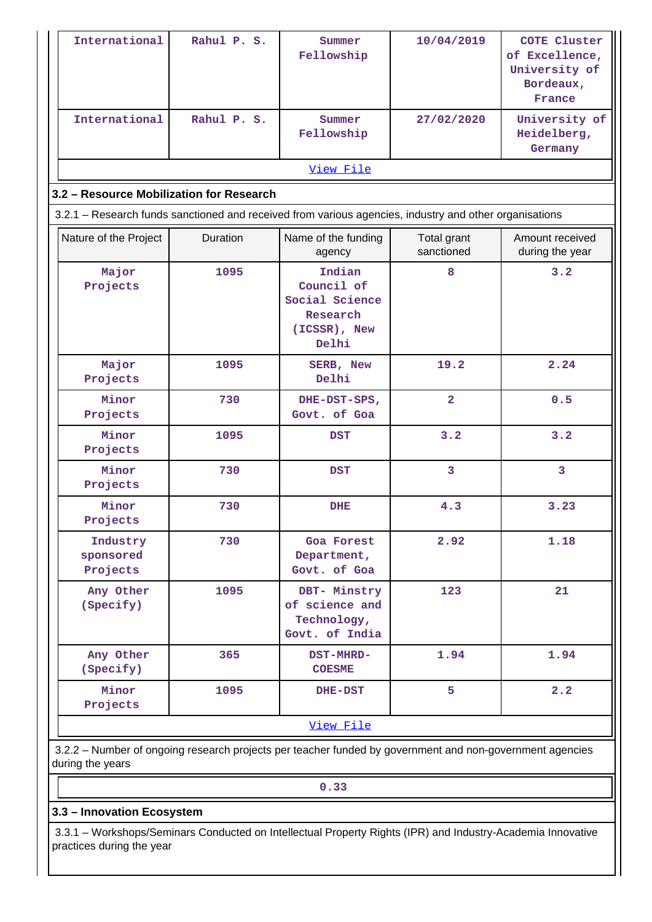| International                                                                                                                | Rahul P. S.                                                                                            | Summer<br>Fellowship                                                        | 10/04/2019                | <b>COTE Cluster</b><br>of Excellence,<br>University of<br>Bordeaux,<br>France |  |  |  |  |  |  |
|------------------------------------------------------------------------------------------------------------------------------|--------------------------------------------------------------------------------------------------------|-----------------------------------------------------------------------------|---------------------------|-------------------------------------------------------------------------------|--|--|--|--|--|--|
| International                                                                                                                | Rahul P. S.                                                                                            | Summer<br>Fellowship                                                        | 27/02/2020                | University of<br>Heidelberg,<br>Germany                                       |  |  |  |  |  |  |
|                                                                                                                              |                                                                                                        | View File                                                                   |                           |                                                                               |  |  |  |  |  |  |
| 3.2 - Resource Mobilization for Research                                                                                     |                                                                                                        |                                                                             |                           |                                                                               |  |  |  |  |  |  |
|                                                                                                                              | 3.2.1 - Research funds sanctioned and received from various agencies, industry and other organisations |                                                                             |                           |                                                                               |  |  |  |  |  |  |
| Nature of the Project                                                                                                        | Duration                                                                                               | Name of the funding<br>agency                                               | Total grant<br>sanctioned | Amount received<br>during the year                                            |  |  |  |  |  |  |
| Major<br>Projects                                                                                                            | 1095                                                                                                   | Indian<br>Council of<br>Social Science<br>Research<br>(ICSSR), New<br>Delhi | 8                         | 3.2                                                                           |  |  |  |  |  |  |
| Major<br>Projects                                                                                                            | 1095                                                                                                   | SERB, New<br>Delhi                                                          | 19.2                      | 2.24                                                                          |  |  |  |  |  |  |
| Minor<br>Projects                                                                                                            | 730                                                                                                    | DHE-DST-SPS,<br>Govt. of Goa                                                | $\overline{2}$            | 0.5                                                                           |  |  |  |  |  |  |
| Minor<br>Projects                                                                                                            | 1095                                                                                                   | <b>DST</b>                                                                  | 3.2                       | 3.2                                                                           |  |  |  |  |  |  |
| Minor<br>Projects                                                                                                            | 730                                                                                                    | <b>DST</b>                                                                  | 3                         | 3                                                                             |  |  |  |  |  |  |
| Minor<br>Projects                                                                                                            | 730                                                                                                    | <b>DHE</b>                                                                  | 4.3                       | 3.23                                                                          |  |  |  |  |  |  |
| Industry<br>sponsored<br>Projects                                                                                            | 730                                                                                                    | Goa Forest<br>Department,<br>Govt. of Goa                                   | 2.92                      | 1.18                                                                          |  |  |  |  |  |  |
| Any Other<br>(Specify)                                                                                                       | 1095                                                                                                   | DBT- Minstry<br>of science and<br>Technology,<br>Govt. of India             | 123                       | 21                                                                            |  |  |  |  |  |  |
| Any Other<br>(Specify)                                                                                                       | 365                                                                                                    | DST-MHRD-<br><b>COESME</b>                                                  | 1.94                      | 1.94                                                                          |  |  |  |  |  |  |
| Minor<br>Projects                                                                                                            | 1095                                                                                                   | DHE-DST                                                                     | 5                         | 2.2                                                                           |  |  |  |  |  |  |
|                                                                                                                              |                                                                                                        | View File                                                                   |                           |                                                                               |  |  |  |  |  |  |
| 3.2.2 - Number of ongoing research projects per teacher funded by government and non-government agencies<br>during the years |                                                                                                        |                                                                             |                           |                                                                               |  |  |  |  |  |  |
| 0.33                                                                                                                         |                                                                                                        |                                                                             |                           |                                                                               |  |  |  |  |  |  |

**3.3 – Innovation Ecosystem**

 3.3.1 – Workshops/Seminars Conducted on Intellectual Property Rights (IPR) and Industry-Academia Innovative practices during the year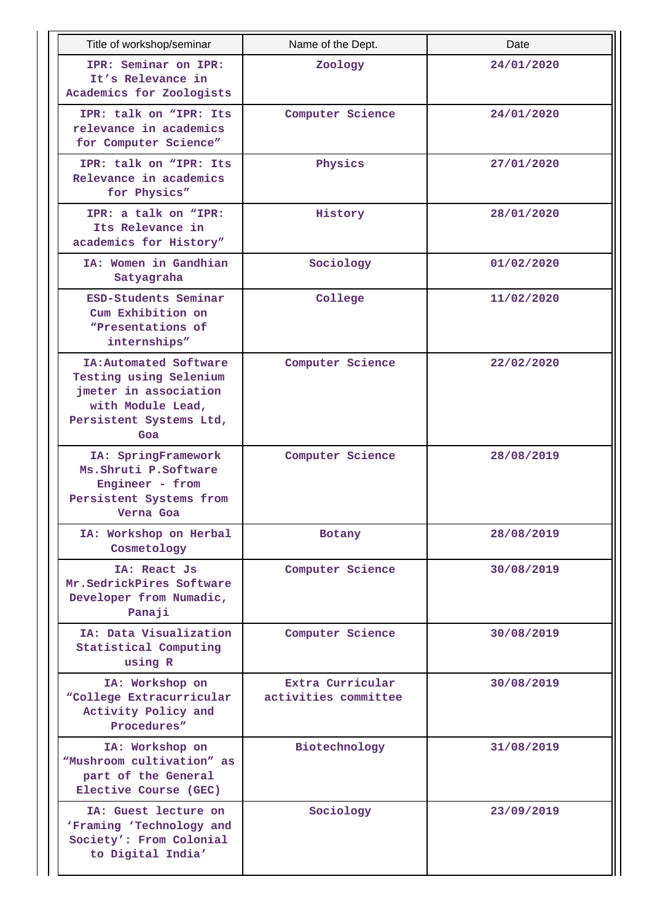| Title of workshop/seminar                                                                                                        | Name of the Dept.                        | Date       |
|----------------------------------------------------------------------------------------------------------------------------------|------------------------------------------|------------|
| IPR: Seminar on IPR:<br>It's Relevance in<br>Academics for Zoologists                                                            | Zoology                                  | 24/01/2020 |
| IPR: talk on "IPR: Its<br>relevance in academics<br>for Computer Science"                                                        | Computer Science                         | 24/01/2020 |
| IPR: talk on "IPR: Its<br>Relevance in academics<br>for Physics"                                                                 | Physics                                  | 27/01/2020 |
| IPR: a talk on "IPR:<br>Its Relevance in<br>academics for History"                                                               | History                                  | 28/01/2020 |
| IA: Women in Gandhian<br>Satyagraha                                                                                              | Sociology                                | 01/02/2020 |
| ESD-Students Seminar<br>Cum Exhibition on<br>"Presentations of<br>internships"                                                   | College                                  | 11/02/2020 |
| IA: Automated Software<br>Testing using Selenium<br>jmeter in association<br>with Module Lead,<br>Persistent Systems Ltd,<br>Goa | Computer Science                         | 22/02/2020 |
| IA: SpringFramework<br>Ms. Shruti P. Software<br>Engineer - from<br>Persistent Systems from<br>Verna Goa                         | Computer Science                         | 28/08/2019 |
| IA: Workshop on Herbal<br>Cosmetology                                                                                            | Botany                                   | 28/08/2019 |
| IA: React Js<br>Mr. SedrickPires Software<br>Developer from Numadic,<br>Panaji                                                   | Computer Science                         | 30/08/2019 |
| IA: Data Visualization<br>Statistical Computing<br>using R                                                                       | Computer Science                         | 30/08/2019 |
| IA: Workshop on<br>"College Extracurricular<br>Activity Policy and<br>Procedures"                                                | Extra Curricular<br>activities committee | 30/08/2019 |
| IA: Workshop on<br>"Mushroom cultivation" as<br>part of the General<br>Elective Course (GEC)                                     | Biotechnology                            | 31/08/2019 |
| IA: Guest lecture on<br>'Framing 'Technology and<br>Society': From Colonial<br>to Digital India'                                 | Sociology                                | 23/09/2019 |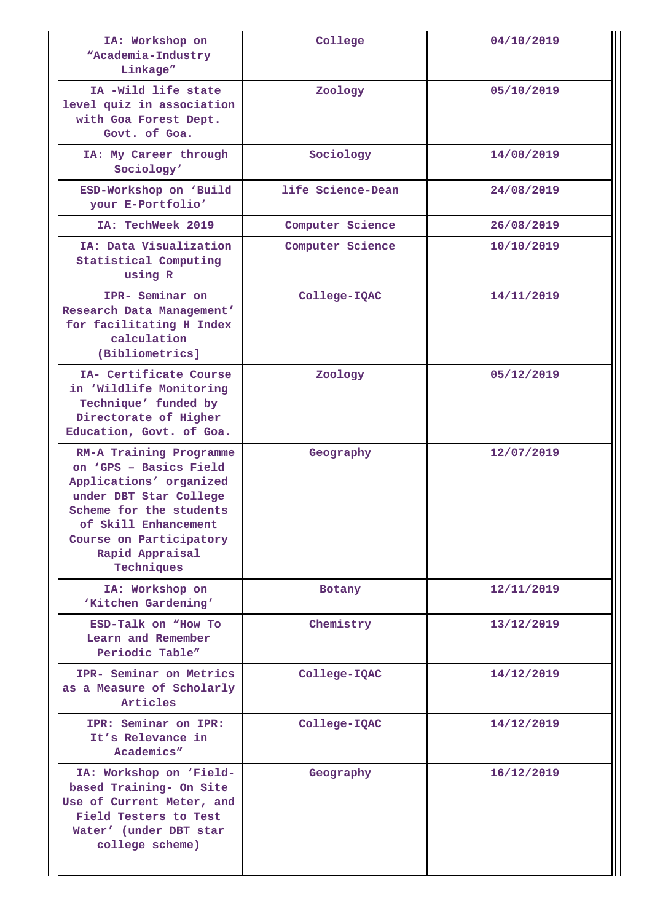| IA: Workshop on<br>"Academia-Industry<br>Linkage"                                                                                                                                                                     | College           | 04/10/2019 |
|-----------------------------------------------------------------------------------------------------------------------------------------------------------------------------------------------------------------------|-------------------|------------|
| IA -Wild life state<br>level quiz in association<br>with Goa Forest Dept.<br>Govt. of Goa.                                                                                                                            | Zoology           | 05/10/2019 |
| IA: My Career through<br>Sociology'                                                                                                                                                                                   | Sociology         | 14/08/2019 |
| ESD-Workshop on 'Build<br>your E-Portfolio'                                                                                                                                                                           | life Science-Dean | 24/08/2019 |
| IA: TechWeek 2019                                                                                                                                                                                                     | Computer Science  | 26/08/2019 |
| IA: Data Visualization<br>Statistical Computing<br>using R                                                                                                                                                            | Computer Science  | 10/10/2019 |
| IPR- Seminar on<br>Research Data Management'<br>for facilitating H Index<br>calculation<br>(Bibliometrics]                                                                                                            | College-IQAC      | 14/11/2019 |
| IA- Certificate Course<br>in 'Wildlife Monitoring<br>Technique' funded by<br>Directorate of Higher<br>Education, Govt. of Goa.                                                                                        | Zoology           | 05/12/2019 |
| RM-A Training Programme<br>on 'GPS - Basics Field<br>Applications' organized<br>under DBT Star College<br>Scheme for the students<br>of Skill Enhancement<br>Course on Participatory<br>Rapid Appraisal<br>Techniques | Geography         | 12/07/2019 |
| IA: Workshop on<br>'Kitchen Gardening'                                                                                                                                                                                | Botany            | 12/11/2019 |
| ESD-Talk on "How To<br>Learn and Remember<br>Periodic Table"                                                                                                                                                          | Chemistry         | 13/12/2019 |
| IPR- Seminar on Metrics<br>as a Measure of Scholarly<br>Articles                                                                                                                                                      | College-IQAC      | 14/12/2019 |
| IPR: Seminar on IPR:<br>It's Relevance in<br>Academics"                                                                                                                                                               | College-IQAC      | 14/12/2019 |
| IA: Workshop on 'Field-<br>based Training- On Site<br>Use of Current Meter, and<br>Field Testers to Test<br>Water' (under DBT star<br>college scheme)                                                                 | Geography         | 16/12/2019 |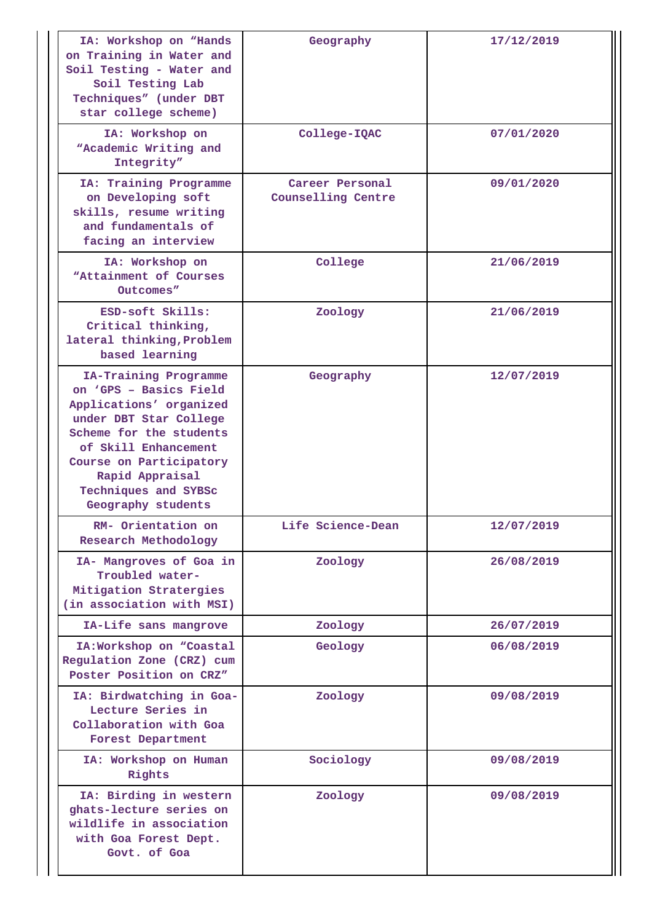| IA: Workshop on "Hands<br>on Training in Water and<br>Soil Testing - Water and<br>Soil Testing Lab<br>Techniques" (under DBT<br>star college scheme)                                                                                                | Geography                                    | 17/12/2019 |
|-----------------------------------------------------------------------------------------------------------------------------------------------------------------------------------------------------------------------------------------------------|----------------------------------------------|------------|
| IA: Workshop on<br>"Academic Writing and<br>Integrity"                                                                                                                                                                                              | College-IQAC                                 | 07/01/2020 |
| IA: Training Programme<br>on Developing soft<br>skills, resume writing<br>and fundamentals of<br>facing an interview                                                                                                                                | Career Personal<br><b>Counselling Centre</b> | 09/01/2020 |
| IA: Workshop on<br>"Attainment of Courses<br>Outcomes"                                                                                                                                                                                              | College                                      | 21/06/2019 |
| ESD-soft Skills:<br>Critical thinking,<br>lateral thinking, Problem<br>based learning                                                                                                                                                               | Zoology                                      | 21/06/2019 |
| IA-Training Programme<br>on 'GPS - Basics Field<br>Applications' organized<br>under DBT Star College<br>Scheme for the students<br>of Skill Enhancement<br>Course on Participatory<br>Rapid Appraisal<br>Techniques and SYBSc<br>Geography students | Geography                                    | 12/07/2019 |
| RM- Orientation on<br>Research Methodology                                                                                                                                                                                                          | Life Science-Dean                            | 12/07/2019 |
| IA- Mangroves of Goa in<br>Troubled water-<br>Mitigation Stratergies<br>(in association with MSI)                                                                                                                                                   | Zoology                                      | 26/08/2019 |
| IA-Life sans mangrove                                                                                                                                                                                                                               | Zoology                                      | 26/07/2019 |
| IA: Workshop on "Coastal<br>Regulation Zone (CRZ) cum<br>Poster Position on CRZ"                                                                                                                                                                    | Geology                                      | 06/08/2019 |
| IA: Birdwatching in Goa-<br>Lecture Series in<br>Collaboration with Goa<br><b>Forest Department</b>                                                                                                                                                 | Zoology                                      | 09/08/2019 |
| IA: Workshop on Human<br>Rights                                                                                                                                                                                                                     | Sociology                                    | 09/08/2019 |
| IA: Birding in western<br>ghats-lecture series on<br>wildlife in association<br>with Goa Forest Dept.<br>Govt. of Goa                                                                                                                               | Zoology                                      | 09/08/2019 |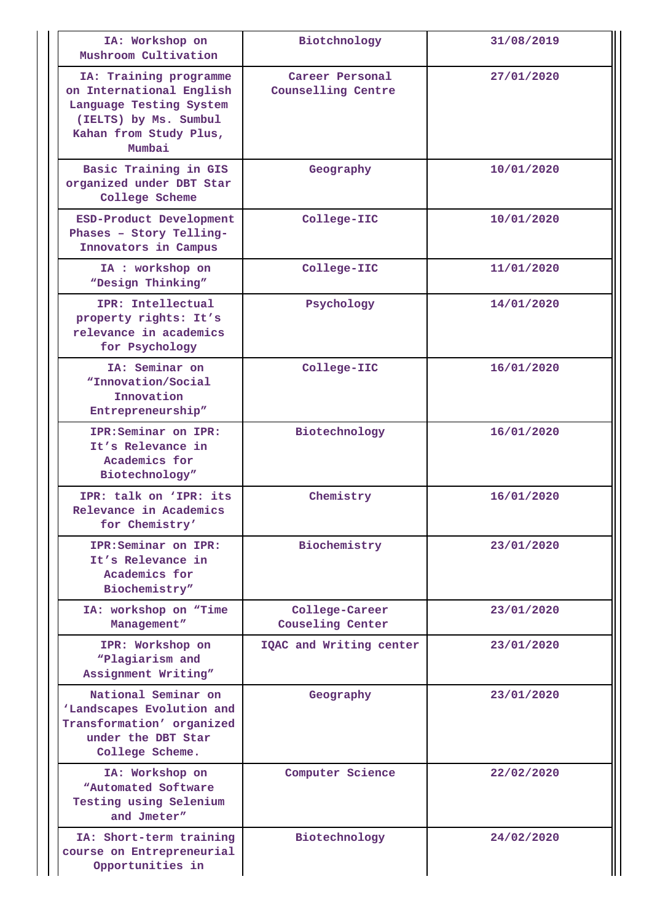| IA: Workshop on<br>Mushroom Cultivation                                                                                                    | Biotchnology                              | 31/08/2019 |
|--------------------------------------------------------------------------------------------------------------------------------------------|-------------------------------------------|------------|
| IA: Training programme<br>on International English<br>Language Testing System<br>(IELTS) by Ms. Sumbul<br>Kahan from Study Plus,<br>Mumbai | Career Personal<br>Counselling Centre     | 27/01/2020 |
| Basic Training in GIS<br>organized under DBT Star<br>College Scheme                                                                        | Geography                                 | 10/01/2020 |
| ESD-Product Development<br>Phases - Story Telling-<br>Innovators in Campus                                                                 | College-IIC                               | 10/01/2020 |
| IA : workshop on<br>"Design Thinking"                                                                                                      | College-IIC                               | 11/01/2020 |
| IPR: Intellectual<br>property rights: It's<br>relevance in academics<br>for Psychology                                                     | Psychology                                | 14/01/2020 |
| IA: Seminar on<br>"Innovation/Social<br>Innovation<br>Entrepreneurship"                                                                    | College-IIC                               | 16/01/2020 |
| IPR: Seminar on IPR:<br>It's Relevance in<br>Academics for<br>Biotechnology"                                                               | Biotechnology                             | 16/01/2020 |
| IPR: talk on 'IPR: its<br>Relevance in Academics<br>for Chemistry'                                                                         | Chemistry                                 | 16/01/2020 |
| IPR: Seminar on IPR:<br>It's Relevance in<br>Academics for<br>Biochemistry"                                                                | Biochemistry                              | 23/01/2020 |
| IA: workshop on "Time<br>Management"                                                                                                       | College-Career<br><b>Couseling Center</b> | 23/01/2020 |
| IPR: Workshop on<br>"Plagiarism and<br>Assignment Writing"                                                                                 | IQAC and Writing center                   | 23/01/2020 |
| National Seminar on<br>'Landscapes Evolution and<br>Transformation' organized<br>under the DBT Star<br>College Scheme.                     | Geography                                 | 23/01/2020 |
| IA: Workshop on<br>"Automated Software<br>Testing using Selenium<br>and Jmeter"                                                            | Computer Science                          | 22/02/2020 |
| IA: Short-term training<br>course on Entrepreneurial<br>Opportunities in                                                                   | Biotechnology                             | 24/02/2020 |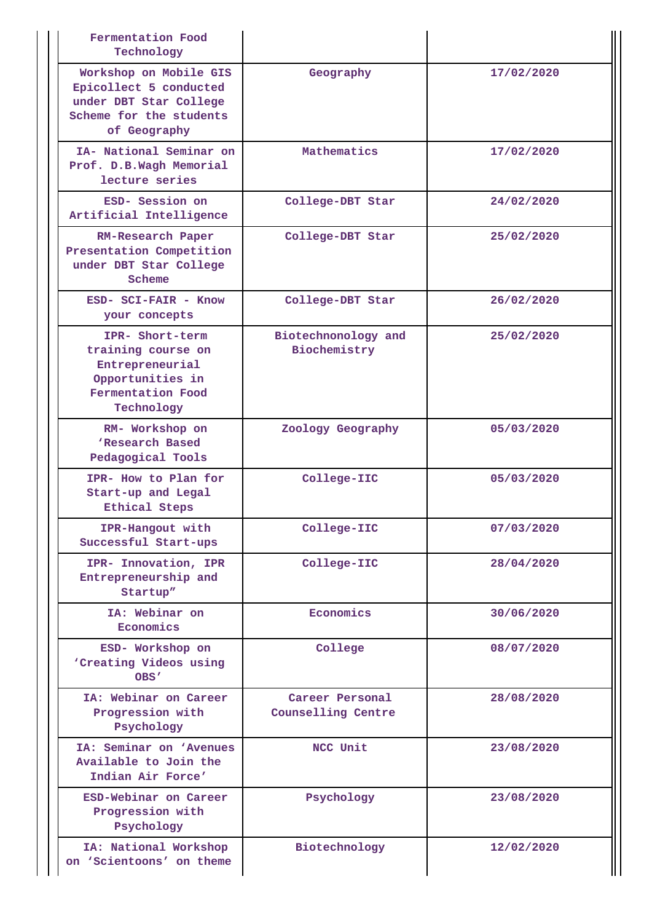| Fermentation Food<br>Technology                                                                                       |                                       |            |
|-----------------------------------------------------------------------------------------------------------------------|---------------------------------------|------------|
| Workshop on Mobile GIS<br>Epicollect 5 conducted<br>under DBT Star College<br>Scheme for the students<br>of Geography | Geography                             | 17/02/2020 |
| IA- National Seminar on<br>Prof. D.B.Wagh Memorial<br>lecture series                                                  | Mathematics                           | 17/02/2020 |
| ESD- Session on<br>Artificial Intelligence                                                                            | College-DBT Star                      | 24/02/2020 |
| RM-Research Paper<br>Presentation Competition<br>under DBT Star College<br>Scheme                                     | College-DBT Star                      | 25/02/2020 |
| ESD- SCI-FAIR - Know<br>your concepts                                                                                 | College-DBT Star                      | 26/02/2020 |
| IPR- Short-term<br>training course on<br>Entrepreneurial<br>Opportunities in<br>Fermentation Food<br>Technology       | Biotechnonology and<br>Biochemistry   | 25/02/2020 |
| RM- Workshop on<br>'Research Based<br>Pedagogical Tools                                                               | Zoology Geography                     | 05/03/2020 |
| IPR- How to Plan for<br>Start-up and Legal<br>Ethical Steps                                                           | College-IIC                           | 05/03/2020 |
| IPR-Hangout with<br>Successful Start-ups                                                                              | College-IIC                           | 07/03/2020 |
| IPR- Innovation, IPR<br>Entrepreneurship and<br>Startup"                                                              | College-IIC                           | 28/04/2020 |
| IA: Webinar on<br>Economics                                                                                           | Economics                             | 30/06/2020 |
| ESD- Workshop on<br>'Creating Videos using<br>OBS'                                                                    | College                               | 08/07/2020 |
| IA: Webinar on Career<br>Progression with<br>Psychology                                                               | Career Personal<br>Counselling Centre | 28/08/2020 |
| IA: Seminar on 'Avenues<br>Available to Join the<br>Indian Air Force'                                                 | NCC Unit                              | 23/08/2020 |
| ESD-Webinar on Career<br>Progression with<br>Psychology                                                               | Psychology                            | 23/08/2020 |
| IA: National Workshop<br>on 'Scientoons' on theme                                                                     | Biotechnology                         | 12/02/2020 |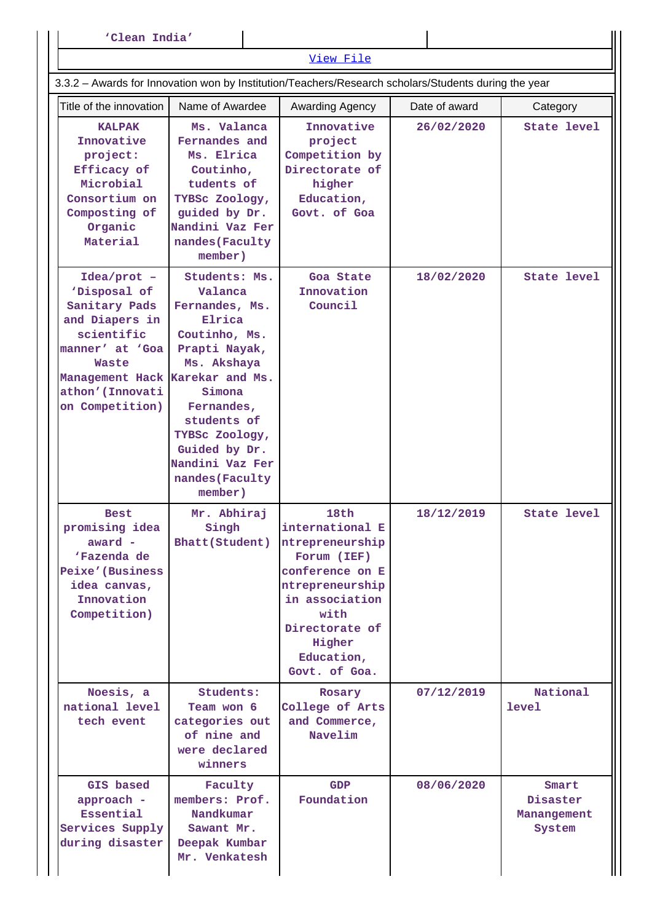| 'Clean India'                                                                                                                                                                        |                                                                                                                                                                                                                                  |                                                                                                                                                                                      |            |                                            |  |  |  |  |  |  |
|--------------------------------------------------------------------------------------------------------------------------------------------------------------------------------------|----------------------------------------------------------------------------------------------------------------------------------------------------------------------------------------------------------------------------------|--------------------------------------------------------------------------------------------------------------------------------------------------------------------------------------|------------|--------------------------------------------|--|--|--|--|--|--|
|                                                                                                                                                                                      |                                                                                                                                                                                                                                  | View File                                                                                                                                                                            |            |                                            |  |  |  |  |  |  |
| 3.3.2 - Awards for Innovation won by Institution/Teachers/Research scholars/Students during the year                                                                                 |                                                                                                                                                                                                                                  |                                                                                                                                                                                      |            |                                            |  |  |  |  |  |  |
| Title of the innovation                                                                                                                                                              | Name of Awardee<br>Date of award<br>Awarding Agency<br>Category                                                                                                                                                                  |                                                                                                                                                                                      |            |                                            |  |  |  |  |  |  |
| <b>KALPAK</b><br>Innovative<br>project:<br><b>Efficacy</b> of<br>Microbial<br>Consortium on<br>Composting of<br>Organic<br>Material                                                  | Ms. Valanca<br>Fernandes and<br>Ms. Elrica<br>Coutinho,<br>tudents of<br>TYBSc Zoology,<br>guided by Dr.<br>Nandini Vaz Fer<br>nandes (Faculty<br>member)                                                                        | Innovative<br>project<br>Competition by<br>Directorate of<br>higher<br>Education,<br>Govt. of Goa                                                                                    | 26/02/2020 | State level                                |  |  |  |  |  |  |
| $Idea/prot$ -<br>'Disposal of<br>Sanitary Pads<br>and Diapers in<br>scientific<br>manner' at 'Goa<br>Waste<br>Management Hack Karekar and Ms.<br>athon' (Innovati<br>on Competition) | Students: Ms.<br>Valanca<br>Fernandes, Ms.<br>Elrica<br>Coutinho, Ms.<br>Prapti Nayak,<br>Ms. Akshaya<br>Simona<br>Fernandes,<br>students of<br>TYBSc Zoology,<br>Guided by Dr.<br>Nandini Vaz Fer<br>nandes (Faculty<br>member) | Goa State<br>Innovation<br>Council                                                                                                                                                   | 18/02/2020 | <b>State level</b>                         |  |  |  |  |  |  |
| <b>Best</b><br>promising idea<br>award -<br>'Fazenda de<br>Peixe' (Business<br>idea canvas,<br>Innovation<br>Competition)                                                            | Mr. Abhiraj<br>Singh<br>Bhatt (Student)                                                                                                                                                                                          | 18th<br>international E<br>ntrepreneurship<br>Forum (IEF)<br>conference on E<br>ntrepreneurship<br>in association<br>with<br>Directorate of<br>Higher<br>Education,<br>Govt. of Goa. | 18/12/2019 | State level                                |  |  |  |  |  |  |
| Noesis, a<br>national level<br>tech event                                                                                                                                            | Students:<br>Team won 6<br>categories out<br>of nine and<br>were declared<br>winners                                                                                                                                             | Rosary<br>College of Arts<br>and Commerce,<br>Navelim                                                                                                                                | 07/12/2019 | National<br>level                          |  |  |  |  |  |  |
| GIS based<br>approach -<br>Essential<br>Services Supply<br>during disaster                                                                                                           | Faculty<br>members: Prof.<br>Nandkumar<br>Sawant Mr.<br>Deepak Kumbar<br>Mr. Venkatesh                                                                                                                                           | <b>GDP</b><br>Foundation                                                                                                                                                             | 08/06/2020 | Smart<br>Disaster<br>Manangement<br>System |  |  |  |  |  |  |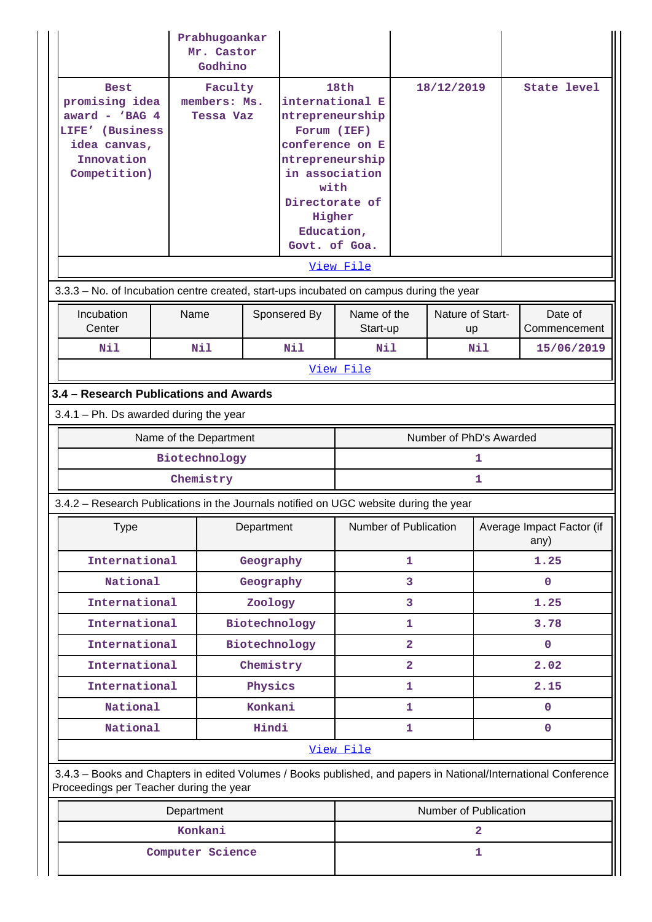|                                                                                                                                                            | Prabhugoankar<br>Mr. Castor<br>Godhino   |                                             |              |                                                                                                                                                                                      |                |                         |                                   |                         |
|------------------------------------------------------------------------------------------------------------------------------------------------------------|------------------------------------------|---------------------------------------------|--------------|--------------------------------------------------------------------------------------------------------------------------------------------------------------------------------------|----------------|-------------------------|-----------------------------------|-------------------------|
| <b>Best</b><br>promising idea<br>award - $VBAG$ 4<br>LIFE' (Business<br>idea canvas,<br>Innovation<br>Competition)                                         |                                          | Faculty<br>members: Ms.<br><b>Tessa Vaz</b> |              | 18th<br>international E<br>ntrepreneurship<br>Forum (IEF)<br>conference on E<br>ntrepreneurship<br>in association<br>with<br>Directorate of<br>Higher<br>Education,<br>Govt. of Goa. |                | 18/12/2019              |                                   | State level             |
|                                                                                                                                                            |                                          |                                             |              | View File                                                                                                                                                                            |                |                         |                                   |                         |
| 3.3.3 - No. of Incubation centre created, start-ups incubated on campus during the year                                                                    |                                          |                                             |              |                                                                                                                                                                                      |                |                         |                                   |                         |
| Incubation<br>Center                                                                                                                                       | Name                                     |                                             | Sponsered By | Name of the<br>Start-up                                                                                                                                                              |                | Nature of Start-<br>up  |                                   | Date of<br>Commencement |
| Nil                                                                                                                                                        | Nil                                      |                                             | N11          | Nil                                                                                                                                                                                  |                |                         | Nil                               | 15/06/2019              |
|                                                                                                                                                            |                                          |                                             |              | View File                                                                                                                                                                            |                |                         |                                   |                         |
| 3.4 - Research Publications and Awards                                                                                                                     |                                          |                                             |              |                                                                                                                                                                                      |                |                         |                                   |                         |
|                                                                                                                                                            | $3.4.1$ – Ph. Ds awarded during the year |                                             |              |                                                                                                                                                                                      |                |                         |                                   |                         |
|                                                                                                                                                            | Name of the Department                   |                                             |              |                                                                                                                                                                                      |                | Number of PhD's Awarded |                                   |                         |
|                                                                                                                                                            | Biotechnology                            |                                             |              |                                                                                                                                                                                      |                |                         | 1                                 |                         |
|                                                                                                                                                            | Chemistry                                |                                             |              |                                                                                                                                                                                      |                |                         | 1                                 |                         |
| 3.4.2 - Research Publications in the Journals notified on UGC website during the year                                                                      |                                          |                                             |              |                                                                                                                                                                                      |                |                         |                                   |                         |
| <b>Type</b>                                                                                                                                                |                                          | Department                                  |              | Number of Publication                                                                                                                                                                |                |                         | Average Impact Factor (if<br>any) |                         |
| International                                                                                                                                              |                                          | Geography                                   |              | 1                                                                                                                                                                                    |                | 1.25                    |                                   |                         |
| National                                                                                                                                                   |                                          | Geography                                   |              | 3                                                                                                                                                                                    |                | 0                       |                                   |                         |
| International                                                                                                                                              |                                          | Zoology                                     |              | 3                                                                                                                                                                                    |                | 1.25                    |                                   |                         |
| International                                                                                                                                              |                                          | Biotechnology                               |              | 1                                                                                                                                                                                    |                |                         | 3.78                              |                         |
| International                                                                                                                                              |                                          | Biotechnology                               |              |                                                                                                                                                                                      | $\mathbf{2}$   |                         | $\mathbf{0}$                      |                         |
| International                                                                                                                                              |                                          | Chemistry                                   |              |                                                                                                                                                                                      | $\overline{2}$ |                         |                                   | 2.02                    |
| International                                                                                                                                              |                                          | Physics                                     |              |                                                                                                                                                                                      | 1              |                         |                                   | 2.15                    |
| National                                                                                                                                                   |                                          | Konkani                                     |              | 1                                                                                                                                                                                    |                |                         | 0                                 |                         |
| National                                                                                                                                                   |                                          | Hindi                                       |              |                                                                                                                                                                                      | 1              |                         |                                   | $\mathbf 0$             |
|                                                                                                                                                            |                                          |                                             |              | View File                                                                                                                                                                            |                |                         |                                   |                         |
| 3.4.3 - Books and Chapters in edited Volumes / Books published, and papers in National/International Conference<br>Proceedings per Teacher during the year |                                          |                                             |              |                                                                                                                                                                                      |                |                         |                                   |                         |
|                                                                                                                                                            | Department                               |                                             |              |                                                                                                                                                                                      |                | Number of Publication   |                                   |                         |
|                                                                                                                                                            | Konkani                                  |                                             |              |                                                                                                                                                                                      |                |                         | 2                                 |                         |
| Computer Science                                                                                                                                           |                                          |                                             | 1            |                                                                                                                                                                                      |                |                         |                                   |                         |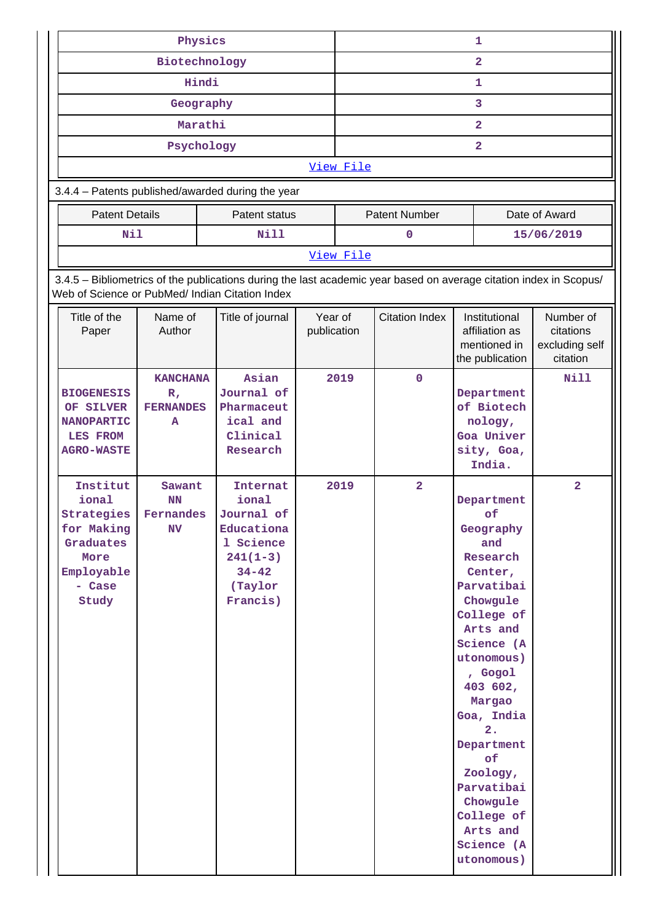| Physics                                                                                                                                                               |                                                     |                                                                                                                      | 1                      |                         |                       |  |                                                                                                                                                                                                                                                                                                                  |                                                      |
|-----------------------------------------------------------------------------------------------------------------------------------------------------------------------|-----------------------------------------------------|----------------------------------------------------------------------------------------------------------------------|------------------------|-------------------------|-----------------------|--|------------------------------------------------------------------------------------------------------------------------------------------------------------------------------------------------------------------------------------------------------------------------------------------------------------------|------------------------------------------------------|
|                                                                                                                                                                       | Biotechnology                                       |                                                                                                                      |                        | $\overline{\mathbf{2}}$ |                       |  |                                                                                                                                                                                                                                                                                                                  |                                                      |
|                                                                                                                                                                       | Hindi                                               |                                                                                                                      |                        | 1                       |                       |  |                                                                                                                                                                                                                                                                                                                  |                                                      |
|                                                                                                                                                                       | Geography                                           |                                                                                                                      |                        |                         |                       |  | 3                                                                                                                                                                                                                                                                                                                |                                                      |
|                                                                                                                                                                       | Marathi                                             |                                                                                                                      |                        |                         |                       |  | $\overline{\mathbf{2}}$                                                                                                                                                                                                                                                                                          |                                                      |
|                                                                                                                                                                       | Psychology                                          |                                                                                                                      |                        |                         |                       |  | $\overline{2}$                                                                                                                                                                                                                                                                                                   |                                                      |
|                                                                                                                                                                       |                                                     |                                                                                                                      |                        | View File               |                       |  |                                                                                                                                                                                                                                                                                                                  |                                                      |
| 3.4.4 - Patents published/awarded during the year                                                                                                                     |                                                     |                                                                                                                      |                        |                         |                       |  |                                                                                                                                                                                                                                                                                                                  |                                                      |
| <b>Patent Details</b>                                                                                                                                                 |                                                     | Patent status                                                                                                        |                        |                         | <b>Patent Number</b>  |  |                                                                                                                                                                                                                                                                                                                  | Date of Award                                        |
| <b>Nil</b>                                                                                                                                                            |                                                     | <b>Nill</b>                                                                                                          |                        |                         | 0                     |  |                                                                                                                                                                                                                                                                                                                  | 15/06/2019                                           |
|                                                                                                                                                                       |                                                     |                                                                                                                      |                        | View File               |                       |  |                                                                                                                                                                                                                                                                                                                  |                                                      |
| 3.4.5 - Bibliometrics of the publications during the last academic year based on average citation index in Scopus/<br>Web of Science or PubMed/ Indian Citation Index |                                                     |                                                                                                                      |                        |                         |                       |  |                                                                                                                                                                                                                                                                                                                  |                                                      |
| Title of the<br>Paper                                                                                                                                                 | Name of<br>Author                                   | Title of journal                                                                                                     | Year of<br>publication |                         | <b>Citation Index</b> |  | Institutional<br>affiliation as<br>mentioned in<br>the publication                                                                                                                                                                                                                                               | Number of<br>citations<br>excluding self<br>citation |
| <b>BIOGENESIS</b><br>OF SILVER<br><b>NANOPARTIC</b><br><b>LES FROM</b><br><b>AGRO-WASTE</b>                                                                           | <b>KANCHANA</b><br>$R_{I}$<br><b>FERNANDES</b><br>A | Asian<br>Journal of<br>Pharmaceut<br>ical and<br>Clinical<br>Research                                                |                        | 2019                    | $\mathbf 0$           |  | Department<br>of Biotech<br>nology,<br>Goa Univer<br>sity, Goa,<br>India.                                                                                                                                                                                                                                        | Nill                                                 |
| Institut<br>ional<br>Strategies<br>for Making<br>Graduates<br>More<br>Employable<br>- Case<br>Study                                                                   | Sawant<br>NN<br>Fernandes<br>N <sub>V</sub>         | <b>Internat</b><br>ional<br>Journal of<br>Educationa<br>1 Science<br>$241(1-3)$<br>$34 - 42$<br>(Taylor)<br>Francis) |                        | 2019                    | $\overline{2}$        |  | Department<br>of<br>Geography<br>and<br>Research<br>Center,<br>Parvatibai<br>Chowgule<br>College of<br>Arts and<br>Science (A<br>utonomous)<br>, Gogol<br>403 602,<br>Margao<br>Goa, India<br>2.<br>Department<br>of<br>Zoology,<br>Parvatibai<br>Chowgule<br>College of<br>Arts and<br>Science (A<br>utonomous) | $\overline{\mathbf{2}}$                              |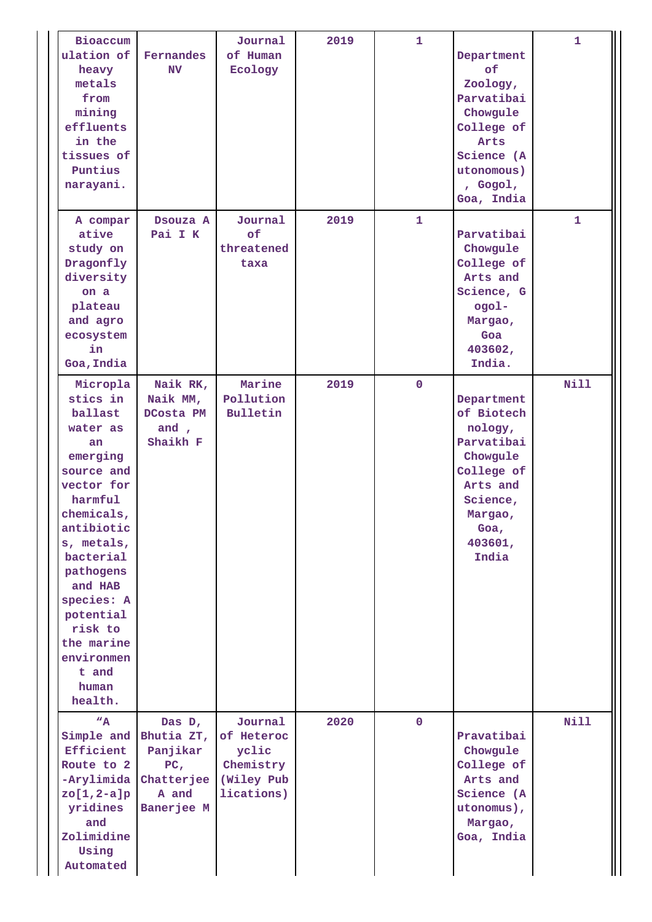| Bioaccum<br>ulation of<br>heavy<br>metals<br>from<br>mining<br>effluents<br>in the<br>tissues of<br>Puntius<br>narayani.                                                                                                                                                           | Fernandes<br>N <sub>V</sub>                                                                         | Journal<br>of Human<br>Ecology                                          | 2019 | $\mathbf{1}$ | Department<br>of.<br>Zoology,<br>Parvatibai<br>Chowgule<br>College of<br>Arts<br>Science (A<br>utonomous)<br>, Gogol,<br>Goa, India        | $\mathbf{1}$ |
|------------------------------------------------------------------------------------------------------------------------------------------------------------------------------------------------------------------------------------------------------------------------------------|-----------------------------------------------------------------------------------------------------|-------------------------------------------------------------------------|------|--------------|--------------------------------------------------------------------------------------------------------------------------------------------|--------------|
| A compar<br>ative<br>study on<br>Dragonfly<br>diversity<br>on a<br>plateau<br>and agro<br>ecosystem<br>in<br>Goa, India                                                                                                                                                            | Dsouza A<br>Pai I K                                                                                 | Journal<br>of<br>threatened<br>taxa                                     | 2019 | $\mathbf{1}$ | Parvatibai<br>Chowgule<br>College of<br>Arts and<br>Science, G<br>-logo<br>Margao,<br>Goa<br>403602,<br>India.                             | 1            |
| Micropla<br>stics in<br>ballast<br>water as<br>an<br>emerging<br>source and<br>vector for<br>harmful<br>chemicals,<br>antibiotic<br>s, metals,<br>bacterial<br>pathogens<br>and HAB<br>species: A<br>potential<br>risk to<br>the marine<br>environmen<br>t and<br>human<br>health. | Naik RK,<br>Naik MM,<br>DCosta PM<br>and $\prime$<br>Shaikh F                                       | Marine<br>Pollution<br>Bulletin                                         | 2019 | $\mathbf{0}$ | Department<br>of Biotech<br>nology,<br>Parvatibai<br>Chowgule<br>College of<br>Arts and<br>Science,<br>Margao,<br>Goa,<br>403601,<br>India | <b>Nill</b>  |
| $W_{A}$<br>Efficient<br>Route to 2<br>-Arylimida<br>$zo[1,2-a]p$<br>yridines<br>and<br>Zolimidine<br>Using<br>Automated                                                                                                                                                            | Das D,<br>Simple and Bhutia ZT,<br>Panjikar<br>PC <sub>1</sub><br>Chatterjee<br>A and<br>Banerjee M | Journal<br>of Heteroc<br>yclic<br>Chemistry<br>(Wiley Pub<br>lications) | 2020 | $\mathbf{0}$ | Pravatibai<br>Chowgule<br>College of<br>Arts and<br>Science (A<br>utonomus),<br>Margao,<br>Goa, India                                      | <b>Nill</b>  |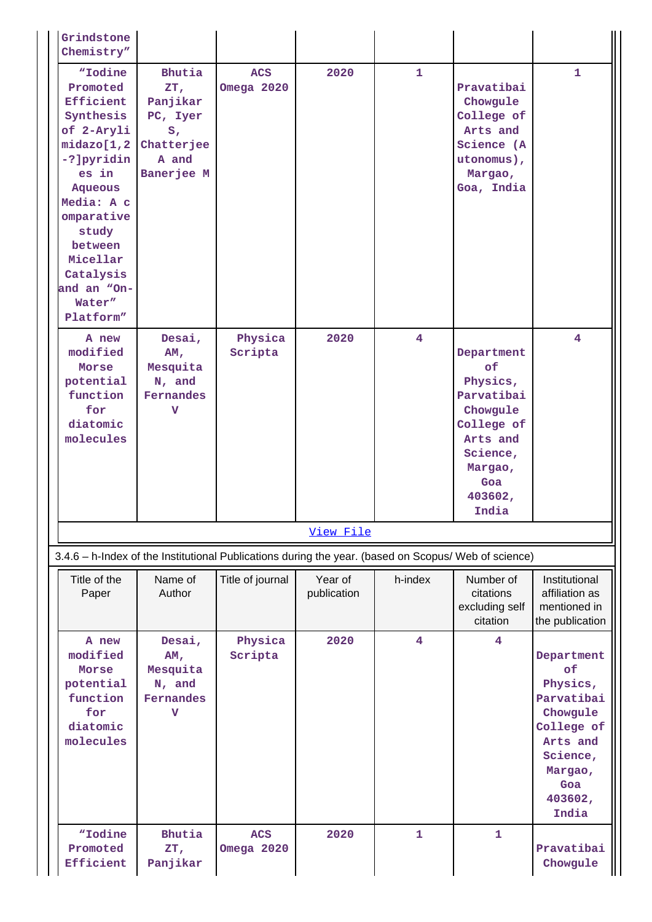| Grindstone<br>Chemistry"                                                                                                                                                                                                           |                                                                                     |                          |                        |                |                                                                                                                                    |                                                                                                                                    |
|------------------------------------------------------------------------------------------------------------------------------------------------------------------------------------------------------------------------------------|-------------------------------------------------------------------------------------|--------------------------|------------------------|----------------|------------------------------------------------------------------------------------------------------------------------------------|------------------------------------------------------------------------------------------------------------------------------------|
| "Iodine<br>Promoted<br>Efficient<br>Synthesis<br>of 2-Aryli<br>midazo[1,2]<br>-?]pyridin<br>es in<br><b>Aqueous</b><br>Media: A c<br>omparative<br>study<br>between<br>Micellar<br>Catalysis<br>and an "On-<br>Water"<br>Platform" | Bhutia<br>ZT,<br>Panjikar<br>PC, Iyer<br>$S_I$<br>Chatterjee<br>A and<br>Banerjee M | <b>ACS</b><br>Omega 2020 | 2020                   | $\mathbf{1}$   | Pravatibai<br>Chowgule<br>College of<br>Arts and<br>Science (A<br>utonomus),<br>Margao,<br>Goa, India                              | 1.                                                                                                                                 |
| A new<br>modified<br>Morse<br>potential<br>function<br>for<br>diatomic<br>molecules                                                                                                                                                | Desai,<br>AM <sub>r</sub><br>Mesquita<br>N, and<br>Fernandes<br>v                   | Physica<br>Scripta       | 2020                   | 4              | Department<br>of<br>Physics,<br>Parvatibai<br>Chowgule<br>College of<br>Arts and<br>Science,<br>Margao,<br>Goa<br>403602,<br>India | 4                                                                                                                                  |
|                                                                                                                                                                                                                                    |                                                                                     |                          | View File              |                |                                                                                                                                    |                                                                                                                                    |
| 3.4.6 - h-Index of the Institutional Publications during the year. (based on Scopus/ Web of science)                                                                                                                               |                                                                                     |                          |                        |                |                                                                                                                                    |                                                                                                                                    |
| Title of the<br>Paper                                                                                                                                                                                                              | Name of<br>Author                                                                   | Title of journal         | Year of<br>publication | h-index        | Number of<br>citations<br>excluding self<br>citation                                                                               | Institutional<br>affiliation as<br>mentioned in<br>the publication                                                                 |
| A new<br>modified<br>Morse<br>potential<br>function<br>for<br>diatomic<br>molecules                                                                                                                                                | Desai,<br>AM,<br>Mesquita<br>N, and<br>Fernandes<br>v                               | Physica<br>Scripta       | 2020                   | $\overline{4}$ | $\overline{\mathbf{4}}$                                                                                                            | Department<br>of<br>Physics,<br>Parvatibai<br>Chowgule<br>College of<br>Arts and<br>Science,<br>Margao,<br>Goa<br>403602,<br>India |
| "Iodine<br>Promoted<br>Efficient                                                                                                                                                                                                   | Bhutia<br>ZT,<br>Panjikar                                                           | <b>ACS</b><br>Omega 2020 | 2020                   | $\mathbf{1}$   | $\mathbf{1}$                                                                                                                       | Pravatibai<br>Chowgule                                                                                                             |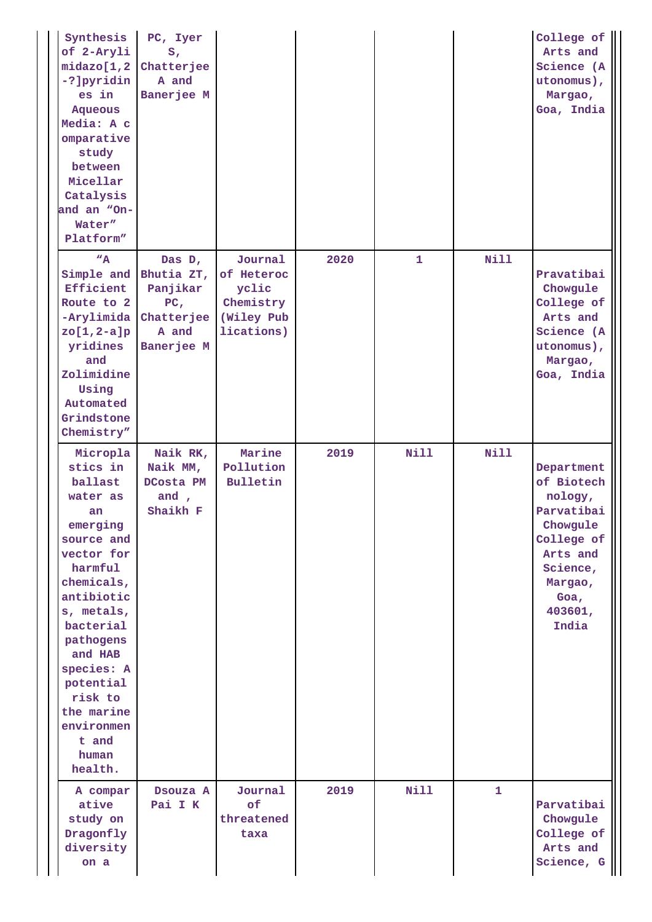| Synthesis<br>of 2-Aryli<br>midazo[1,2]<br>-?]pyridin<br>es in<br><b>Aqueous</b><br>Media: A c<br>omparative<br>study<br>between<br>Micellar<br>Catalysis<br>and an "On-<br>Water"<br>Platform"                                                                                     | PC, Iyer<br>$S_{I}$<br>Chatterjee<br>A and<br>Banerjee M                                 |                                                                         |      |             |              | College of<br>Arts and<br>Science (A<br>utonomus),<br>Margao,<br>Goa, India                                                                |
|------------------------------------------------------------------------------------------------------------------------------------------------------------------------------------------------------------------------------------------------------------------------------------|------------------------------------------------------------------------------------------|-------------------------------------------------------------------------|------|-------------|--------------|--------------------------------------------------------------------------------------------------------------------------------------------|
| "A"<br>Simple and<br>Efficient<br>Route to 2<br>-Arylimida<br>$zo[1,2-a]p$<br>yridines<br>and<br>Zolimidine<br>Using<br>Automated<br>Grindstone<br>Chemistry"                                                                                                                      | Das D,<br>Bhutia ZT,<br>Panjikar<br>PC <sub>r</sub><br>Chatterjee<br>A and<br>Banerjee M | Journal<br>of Heteroc<br>yclic<br>Chemistry<br>(Wiley Pub<br>lications) | 2020 | 1           | Nill         | Pravatibai<br>Chowgule<br>College of<br>Arts and<br>Science (A<br>utonomus),<br>Margao,<br>Goa, India                                      |
| Micropla<br>stics in<br>ballast<br>water as<br>an<br>emerging<br>source and<br>vector for<br>harmful<br>chemicals,<br>antibiotic<br>s, metals,<br>bacterial<br>pathogens<br>and HAB<br>species: A<br>potential<br>risk to<br>the marine<br>environmen<br>t and<br>human<br>health. | Naik RK,<br>Naik MM,<br>DCosta PM<br>and,<br>Shaikh F                                    | Marine<br>Pollution<br>Bulletin                                         | 2019 | <b>Nill</b> | <b>Nill</b>  | Department<br>of Biotech<br>nology,<br>Parvatibai<br>Chowgule<br>College of<br>Arts and<br>Science,<br>Margao,<br>Goa,<br>403601,<br>India |
| A compar<br>ative<br>study on<br>Dragonfly<br>diversity<br>on a                                                                                                                                                                                                                    | Dsouza A<br>Pai I K                                                                      | Journal<br>of<br>threatened<br>taxa                                     | 2019 | <b>Nill</b> | $\mathbf{1}$ | Parvatibai<br>Chowgule<br>College of<br>Arts and<br>Science, G                                                                             |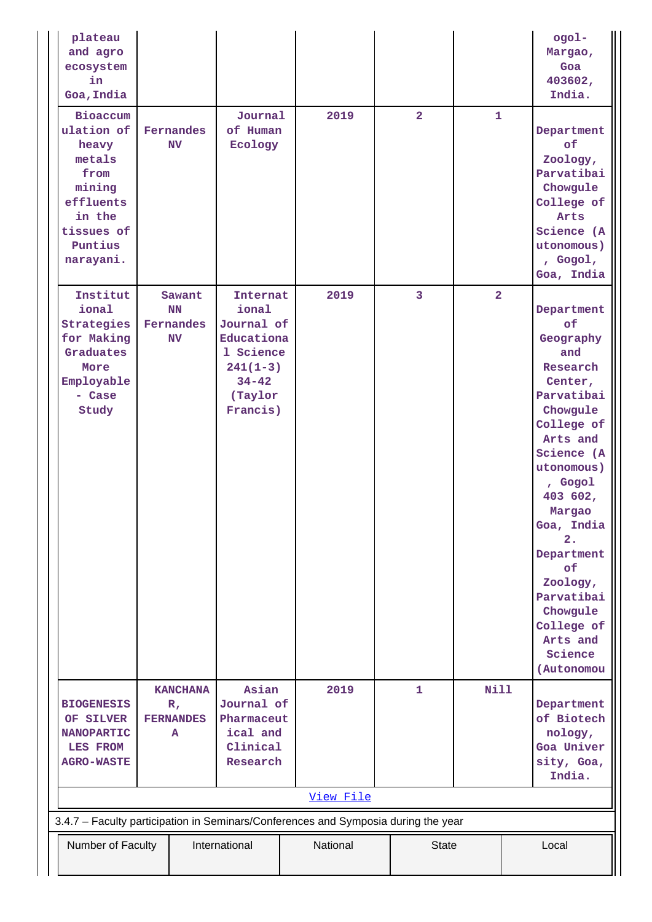| plateau<br>and agro<br>ecosystem<br>in<br>Goa, India                                                                                                          |  |                                                              |                                                                                                              |  |           |  |                         |                |  | ogol-<br>Margao,<br>Goa<br>403602,<br>India.                                                                                                                                                                                                                                                                  |
|---------------------------------------------------------------------------------------------------------------------------------------------------------------|--|--------------------------------------------------------------|--------------------------------------------------------------------------------------------------------------|--|-----------|--|-------------------------|----------------|--|---------------------------------------------------------------------------------------------------------------------------------------------------------------------------------------------------------------------------------------------------------------------------------------------------------------|
| Bioaccum<br>ulation of<br>heavy<br>metals<br>from<br>mining<br>effluents<br>in the<br>tissues of<br>Puntius<br>narayani.                                      |  | Fernandes<br><b>NV</b>                                       | Journal<br>of Human<br>Ecology                                                                               |  | 2019      |  | $\overline{2}$          | $\mathbf{1}$   |  | Department<br><b>of</b><br>Zoology,<br>Parvatibai<br>Chowgule<br>College of<br>Arts<br>Science (A<br>utonomous)<br>, Gogol,<br>Goa, India                                                                                                                                                                     |
| Institut<br>ional<br>Strategies<br>for Making<br>Graduates<br>More<br>Employable<br>- Case<br>Study                                                           |  | Sawant<br>NN<br>Fernandes<br><b>NV</b>                       | Internat<br>ional<br>Journal of<br>Educationa<br>1 Science<br>$241(1-3)$<br>$34 - 42$<br>(Taylor<br>Francis) |  | 2019      |  | $\overline{\mathbf{3}}$ | $\overline{2}$ |  | Department<br>of<br>Geography<br>and<br>Research<br>Center,<br>Parvatibai<br>Chowgule<br>College of<br>Arts and<br>Science (A<br>utonomous)<br>, Gogol<br>403 602,<br>Margao<br>Goa, India<br>2.<br>Department<br>of<br>Zoology,<br>Parvatibai<br>Chowgule<br>College of<br>Arts and<br>Science<br>(Autonomou |
| <b>BIOGENESIS</b><br>OF SILVER<br><b>NANOPARTIC</b><br><b>LES FROM</b><br><b>AGRO-WASTE</b>                                                                   |  | <b>KANCHANA</b><br>$\mathbf{R}_{I}$<br><b>FERNANDES</b><br>A | Asian<br>Journal of<br>Pharmaceut<br>ical and<br>Clinical<br>Research                                        |  | 2019      |  | $\mathbf{1}$            | Nill           |  | Department<br>of Biotech<br>nology,<br>Goa Univer<br>sity, Goa,<br>India.                                                                                                                                                                                                                                     |
|                                                                                                                                                               |  |                                                              |                                                                                                              |  | View File |  |                         |                |  |                                                                                                                                                                                                                                                                                                               |
|                                                                                                                                                               |  |                                                              |                                                                                                              |  |           |  |                         |                |  |                                                                                                                                                                                                                                                                                                               |
| 3.4.7 - Faculty participation in Seminars/Conferences and Symposia during the year<br>Number of Faculty<br>International<br>National<br><b>State</b><br>Local |  |                                                              |                                                                                                              |  |           |  |                         |                |  |                                                                                                                                                                                                                                                                                                               |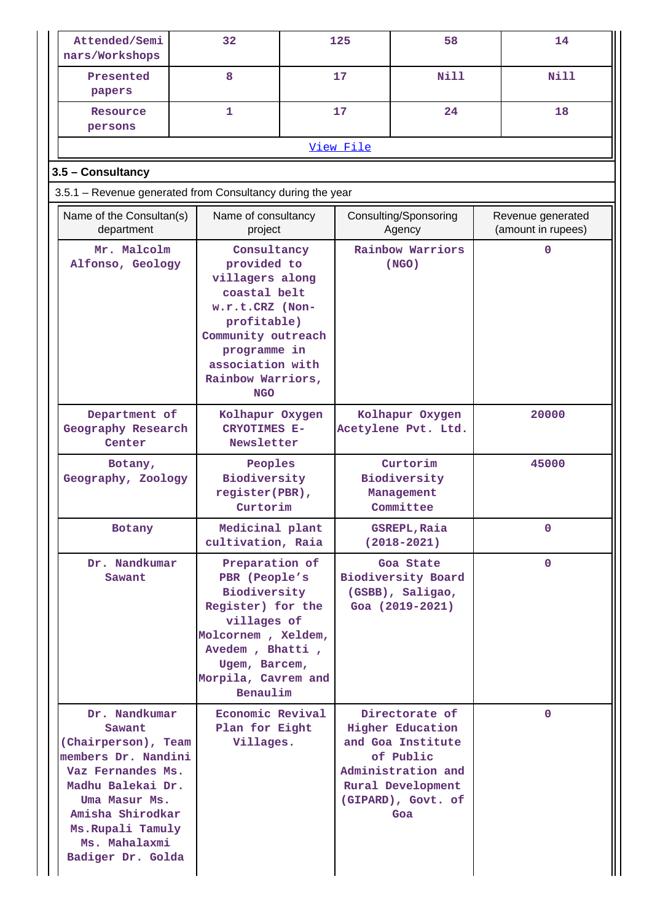| Attended/Semi<br>nars/Workshops                                                                                                                                                                                 | 32                                                                                                                                                                                           |  | 125                                                                           | 58                                                                                                                                                  |                                         | 14           |
|-----------------------------------------------------------------------------------------------------------------------------------------------------------------------------------------------------------------|----------------------------------------------------------------------------------------------------------------------------------------------------------------------------------------------|--|-------------------------------------------------------------------------------|-----------------------------------------------------------------------------------------------------------------------------------------------------|-----------------------------------------|--------------|
| Presented<br>papers                                                                                                                                                                                             | 8                                                                                                                                                                                            |  | 17                                                                            | Nill                                                                                                                                                |                                         | N111         |
| Resource<br>persons                                                                                                                                                                                             | 1                                                                                                                                                                                            |  | 17                                                                            | 24                                                                                                                                                  |                                         | 18           |
|                                                                                                                                                                                                                 |                                                                                                                                                                                              |  | View File                                                                     |                                                                                                                                                     |                                         |              |
| 3.5 - Consultancy                                                                                                                                                                                               |                                                                                                                                                                                              |  |                                                                               |                                                                                                                                                     |                                         |              |
| 3.5.1 - Revenue generated from Consultancy during the year                                                                                                                                                      |                                                                                                                                                                                              |  |                                                                               |                                                                                                                                                     |                                         |              |
| Name of the Consultan(s)<br>department                                                                                                                                                                          | Name of consultancy<br>project                                                                                                                                                               |  |                                                                               | Consulting/Sponsoring<br>Agency                                                                                                                     | Revenue generated<br>(amount in rupees) |              |
| Mr. Malcolm<br>Alfonso, Geology                                                                                                                                                                                 | Consultancy<br>provided to<br>villagers along<br>coastal belt<br>w.r.t.CRZ (Non-<br>profitable)<br>Community outreach<br>programme in<br>association with<br>Rainbow Warriors,<br><b>NGO</b> |  |                                                                               | Rainbow Warriors<br>(NGO)                                                                                                                           |                                         | 0            |
| Department of<br>Geography Research<br>Center                                                                                                                                                                   | Kolhapur Oxygen<br><b>CRYOTIMES E-</b><br>Newsletter                                                                                                                                         |  | Kolhapur Oxygen<br>Acetylene Pvt. Ltd.                                        |                                                                                                                                                     | 20000                                   |              |
| Botany,<br>Geography, Zoology                                                                                                                                                                                   | Peoples<br>Biodiversity<br>register(PBR),<br>Curtorim                                                                                                                                        |  | Curtorim<br>Biodiversity<br>Management<br>Committee                           |                                                                                                                                                     |                                         | 45000        |
| Botany                                                                                                                                                                                                          | Medicinal plant<br>cultivation, Raia                                                                                                                                                         |  | GSREPL, Raia<br>$(2018 - 2021)$                                               |                                                                                                                                                     |                                         | 0            |
| Dr. Nandkumar<br>Sawant                                                                                                                                                                                         | Preparation of<br>PBR (People's<br>Biodiversity<br>Register) for the<br>villages of<br>Molcornem, Xeldem,<br>Avedem, Bhatti,<br>Ugem, Barcem,<br>Morpila, Cavrem and<br>Benaulim             |  | Goa State<br><b>Biodiversity Board</b><br>(GSBB), Saligao,<br>Goa (2019-2021) |                                                                                                                                                     |                                         | $\mathbf{0}$ |
| Dr. Nandkumar<br>Sawant<br>(Chairperson), Team<br>members Dr. Nandini<br>Vaz Fernandes Ms.<br>Madhu Balekai Dr.<br>Uma Masur Ms.<br>Amisha Shirodkar<br>Ms. Rupali Tamuly<br>Ms. Mahalaxmi<br>Badiger Dr. Golda | Economic Revival<br>Plan for Eight<br>Villages.                                                                                                                                              |  |                                                                               | Directorate of<br><b>Higher Education</b><br>and Goa Institute<br>of Public<br>Administration and<br>Rural Development<br>(GIPARD), Govt. of<br>Goa |                                         | $\mathbf{0}$ |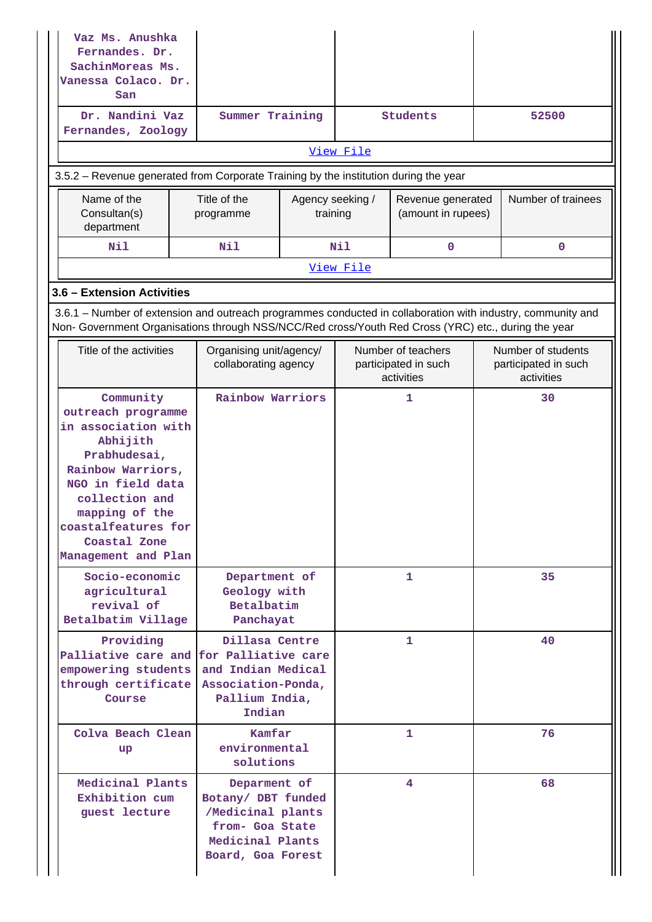| Vaz Ms. Anushka<br>Fernandes. Dr.<br>SachinMoreas Ms.<br>Vanessa Colaco. Dr.<br>San                                                                                                                                            |  |                                                                                                                                                                             |                              |                                                          |                                         |                                                          |              |
|--------------------------------------------------------------------------------------------------------------------------------------------------------------------------------------------------------------------------------|--|-----------------------------------------------------------------------------------------------------------------------------------------------------------------------------|------------------------------|----------------------------------------------------------|-----------------------------------------|----------------------------------------------------------|--------------|
| Dr. Nandini Vaz<br>Fernandes, Zoology                                                                                                                                                                                          |  | Summer Training                                                                                                                                                             |                              |                                                          | Students                                | 52500                                                    |              |
|                                                                                                                                                                                                                                |  |                                                                                                                                                                             |                              | View File                                                |                                         |                                                          |              |
| 3.5.2 – Revenue generated from Corporate Training by the institution during the year                                                                                                                                           |  |                                                                                                                                                                             |                              |                                                          |                                         |                                                          |              |
| Name of the<br>Consultan(s)<br>department                                                                                                                                                                                      |  | Title of the<br>programme                                                                                                                                                   | Agency seeking /<br>training |                                                          | Revenue generated<br>(amount in rupees) | Number of trainees                                       |              |
| Nil                                                                                                                                                                                                                            |  | Nil                                                                                                                                                                         |                              | Nil                                                      | $\mathbf 0$                             |                                                          | $\mathbf{0}$ |
|                                                                                                                                                                                                                                |  |                                                                                                                                                                             |                              | View File                                                |                                         |                                                          |              |
| 3.6 - Extension Activities                                                                                                                                                                                                     |  |                                                                                                                                                                             |                              |                                                          |                                         |                                                          |              |
| 3.6.1 – Number of extension and outreach programmes conducted in collaboration with industry, community and<br>Non- Government Organisations through NSS/NCC/Red cross/Youth Red Cross (YRC) etc., during the year             |  |                                                                                                                                                                             |                              |                                                          |                                         |                                                          |              |
| Title of the activities                                                                                                                                                                                                        |  | Organising unit/agency/<br>collaborating agency                                                                                                                             |                              | Number of teachers<br>participated in such<br>activities |                                         | Number of students<br>participated in such<br>activities |              |
| Community<br>outreach programme<br>in association with<br>Abhijith<br>Prabhudesai,<br>Rainbow Warriors,<br>NGO in field data<br>collection and<br>mapping of the<br>coastalfeatures for<br>Coastal Zone<br>Management and Plan |  | <b>Rainbow Warriors</b>                                                                                                                                                     |                              |                                                          | 1                                       |                                                          | 30           |
| Socio-economic<br>agricultural<br>revival of<br>Betalbatim Village                                                                                                                                                             |  | Department of<br>Geology with<br>Betalbatim<br>Panchayat                                                                                                                    |                              | $\mathbf{1}$                                             |                                         | 35                                                       |              |
| Providing<br>Course                                                                                                                                                                                                            |  | Dillasa Centre<br>Palliative care and for Palliative care<br>empowering students and Indian Medical<br>through certificate   Association-Ponda,<br>Pallium India,<br>Indian |                              | $\mathbf{1}$                                             |                                         | 40                                                       |              |
| Colva Beach Clean<br>up                                                                                                                                                                                                        |  | Kamfar<br>environmental<br>solutions                                                                                                                                        |                              |                                                          | 1                                       | 76                                                       |              |
| Medicinal Plants<br>Exhibition cum<br>guest lecture                                                                                                                                                                            |  | Deparment of<br>Botany/ DBT funded<br>/Medicinal plants<br>from- Goa State<br>Medicinal Plants<br>Board, Goa Forest                                                         |                              |                                                          | 4                                       |                                                          | 68           |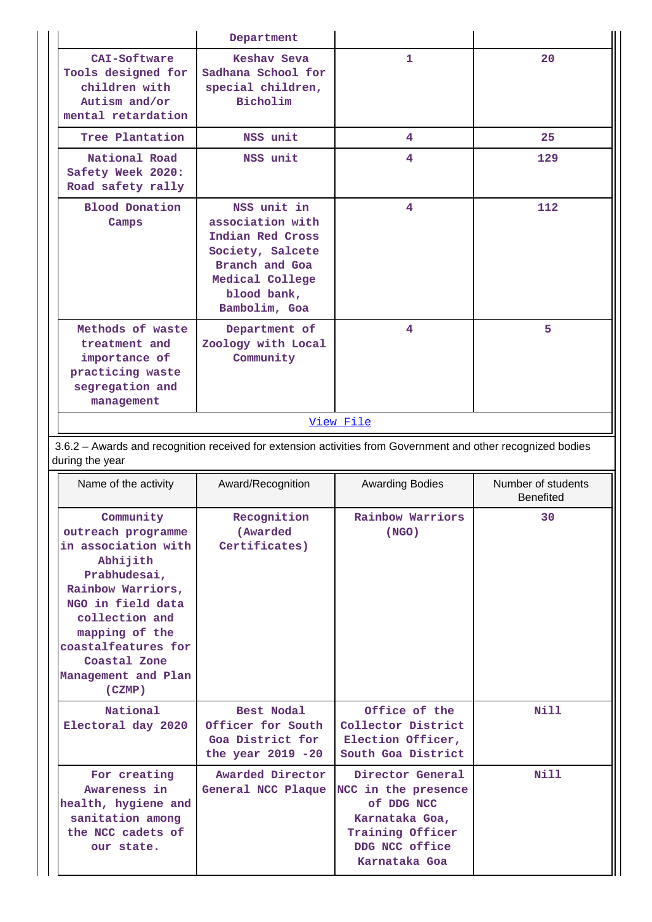|                                                                                                                                                             |                                                                                                                                                                                                                                          | Department                                                                                                                                   |                                                                                |                                        |
|-------------------------------------------------------------------------------------------------------------------------------------------------------------|------------------------------------------------------------------------------------------------------------------------------------------------------------------------------------------------------------------------------------------|----------------------------------------------------------------------------------------------------------------------------------------------|--------------------------------------------------------------------------------|----------------------------------------|
|                                                                                                                                                             | CAI-Software<br>Tools designed for<br>children with<br>Autism and/or<br>mental retardation                                                                                                                                               | Keshay Seva<br>Sadhana School for<br>special children,<br>Bicholim                                                                           | 1                                                                              | 20                                     |
|                                                                                                                                                             | Tree Plantation                                                                                                                                                                                                                          | NSS unit                                                                                                                                     | 4                                                                              | 25                                     |
|                                                                                                                                                             | National Road<br>Safety Week 2020:<br>Road safety rally                                                                                                                                                                                  | NSS unit                                                                                                                                     | 4                                                                              | 129                                    |
|                                                                                                                                                             | <b>Blood Donation</b><br>Camps                                                                                                                                                                                                           | NSS unit in<br>association with<br>Indian Red Cross<br>Society, Salcete<br>Branch and Goa<br>Medical College<br>blood bank,<br>Bambolim, Goa | 4                                                                              | 112                                    |
| Methods of waste<br>Department of<br>Zoology with Local<br>treatment and<br>importance of<br>Community<br>practicing waste<br>segregation and<br>management |                                                                                                                                                                                                                                          | 4                                                                                                                                            | 5                                                                              |                                        |
|                                                                                                                                                             |                                                                                                                                                                                                                                          |                                                                                                                                              | View File                                                                      |                                        |
|                                                                                                                                                             |                                                                                                                                                                                                                                          | 3.6.2 - Awards and recognition received for extension activities from Government and other recognized bodies                                 |                                                                                |                                        |
|                                                                                                                                                             | during the year                                                                                                                                                                                                                          |                                                                                                                                              |                                                                                |                                        |
|                                                                                                                                                             | Name of the activity                                                                                                                                                                                                                     | Award/Recognition                                                                                                                            | <b>Awarding Bodies</b>                                                         | Number of students<br><b>Benefited</b> |
|                                                                                                                                                             | Community<br>outreach programme<br>in association with<br>Abhijith<br>Prabhudesai,<br>Rainbow Warriors,<br>NGO in field data<br>collection and<br>mapping of the<br>coastalfeatures for<br>Coastal Zone<br>Management and Plan<br>(CZMP) | Recognition<br>(Awarded<br>Certificates)                                                                                                     | Rainbow Warriors<br>(NGO)                                                      | 30                                     |
|                                                                                                                                                             | National<br>Electoral day 2020                                                                                                                                                                                                           | Best Nodal<br>Officer for South<br>Goa District for<br>the year $2019 - 20$                                                                  | Office of the<br>Collector District<br>Election Officer,<br>South Goa District | Nill                                   |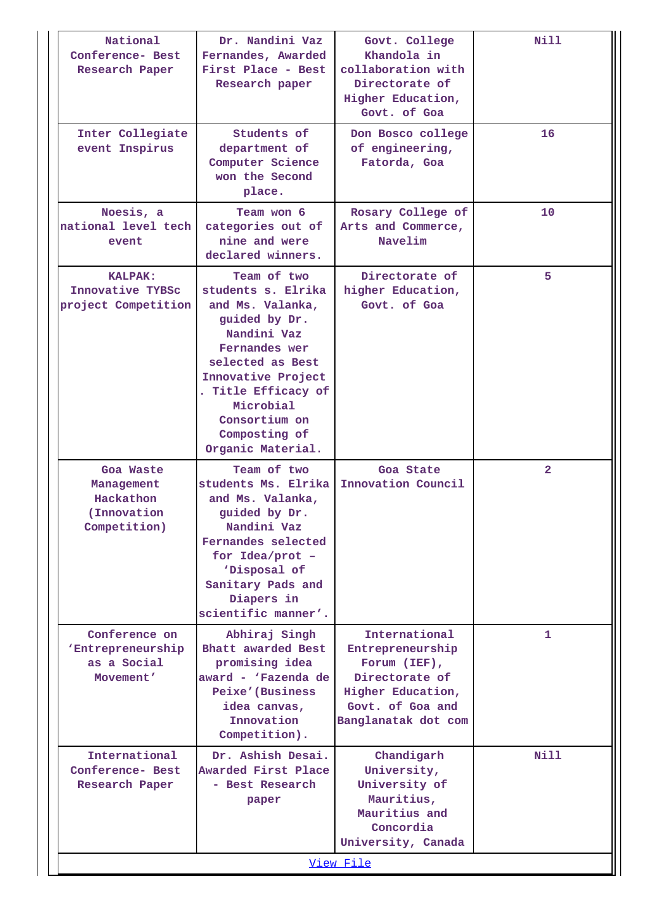| National<br>Conference- Best<br>Research Paper                       | Dr. Nandini Vaz<br>Fernandes, Awarded<br>First Place - Best<br>Research paper                                                                                                                                                               | Govt. College<br>Khandola in<br>collaboration with<br>Directorate of<br>Higher Education,<br>Govt. of Goa                              | Nill           |
|----------------------------------------------------------------------|---------------------------------------------------------------------------------------------------------------------------------------------------------------------------------------------------------------------------------------------|----------------------------------------------------------------------------------------------------------------------------------------|----------------|
| Inter Collegiate<br>event Inspirus                                   | Students of<br>department of<br>Computer Science<br>won the Second<br>place.                                                                                                                                                                | Don Bosco college<br>of engineering,<br>Fatorda, Goa                                                                                   | 16             |
| Noesis, a<br>national level tech<br>event                            | Team won 6<br>categories out of<br>nine and were<br>declared winners.                                                                                                                                                                       | Rosary College of<br>Arts and Commerce,<br>Navelim                                                                                     | 10             |
| <b>KALPAK:</b><br>Innovative TYBSc<br>project Competition            | Team of two<br>students s. Elrika<br>and Ms. Valanka,<br>guided by Dr.<br>Nandini Vaz<br>Fernandes wer<br>selected as Best<br>Innovative Project<br>. Title Efficacy of<br>Microbial<br>Consortium on<br>Composting of<br>Organic Material. | Directorate of<br>higher Education,<br>Govt. of Goa                                                                                    | 5              |
| Goa Waste<br>Management<br>Hackathon<br>(Innovation)<br>Competition) | Team of two<br>students Ms. Elrika<br>and Ms. Valanka,<br>guided by Dr.<br>Nandini Vaz<br>Fernandes selected<br>for $Idea/prot$ -<br>'Disposal of<br>Sanitary Pads and<br>Diapers in<br>scientific manner'.                                 | Goa State<br>Innovation Council                                                                                                        | $\overline{2}$ |
| Conference on<br>'Entrepreneurship<br>as a Social<br>Movement'       | Abhiraj Singh<br>Bhatt awarded Best<br>promising idea<br>award - 'Fazenda de<br>Peixe'(Business<br>idea canvas,<br>Innovation<br>Competition).                                                                                              | International<br>Entrepreneurship<br>Forum $(IEF)$ ,<br>Directorate of<br>Higher Education,<br>Govt. of Goa and<br>Banglanatak dot com | 1              |
| International<br>Conference- Best<br>Research Paper                  | Dr. Ashish Desai.<br>Awarded First Place<br>- Best Research<br>paper                                                                                                                                                                        | Chandigarh<br>University,<br>University of<br>Mauritius,<br>Mauritius and<br>Concordia<br>University, Canada<br>View File              | Nill           |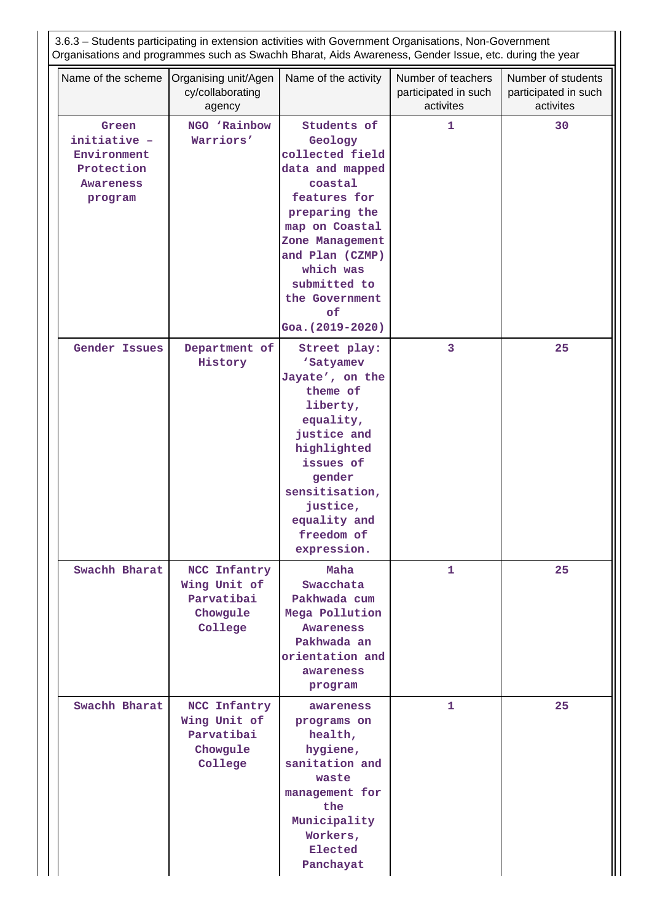| 3.6.3 - Students participating in extension activities with Government Organisations, Non-Government<br>Organisations and programmes such as Swachh Bharat, Aids Awareness, Gender Issue, etc. during the year |                                                                   |                                                                                                                                                                                                                                           |                                                         |                                                         |  |  |  |
|----------------------------------------------------------------------------------------------------------------------------------------------------------------------------------------------------------------|-------------------------------------------------------------------|-------------------------------------------------------------------------------------------------------------------------------------------------------------------------------------------------------------------------------------------|---------------------------------------------------------|---------------------------------------------------------|--|--|--|
| Name of the scheme                                                                                                                                                                                             | Organising unit/Agen<br>cy/collaborating<br>agency                | Name of the activity                                                                                                                                                                                                                      | Number of teachers<br>participated in such<br>activites | Number of students<br>participated in such<br>activites |  |  |  |
| Green<br>initiative -<br>Environment<br>Protection<br><b>Awareness</b><br>program                                                                                                                              | NGO 'Rainbow<br>Warriors'                                         | Students of<br>Geology<br>collected field<br>data and mapped<br>coastal<br>features for<br>preparing the<br>map on Coastal<br>Zone Management<br>and Plan (CZMP)<br>which was<br>submitted to<br>the Government<br>of<br>Goa. (2019-2020) | $\mathbf{1}$                                            | 30                                                      |  |  |  |
| <b>Gender Issues</b>                                                                                                                                                                                           | Department of<br>History                                          | Street play:<br>'Satyamev<br>Jayate', on the<br>theme of<br>liberty,<br>equality,<br>justice and<br>highlighted<br>issues of<br>gender<br>sensitisation,<br>justice,<br>equality and<br>freedom of<br>expression.                         | 3                                                       | 25                                                      |  |  |  |
| Swachh Bharat                                                                                                                                                                                                  | NCC Infantry<br>Wing Unit of<br>Parvatibai<br>Chowgule<br>College | Maha<br>Swacchata<br>Pakhwada cum<br>Mega Pollution<br>Awareness<br>Pakhwada an<br>orientation and<br>awareness<br>program                                                                                                                | 1                                                       | 25                                                      |  |  |  |
| Swachh Bharat                                                                                                                                                                                                  | NCC Infantry<br>Wing Unit of<br>Parvatibai<br>Chowgule<br>College | awareness<br>programs on<br>health,<br>hygiene,<br>sanitation and<br>waste<br>management for<br>the<br>Municipality<br>Workers,<br>Elected<br>Panchayat                                                                                   | $\mathbf{1}$                                            | 25                                                      |  |  |  |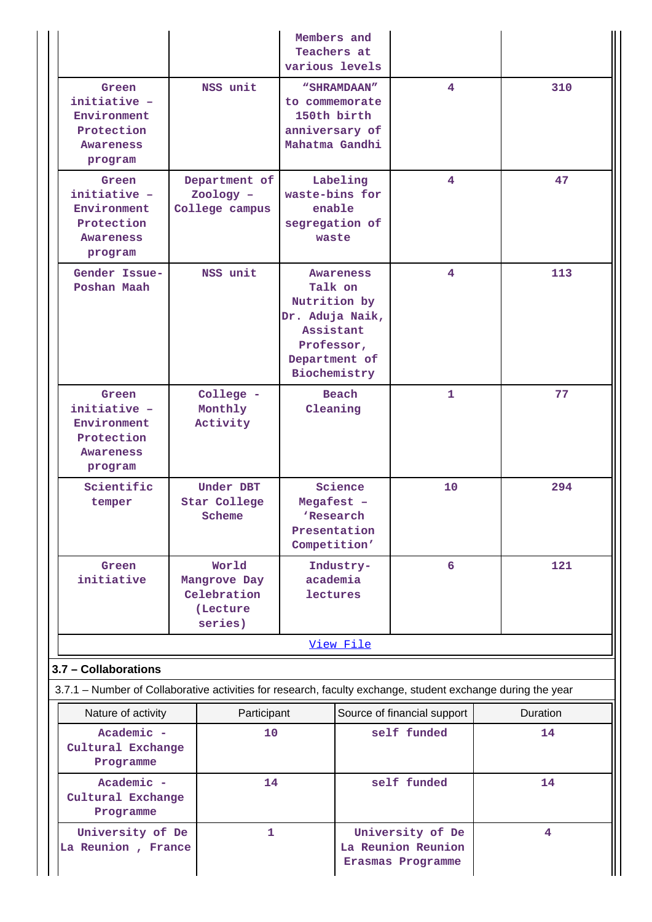|                                                                                                                                     |                                                              |                            | Members and<br>Teachers at<br>various levels                                                                        |                                                             |          |
|-------------------------------------------------------------------------------------------------------------------------------------|--------------------------------------------------------------|----------------------------|---------------------------------------------------------------------------------------------------------------------|-------------------------------------------------------------|----------|
| Green<br>initiative -<br>Environment<br>Protection<br>Awareness<br>program                                                          | NSS unit                                                     |                            | "SHRAMDAAN"<br>to commemorate<br>150th birth<br>anniversary of<br>Mahatma Gandhi                                    | 4                                                           | 310      |
| Green<br>initiative -<br>Environment<br>Protection<br><b>Awareness</b><br>program                                                   | Department of<br>Zoology -<br>College campus                 |                            | Labeling<br>waste-bins for<br>enable<br>segregation of<br>waste                                                     | 4                                                           | 47       |
| Gender Issue-<br>Poshan Maah                                                                                                        | NSS unit                                                     |                            | Awareness<br>Talk on<br>Nutrition by<br>Dr. Aduja Naik,<br>Assistant<br>Professor,<br>Department of<br>Biochemistry | 4                                                           | 113      |
| Green<br>initiative -<br>Environment<br>Protection<br>Awareness<br>program                                                          | College -<br>Monthly<br>Activity                             |                            | Beach<br>1<br>Cleaning                                                                                              |                                                             | 77       |
| Scientific<br>temper                                                                                                                | Under DBT<br>Star College<br>Scheme                          | Megafest -<br>Competition' | Science<br><b>'Research</b><br>Presentation                                                                         | 10                                                          | 294      |
| Green<br>initiative                                                                                                                 | World<br>Mangrove Day<br>Celebration<br>(Lecture)<br>series) |                            | Industry-<br>academia<br>lectures                                                                                   | 6                                                           | 121      |
|                                                                                                                                     |                                                              |                            | View File                                                                                                           |                                                             |          |
| 3.7 - Collaborations<br>3.7.1 - Number of Collaborative activities for research, faculty exchange, student exchange during the year |                                                              |                            |                                                                                                                     |                                                             |          |
| Nature of activity                                                                                                                  | Participant                                                  |                            |                                                                                                                     | Source of financial support                                 | Duration |
| Academic -<br>Cultural Exchange<br>Programme                                                                                        | 10                                                           |                            |                                                                                                                     | self funded                                                 | 14       |
| Academic -<br>Cultural Exchange<br>Programme                                                                                        | 14                                                           |                            |                                                                                                                     | self funded                                                 | 14       |
| University of De<br>La Reunion, France                                                                                              | 1                                                            |                            |                                                                                                                     | University of De<br>La Reunion Reunion<br>Erasmas Programme | 4        |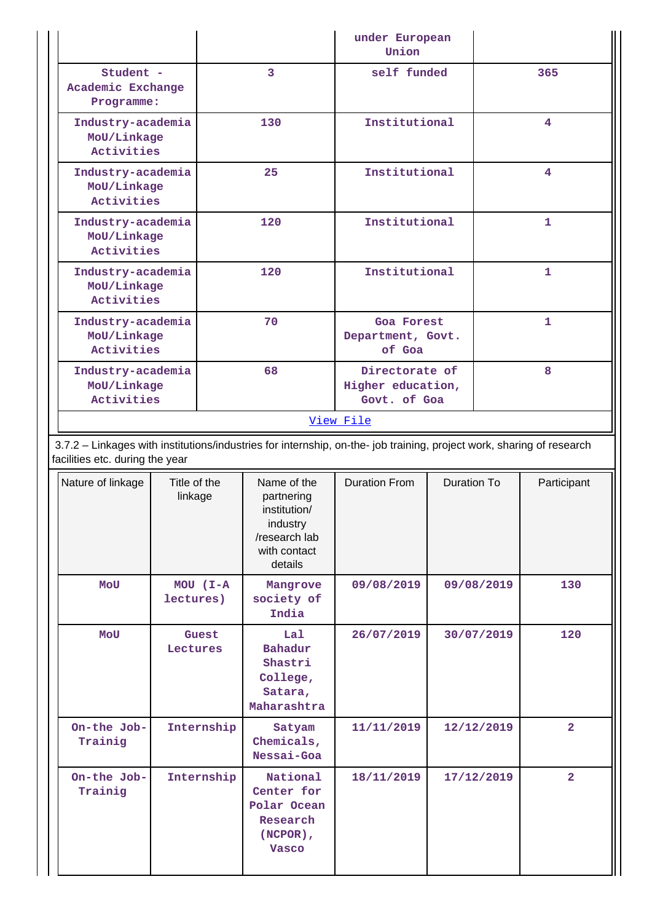|                                                       |           | under European<br>Union                             |              |  |  |  |  |
|-------------------------------------------------------|-----------|-----------------------------------------------------|--------------|--|--|--|--|
| Student -<br>Academic Exchange<br>Programme:          | 3         | self funded                                         | 365          |  |  |  |  |
| Industry-academia<br>MoU/Linkage<br>Activities        | 130       | Institutional                                       | 4            |  |  |  |  |
| Industry-academia<br>MoU/Linkage<br>Activities        | 25        | Institutional                                       | 4            |  |  |  |  |
| Industry-academia<br>MoU/Linkage<br>Activities        | 120       | Institutional                                       | $\mathbf{1}$ |  |  |  |  |
| Industry-academia<br>MoU/Linkage<br>Activities        | 120       | Institutional                                       | $\mathbf{1}$ |  |  |  |  |
| Industry-academia<br>MoU/Linkage<br><b>Activities</b> | 70        | Goa Forest<br>Department, Govt.<br>of Goa           | $\mathbf{1}$ |  |  |  |  |
| Industry-academia<br>MoU/Linkage<br>Activities        | 68        | Directorate of<br>Higher education,<br>Govt. of Goa | 8            |  |  |  |  |
|                                                       | View File |                                                     |              |  |  |  |  |

 3.7.2 – Linkages with institutions/industries for internship, on-the- job training, project work, sharing of research facilities etc. during the year

| Nature of linkage      | Title of the<br>linkage   | Name of the<br>partnering<br>institution/<br>industry<br>/research lab<br>with contact<br>details | <b>Duration From</b> | <b>Duration To</b> | Participant    |
|------------------------|---------------------------|---------------------------------------------------------------------------------------------------|----------------------|--------------------|----------------|
| <b>MOU</b>             | $MOU$ $(I-A$<br>lectures) | Mangrove<br>society of<br>India                                                                   | 09/08/2019           | 09/08/2019         | 130            |
| MOU                    | Guest<br>Lectures         | Lal<br>Bahadur<br>Shastri<br>College,<br>Satara,<br>Maharashtra                                   | 26/07/2019           | 30/07/2019         | 120            |
| On-the Job-<br>Trainig | Internship                | Satyam<br>Chemicals,<br>Nessai-Goa                                                                | 11/11/2019           | 12/12/2019         | $\overline{a}$ |
| On-the Job-<br>Trainig | Internship                | National<br>Center for<br>Polar Ocean<br>Research<br>$(NEPOR)$ ,<br><b>Vasco</b>                  | 18/11/2019           | 17/12/2019         | $\overline{2}$ |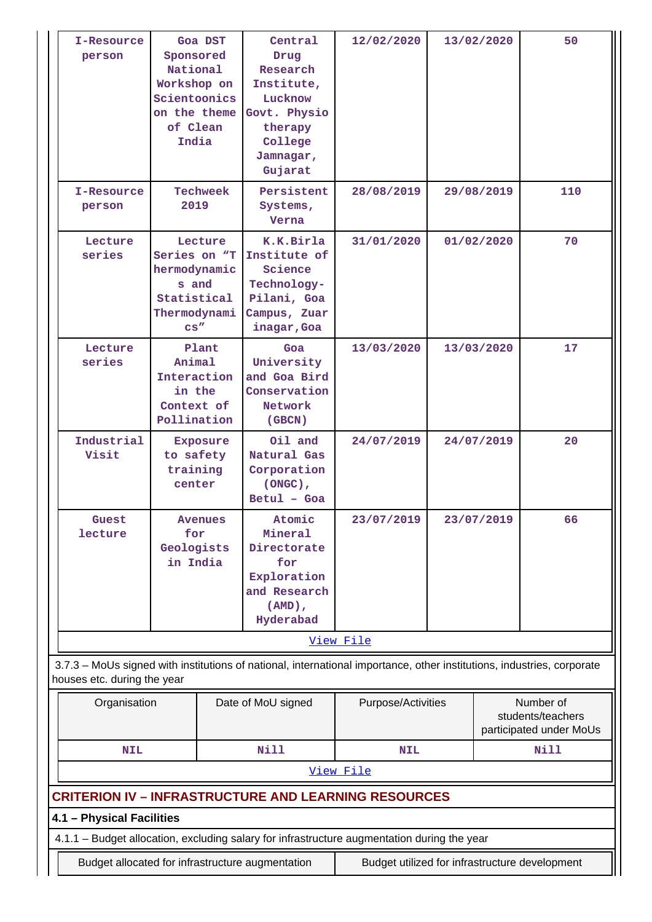| I-Resource<br>person        | Goa DST<br>Sponsored<br>National<br>Workshop on<br>Scientoonics<br>on the theme<br>of Clean<br>India                                                                                              |                 | Central<br>Drug<br>Research<br>Institute,<br>Lucknow<br>Govt. Physio<br>therapy<br>College<br>Jamnagar,<br>Gujarat | 12/02/2020                                                                                                             |  | 13/02/2020 | 50                                                        |
|-----------------------------|---------------------------------------------------------------------------------------------------------------------------------------------------------------------------------------------------|-----------------|--------------------------------------------------------------------------------------------------------------------|------------------------------------------------------------------------------------------------------------------------|--|------------|-----------------------------------------------------------|
| I-Resource<br>person        | 2019                                                                                                                                                                                              | <b>Techweek</b> | Persistent<br>Systems,<br>Verna                                                                                    | 28/08/2019                                                                                                             |  | 29/08/2019 | 110                                                       |
| Lecture<br>series           | Series on "T<br>hermodynamic<br>s and<br>Statistical<br>Thermodynami<br>CS''                                                                                                                      | Lecture         | K.K.Birla<br>Institute of<br>Science<br>Technology-<br>Pilani, Goa<br>Campus, Zuar<br>inagar, Goa                  | 31/01/2020                                                                                                             |  | 01/02/2020 | 70                                                        |
| Lecture<br>series           | Plant<br>Animal<br>Interaction<br>in the<br>Context of<br>Pollination                                                                                                                             |                 | Goa<br>University<br>and Goa Bird<br>Conservation<br>Network<br>(GBCN)                                             | 13/03/2020                                                                                                             |  | 13/03/2020 | 17                                                        |
| Industrial<br>Visit         | to safety<br>training<br>center                                                                                                                                                                   | <b>Exposure</b> | Oil and<br>Natural Gas<br>Corporation<br>$(ONGC)$ ,<br>Betul - Goa                                                 | 24/07/2019                                                                                                             |  | 24/07/2019 | 20                                                        |
| Guest<br>lecture            | for<br>Geologists<br>in India                                                                                                                                                                     | Avenues         | Atomic<br>Mineral<br>Directorate<br>for<br>Exploration<br>and Research<br>$(AMD)$ ,<br>Hyderabad                   | 23/07/2019                                                                                                             |  | 23/07/2019 | 66                                                        |
|                             |                                                                                                                                                                                                   |                 |                                                                                                                    | View File                                                                                                              |  |            |                                                           |
| houses etc. during the year |                                                                                                                                                                                                   |                 |                                                                                                                    | 3.7.3 - MoUs signed with institutions of national, international importance, other institutions, industries, corporate |  |            |                                                           |
| Organisation                |                                                                                                                                                                                                   |                 | Date of MoU signed                                                                                                 | Purpose/Activities                                                                                                     |  |            | Number of<br>students/teachers<br>participated under MoUs |
| <b>NIL</b>                  |                                                                                                                                                                                                   |                 | <b>Nill</b>                                                                                                        | <b>NIL</b>                                                                                                             |  |            | <b>Nill</b>                                               |
|                             |                                                                                                                                                                                                   |                 |                                                                                                                    | View File                                                                                                              |  |            |                                                           |
| 4.1 - Physical Facilities   |                                                                                                                                                                                                   |                 |                                                                                                                    | <b>CRITERION IV - INFRASTRUCTURE AND LEARNING RESOURCES</b>                                                            |  |            |                                                           |
|                             |                                                                                                                                                                                                   |                 |                                                                                                                    |                                                                                                                        |  |            |                                                           |
|                             | 4.1.1 - Budget allocation, excluding salary for infrastructure augmentation during the year<br>Budget allocated for infrastructure augmentation<br>Budget utilized for infrastructure development |                 |                                                                                                                    |                                                                                                                        |  |            |                                                           |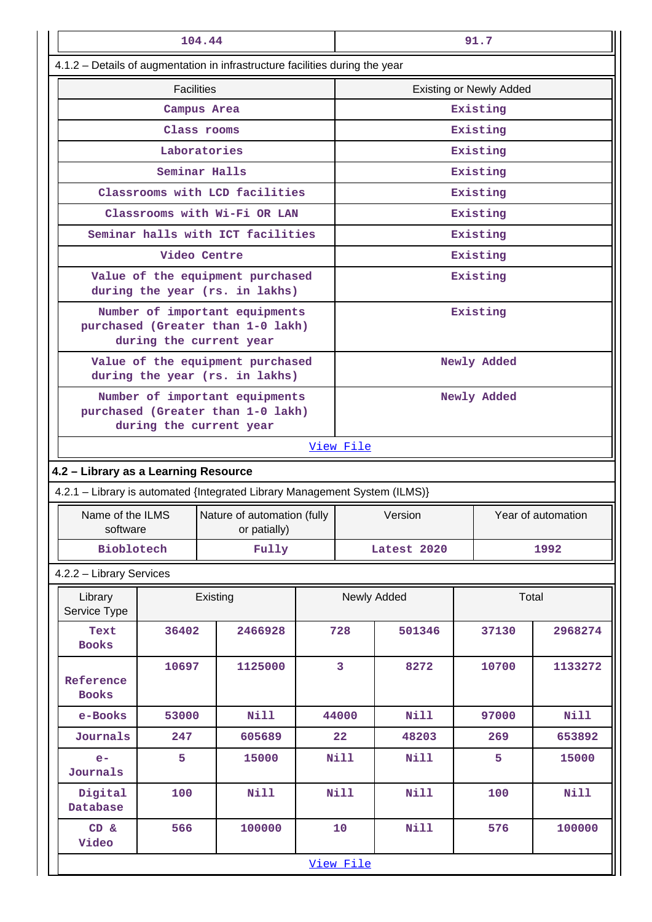| 104.44                               |       |                                                                                                |  | 91.7                           |             |             |             |
|--------------------------------------|-------|------------------------------------------------------------------------------------------------|--|--------------------------------|-------------|-------------|-------------|
|                                      |       | 4.1.2 - Details of augmentation in infrastructure facilities during the year                   |  |                                |             |             |             |
| <b>Facilities</b>                    |       |                                                                                                |  | <b>Existing or Newly Added</b> |             |             |             |
|                                      |       | Campus Area                                                                                    |  |                                |             | Existing    |             |
|                                      |       | Class rooms                                                                                    |  |                                |             | Existing    |             |
|                                      |       | Laboratories                                                                                   |  |                                |             | Existing    |             |
|                                      |       | Seminar Halls                                                                                  |  |                                |             | Existing    |             |
|                                      |       | Classrooms with LCD facilities                                                                 |  |                                |             | Existing    |             |
|                                      |       | Classrooms with Wi-Fi OR LAN                                                                   |  |                                |             | Existing    |             |
|                                      |       | Seminar halls with ICT facilities                                                              |  |                                |             | Existing    |             |
|                                      |       | Video Centre                                                                                   |  |                                |             | Existing    |             |
|                                      |       | Value of the equipment purchased<br>during the year (rs. in lakhs)                             |  |                                |             | Existing    |             |
|                                      |       | Number of important equipments<br>purchased (Greater than 1-0 lakh)<br>during the current year |  |                                |             | Existing    |             |
|                                      |       | Value of the equipment purchased                                                               |  |                                |             | Newly Added |             |
|                                      |       | during the year (rs. in lakhs)                                                                 |  |                                |             |             |             |
|                                      |       | Number of important equipments<br>purchased (Greater than 1-0 lakh)<br>during the current year |  | Newly Added                    |             |             |             |
|                                      |       |                                                                                                |  | View File                      |             |             |             |
| 4.2 - Library as a Learning Resource |       |                                                                                                |  |                                |             |             |             |
|                                      |       | 4.2.1 - Library is automated {Integrated Library Management System (ILMS)}                     |  |                                |             |             |             |
| Name of the ILMS                     |       | Nature of automation (fully                                                                    |  | Year of automation<br>Version  |             |             |             |
| software                             |       | or patially)                                                                                   |  |                                |             |             |             |
| <b>Bioblotech</b>                    |       | Fully                                                                                          |  |                                | Latest 2020 | 1992        |             |
| 4.2.2 - Library Services             |       |                                                                                                |  |                                |             |             |             |
| Library<br>Service Type              |       | Existing                                                                                       |  | Total<br>Newly Added           |             |             |             |
| Text<br><b>Books</b>                 | 36402 | 2466928                                                                                        |  | 728                            | 501346      | 37130       | 2968274     |
| Reference<br><b>Books</b>            | 10697 | 1125000                                                                                        |  | 3                              | 8272        | 10700       | 1133272     |
| e-Books                              | 53000 | <b>Nill</b>                                                                                    |  | 44000                          | Nill        | 97000       | <b>Nill</b> |
| Journals                             | 247   | 605689                                                                                         |  | 22                             | 48203       | 269         | 653892      |
| $e-$<br>Journals                     | 5     | 15000                                                                                          |  | <b>Nill</b>                    | Nill        | 5           | 15000       |
| Digital<br>Database                  | 100   | Nill                                                                                           |  | <b>Nill</b>                    | Nill        | 100         | Nill        |
| CD &<br>Video                        | 566   | 100000                                                                                         |  | 10                             | Nill        | 576         | 100000      |
|                                      |       |                                                                                                |  | View File                      |             |             |             |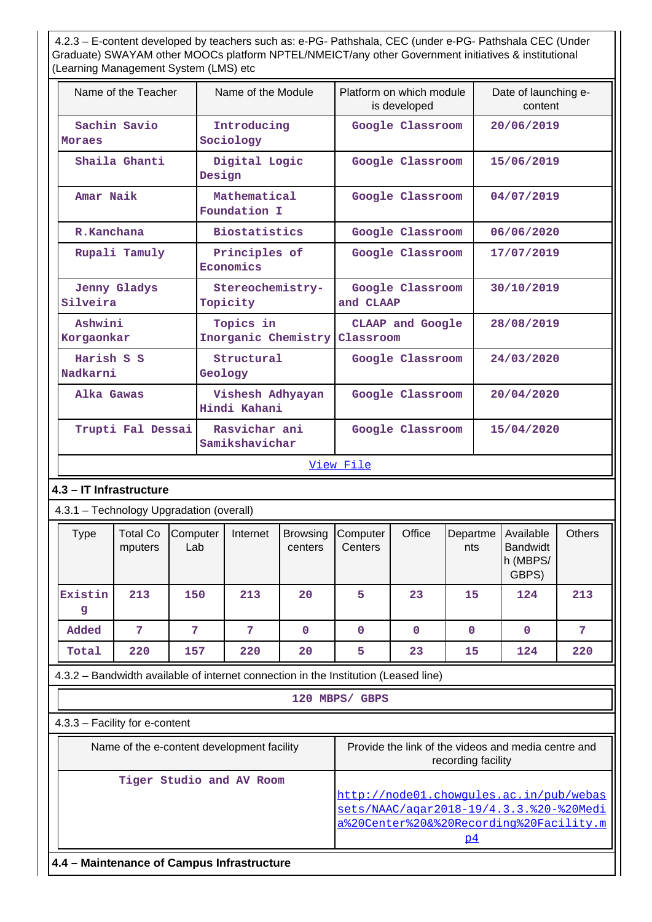4.2.3 – E-content developed by teachers such as: e-PG- Pathshala, CEC (under e-PG- Pathshala CEC (Under Graduate) SWAYAM other MOOCs platform NPTEL/NMEICT/any other Government initiatives & institutional (Learning Management System (LMS) etc

| Name of the Teacher           | Name of the Module               | Platform on which module<br>is developed | Date of launching e-<br>content |  |  |  |
|-------------------------------|----------------------------------|------------------------------------------|---------------------------------|--|--|--|
| Sachin Savio<br><b>Moraes</b> | Introducing<br>Sociology         | Google Classroom                         | 20/06/2019                      |  |  |  |
| Shaila Ghanti                 | Digital Logic<br>Design          | Google Classroom                         | 15/06/2019                      |  |  |  |
| Amar Naik                     | Mathematical<br>Foundation I     | Google Classroom                         | 04/07/2019                      |  |  |  |
| R.Kanchana                    | <b>Biostatistics</b>             | Google Classroom                         | 06/06/2020                      |  |  |  |
| Rupali Tamuly                 | Principles of<br>Economics       | Google Classroom                         | 17/07/2019                      |  |  |  |
| Jenny Gladys<br>Silveira      | Stereochemistry-<br>Topicity     | Google Classroom<br>and CLAAP            | 30/10/2019                      |  |  |  |
| Ashwini<br>Korgaonkar         | Topics in<br>Inorganic Chemistry | CLAAP and Google<br>Classroom            | 28/08/2019                      |  |  |  |
| Harish S S<br>Nadkarni        | Structural<br>Geology            | Google Classroom                         | 24/03/2020                      |  |  |  |
| Alka Gawas                    | Vishesh Adhyayan<br>Hindi Kahani | Google Classroom                         | 20/04/2020                      |  |  |  |
| Trupti Fal Dessai             | Rasvichar ani<br>Samikshavichar  | Google Classroom                         | 15/04/2020                      |  |  |  |
| View File                     |                                  |                                          |                                 |  |  |  |

## **4.3 – IT Infrastructure**

## 4.3.1 – Technology Upgradation (overall)

| Type         | <b>Total Co</b><br>mputers | Computer<br>Lab | Internet | <b>Browsing</b><br>centers | Computer<br>Centers | Office | Departme<br>nts | Available<br><b>Bandwidt</b><br>h (MBPS/<br>GBPS) | <b>Others</b> |
|--------------|----------------------------|-----------------|----------|----------------------------|---------------------|--------|-----------------|---------------------------------------------------|---------------|
| Existin<br>g | 213                        | 150             | 213      | 20                         | 5                   | 23     | 15              | 124                                               | 213           |
| Added        | 7                          | 7               | 7        | $\mathbf 0$                | 0                   | 0      | $\mathbf 0$     | $\mathbf 0$                                       | 57            |
| Total        | 220                        | 157             | 220      | 20                         | 5                   | 23     | 15              | 124                                               | 220           |

4.3.2 – Bandwidth available of internet connection in the Institution (Leased line)

## **120 MBPS/ GBPS**

## 4.3.3 – Facility for e-content

| Name of the e-content development facility | Provide the link of the videos and media centre and<br>recording facility                                                           |
|--------------------------------------------|-------------------------------------------------------------------------------------------------------------------------------------|
| Tiger Studio and AV Room                   | http://node01.chowgules.ac.in/pub/webas<br>sets/NAAC/agar2018-19/4.3.3.%20-%20Medi<br>a%20Center%20&%20Recording%20Facility.m<br>p4 |

**4.4 – Maintenance of Campus Infrastructure**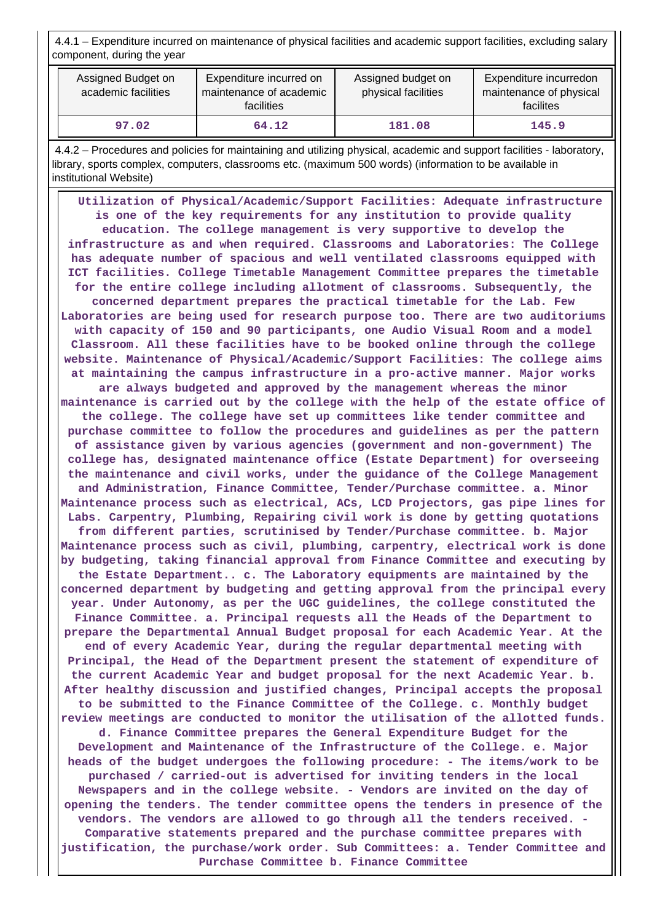4.4.1 – Expenditure incurred on maintenance of physical facilities and academic support facilities, excluding salary component, during the year

| Assigned Budget on<br>academic facilities | Expenditure incurred on<br>maintenance of academic<br>facilities | Assigned budget on<br>physical facilities | Expenditure incurredon<br>maintenance of physical<br>facilites |  |
|-------------------------------------------|------------------------------------------------------------------|-------------------------------------------|----------------------------------------------------------------|--|
| 97.02                                     | 64.12                                                            | 181.08                                    | 145.9                                                          |  |

 4.4.2 – Procedures and policies for maintaining and utilizing physical, academic and support facilities - laboratory, library, sports complex, computers, classrooms etc. (maximum 500 words) (information to be available in institutional Website)

 **Utilization of Physical/Academic/Support Facilities: Adequate infrastructure is one of the key requirements for any institution to provide quality education. The college management is very supportive to develop the infrastructure as and when required. Classrooms and Laboratories: The College has adequate number of spacious and well ventilated classrooms equipped with ICT facilities. College Timetable Management Committee prepares the timetable for the entire college including allotment of classrooms. Subsequently, the concerned department prepares the practical timetable for the Lab. Few Laboratories are being used for research purpose too. There are two auditoriums with capacity of 150 and 90 participants, one Audio Visual Room and a model Classroom. All these facilities have to be booked online through the college website. Maintenance of Physical/Academic/Support Facilities: The college aims at maintaining the campus infrastructure in a pro-active manner. Major works are always budgeted and approved by the management whereas the minor maintenance is carried out by the college with the help of the estate office of the college. The college have set up committees like tender committee and purchase committee to follow the procedures and guidelines as per the pattern of assistance given by various agencies (government and non-government) The college has, designated maintenance office (Estate Department) for overseeing the maintenance and civil works, under the guidance of the College Management and Administration, Finance Committee, Tender/Purchase committee. a. Minor Maintenance process such as electrical, ACs, LCD Projectors, gas pipe lines for Labs. Carpentry, Plumbing, Repairing civil work is done by getting quotations from different parties, scrutinised by Tender/Purchase committee. b. Major Maintenance process such as civil, plumbing, carpentry, electrical work is done by budgeting, taking financial approval from Finance Committee and executing by the Estate Department.. c. The Laboratory equipments are maintained by the concerned department by budgeting and getting approval from the principal every year. Under Autonomy, as per the UGC guidelines, the college constituted the Finance Committee. a. Principal requests all the Heads of the Department to prepare the Departmental Annual Budget proposal for each Academic Year. At the end of every Academic Year, during the regular departmental meeting with Principal, the Head of the Department present the statement of expenditure of the current Academic Year and budget proposal for the next Academic Year. b. After healthy discussion and justified changes, Principal accepts the proposal to be submitted to the Finance Committee of the College. c. Monthly budget review meetings are conducted to monitor the utilisation of the allotted funds. d. Finance Committee prepares the General Expenditure Budget for the Development and Maintenance of the Infrastructure of the College. e. Major heads of the budget undergoes the following procedure: - The items/work to be purchased / carried-out is advertised for inviting tenders in the local Newspapers and in the college website. - Vendors are invited on the day of opening the tenders. The tender committee opens the tenders in presence of the vendors. The vendors are allowed to go through all the tenders received. - Comparative statements prepared and the purchase committee prepares with justification, the purchase/work order. Sub Committees: a. Tender Committee and Purchase Committee b. Finance Committee**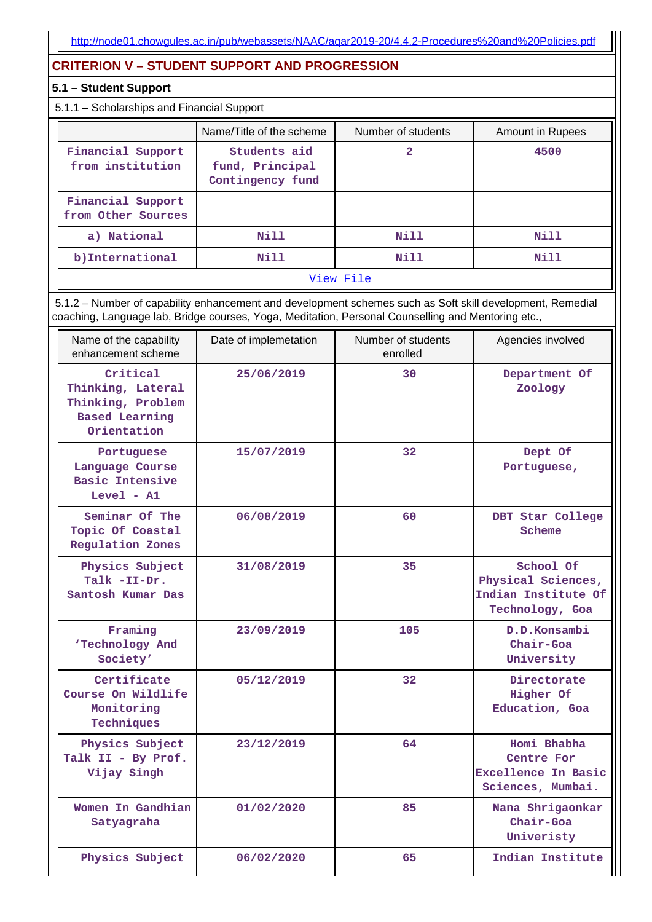# **CRITERION V – STUDENT SUPPORT AND PROGRESSION**

## **5.1 – Student Support**

## 5.1.1 – Scholarships and Financial Support

|                                         | Name/Title of the scheme                            | Number of students | Amount in Rupees |
|-----------------------------------------|-----------------------------------------------------|--------------------|------------------|
| Financial Support<br>from institution   | Students aid<br>fund, Principal<br>Contingency fund | 2                  | 4500             |
| Financial Support<br>from Other Sources |                                                     |                    |                  |
| a) National                             | Nill                                                | Nill               | Nill             |
| b) International                        | Nill                                                | Nill               | Nill             |

#### [View File](https://assessmentonline.naac.gov.in/public/Postacc/Scholarships/10904_Scholarships_1627450907.xlsx)

 5.1.2 – Number of capability enhancement and development schemes such as Soft skill development, Remedial coaching, Language lab, Bridge courses, Yoga, Meditation, Personal Counselling and Mentoring etc.,

| Name of the capability<br>enhancement scheme                                               | Date of implemetation | Number of students<br>enrolled | Agencies involved                                                         |
|--------------------------------------------------------------------------------------------|-----------------------|--------------------------------|---------------------------------------------------------------------------|
| Critical<br>Thinking, Lateral<br>Thinking, Problem<br><b>Based Learning</b><br>Orientation | 25/06/2019            | 30                             | Department Of<br>Zoology                                                  |
| Portuguese<br>Language Course<br><b>Basic Intensive</b><br>$Level - A1$                    | 15/07/2019            | 32 <sub>2</sub>                | Dept Of<br>Portuguese,                                                    |
| Seminar Of The<br>Topic Of Coastal<br><b>Regulation Zones</b>                              | 06/08/2019            | 60                             | DBT Star College<br>Scheme                                                |
| Physics Subject<br>Talk -II-Dr.<br>Santosh Kumar Das                                       | 31/08/2019            | 35                             | School Of<br>Physical Sciences,<br>Indian Institute Of<br>Technology, Goa |
| Framing<br>'Technology And<br>Society'                                                     | 23/09/2019            | 105                            | D.D.Konsambi<br>Chair-Goa<br>University                                   |
| Certificate<br>Course On Wildlife<br>Monitoring<br>Techniques                              | 05/12/2019            | 32                             | Directorate<br>Higher Of<br>Education, Goa                                |
| Physics Subject<br>Talk II - By Prof.<br>Vijay Singh                                       | 23/12/2019            | 64                             | Homi Bhabha<br>Centre For<br>Excellence In Basic<br>Sciences, Mumbai.     |
| Women In Gandhian<br>Satyagraha                                                            | 01/02/2020            | 85                             | Nana Shrigaonkar<br>$Chair-Goa$<br>Univeristy                             |
| Physics Subject                                                                            | 06/02/2020            | 65                             | Indian Institute                                                          |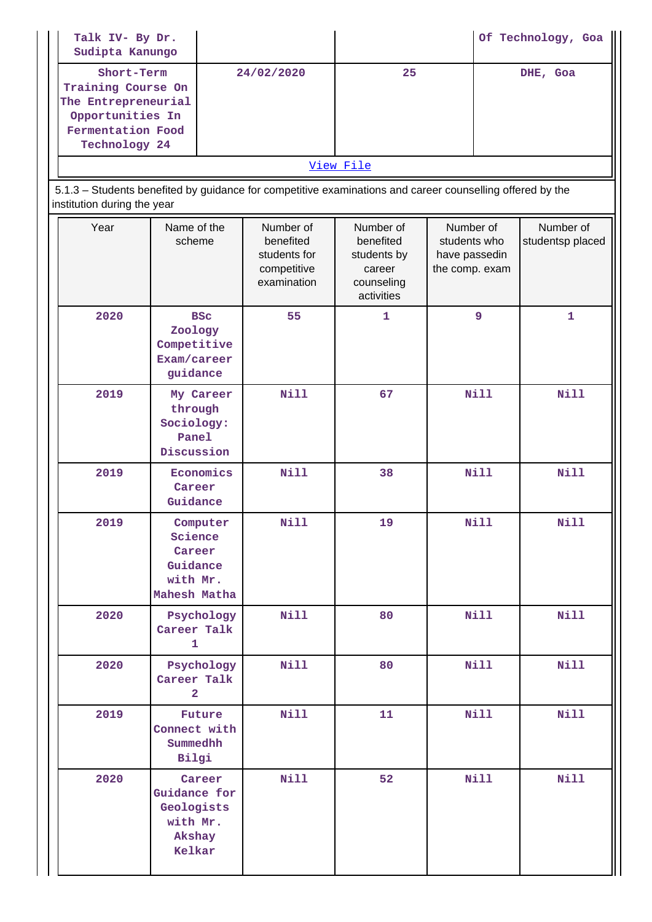| Talk IV- By Dr.<br>Sudipta Kanungo                                                                                |                                                                                                           |                                                                      |                                                                             |                                                              |  | Of Technology, Goa            |
|-------------------------------------------------------------------------------------------------------------------|-----------------------------------------------------------------------------------------------------------|----------------------------------------------------------------------|-----------------------------------------------------------------------------|--------------------------------------------------------------|--|-------------------------------|
| Short-Term<br>Training Course On<br>The Entrepreneurial<br>Opportunities In<br>Fermentation Food<br>Technology 24 |                                                                                                           | 24/02/2020                                                           | 25                                                                          |                                                              |  | DHE, Goa                      |
|                                                                                                                   |                                                                                                           |                                                                      | View File                                                                   |                                                              |  |                               |
| institution during the year                                                                                       | 5.1.3 - Students benefited by guidance for competitive examinations and career counselling offered by the |                                                                      |                                                                             |                                                              |  |                               |
| Year                                                                                                              | Name of the<br>scheme                                                                                     | Number of<br>benefited<br>students for<br>competitive<br>examination | Number of<br>benefited<br>students by<br>career<br>counseling<br>activities | Number of<br>students who<br>have passedin<br>the comp. exam |  | Number of<br>studentsp placed |
| 2020                                                                                                              | <b>BSC</b><br>Zoology<br>Competitive<br>Exam/career<br>guidance                                           | 55                                                                   | 1                                                                           | 9                                                            |  | $\mathbf{1}$                  |
| 2019                                                                                                              | My Career<br>through<br>Sociology:<br>Panel<br>Discussion                                                 | <b>Nill</b>                                                          | 67                                                                          | <b>Nill</b>                                                  |  | <b>Nill</b>                   |
| 2019                                                                                                              | Economics<br>Career<br>Guidance                                                                           | <b>Nill</b>                                                          | 38                                                                          | <b>Nill</b>                                                  |  | <b>Nill</b>                   |
| 2019                                                                                                              | Computer<br>Science<br>Career<br>Guidance<br>with Mr.<br>Mahesh Matha                                     | Nill                                                                 | 19                                                                          | Nill                                                         |  | Nill                          |
| 2020                                                                                                              | Psychology<br>Career Talk<br>$\mathbf{1}$                                                                 | Nill                                                                 | 80                                                                          | <b>Nill</b>                                                  |  | <b>Nill</b>                   |
| 2020                                                                                                              | Psychology<br>Career Talk<br>$\overline{2}$                                                               | <b>Nill</b>                                                          | 80                                                                          | <b>Nill</b>                                                  |  | Nill                          |
| 2019                                                                                                              | Future<br>Connect with<br>Summedhh<br>Bilgi                                                               | Nill                                                                 | 11                                                                          | <b>Nill</b>                                                  |  | <b>Nill</b>                   |
| 2020                                                                                                              | Career<br>Guidance for<br>Geologists<br>with Mr.<br>Akshay<br>Kelkar                                      | <b>Nill</b>                                                          | 52                                                                          | <b>Nill</b>                                                  |  | <b>Nill</b>                   |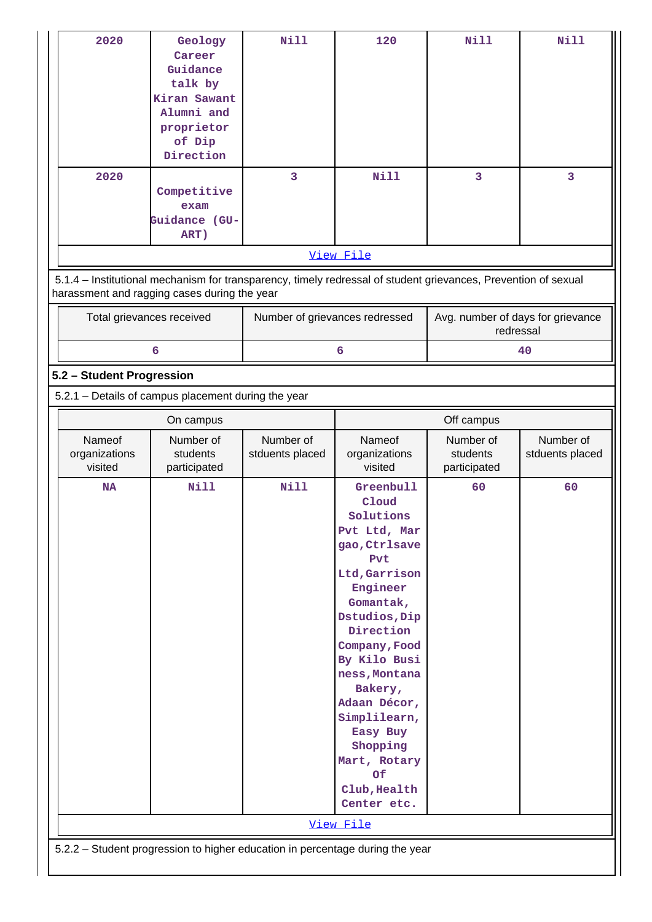| 2020<br>2020                                                                                                                                                   | Geology<br>Career<br>Guidance<br>talk by<br>Kiran Sawant<br>Alumni and<br>proprietor<br>of Dip<br>Direction | <b>Nill</b><br>$\overline{3}$ | 120<br><b>Nill</b>                                                                                                                                                                                                                                                                                                                     | Nill<br>3                                      | <b>Nill</b><br>3             |  |
|----------------------------------------------------------------------------------------------------------------------------------------------------------------|-------------------------------------------------------------------------------------------------------------|-------------------------------|----------------------------------------------------------------------------------------------------------------------------------------------------------------------------------------------------------------------------------------------------------------------------------------------------------------------------------------|------------------------------------------------|------------------------------|--|
|                                                                                                                                                                | Competitive<br>exam<br>Guidance (GU-<br>ART)                                                                |                               |                                                                                                                                                                                                                                                                                                                                        |                                                |                              |  |
|                                                                                                                                                                |                                                                                                             |                               | View File                                                                                                                                                                                                                                                                                                                              |                                                |                              |  |
| 5.1.4 - Institutional mechanism for transparency, timely redressal of student grievances, Prevention of sexual<br>harassment and ragging cases during the year |                                                                                                             |                               |                                                                                                                                                                                                                                                                                                                                        |                                                |                              |  |
| Total grievances received                                                                                                                                      |                                                                                                             |                               | Number of grievances redressed                                                                                                                                                                                                                                                                                                         | Avg. number of days for grievance<br>redressal |                              |  |
|                                                                                                                                                                | 6                                                                                                           |                               | 6                                                                                                                                                                                                                                                                                                                                      |                                                | 40                           |  |
| 5.2 - Student Progression                                                                                                                                      |                                                                                                             |                               |                                                                                                                                                                                                                                                                                                                                        |                                                |                              |  |
| 5.2.1 - Details of campus placement during the year                                                                                                            |                                                                                                             |                               |                                                                                                                                                                                                                                                                                                                                        |                                                |                              |  |
|                                                                                                                                                                | On campus                                                                                                   |                               |                                                                                                                                                                                                                                                                                                                                        | Off campus                                     |                              |  |
| Nameof<br>organizations<br>visited                                                                                                                             | Number of<br>students<br>participated                                                                       | Number of<br>stduents placed  | Nameof<br>organizations<br>visited                                                                                                                                                                                                                                                                                                     | Number of<br>students<br>participated          | Number of<br>stduents placed |  |
| <b>NA</b>                                                                                                                                                      | <b>Nill</b>                                                                                                 | <b>Nill</b>                   | Greenbull<br>Cloud<br>Solutions<br>Pvt Ltd, Mar<br>gao, Ctrlsave<br>Pvt<br>Ltd, Garrison<br>Engineer<br>Gomantak,<br>Dstudios, Dip<br>Direction<br>Company, Food<br>By Kilo Busi<br>ness, Montana<br>Bakery,<br>Adaan Décor,<br>Simplilearn,<br>Easy Buy<br>Shopping<br>Mart, Rotary<br>Of<br>Club, Health<br>Center etc.<br>View File | 60                                             | 60                           |  |
| 5.2.2 - Student progression to higher education in percentage during the year                                                                                  |                                                                                                             |                               |                                                                                                                                                                                                                                                                                                                                        |                                                |                              |  |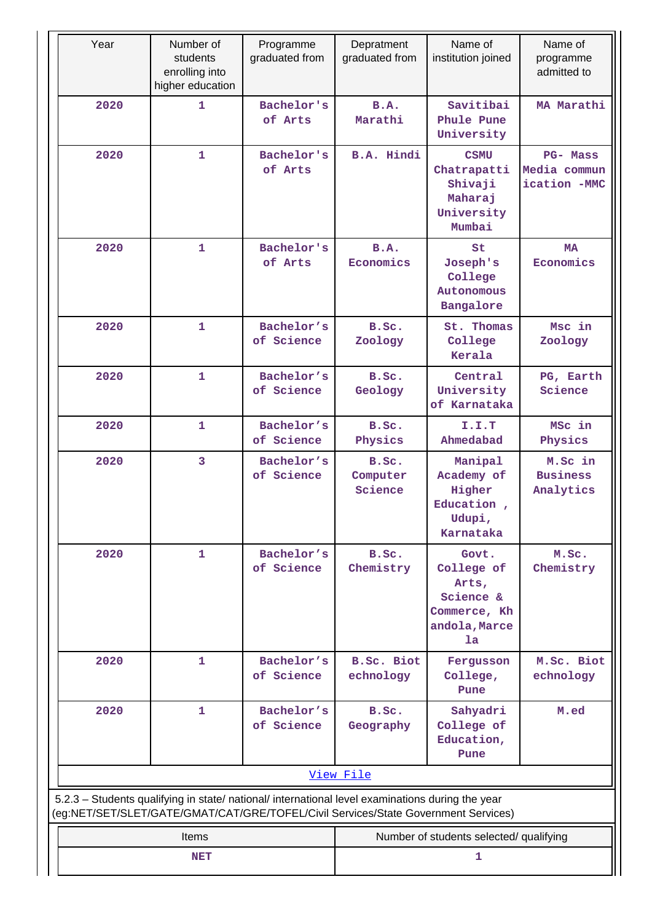| Year                                                                                             | Number of<br>students<br>enrolling into<br>higher education | Programme<br>graduated from | Depratment<br>graduated from            | Name of<br>institution joined                                                    | Name of<br>programme<br>admitted to             |  |
|--------------------------------------------------------------------------------------------------|-------------------------------------------------------------|-----------------------------|-----------------------------------------|----------------------------------------------------------------------------------|-------------------------------------------------|--|
| 2020                                                                                             | 1                                                           | Bachelor's<br>of Arts       | B.A.<br>Marathi                         | Savitibai<br>Phule Pune<br>University                                            | MA Marathi                                      |  |
| 2020                                                                                             | $\mathbf 1$                                                 | Bachelor's<br>of Arts       | B.A. Hindi                              | <b>CSMU</b><br>Chatrapatti<br>Shivaji<br>Maharaj<br>University<br>Mumbai         | <b>PG- Mass</b><br>Media commun<br>ication -MMC |  |
| 2020                                                                                             | $\mathbf{1}$                                                | Bachelor's<br>of Arts       | B.A.<br>Economics                       | St<br>Joseph's<br>College<br>Autonomous<br>Bangalore                             | <b>MA</b><br>Economics                          |  |
| 2020                                                                                             | $\mathbf 1$                                                 | Bachelor's<br>of Science    | B.Sc.<br>Zoology                        | St. Thomas<br>College<br>Kerala                                                  | Msc in<br>Zoology                               |  |
| 2020                                                                                             | $\mathbf 1$                                                 | Bachelor's<br>of Science    | B.Sc.<br>Geology                        | Central<br>University<br>of Karnataka                                            | PG, Earth<br>Science                            |  |
| 2020                                                                                             | $\mathbf{1}$                                                | Bachelor's<br>of Science    | B.Sc.<br>Physics                        | I.I.T<br>Ahmedabad                                                               | MSc in<br>Physics                               |  |
| 2020                                                                                             | $\overline{3}$                                              | Bachelor's<br>of Science    | B.Sc.<br>Computer<br>Science            | Manipal<br>Academy of<br>Higher<br>Education,<br>Udupi,<br>Karnataka             | M.Sc in<br><b>Business</b><br>Analytics         |  |
| 2020                                                                                             | $\mathbf{1}$                                                | Bachelor's<br>of Science    | B.Sc.<br>Chemistry                      | Govt.<br>College of<br>Arts,<br>Science &<br>Commerce, Kh<br>andola, Marce<br>la | M.Sc.<br>Chemistry                              |  |
| 2020                                                                                             | $\mathbf 1$                                                 | Bachelor's<br>of Science    | <b>B.Sc. Biot</b><br>echnology          | Fergusson<br>College,<br>Pune                                                    | M.Sc. Biot<br>echnology                         |  |
| 2020                                                                                             | $\mathbf{1}$                                                | Bachelor's<br>of Science    | B.Sc.<br>Geography                      | Sahyadri<br>College of<br>Education,<br>Pune                                     | M.ed                                            |  |
| 5.2.3 - Students qualifying in state/ national/ international level examinations during the year |                                                             |                             | View File                               |                                                                                  |                                                 |  |
| (eg:NET/SET/SLET/GATE/GMAT/CAT/GRE/TOFEL/Civil Services/State Government Services)               |                                                             |                             |                                         |                                                                                  |                                                 |  |
|                                                                                                  | Items                                                       |                             | Number of students selected/ qualifying |                                                                                  |                                                 |  |
|                                                                                                  | NET                                                         |                             | 1                                       |                                                                                  |                                                 |  |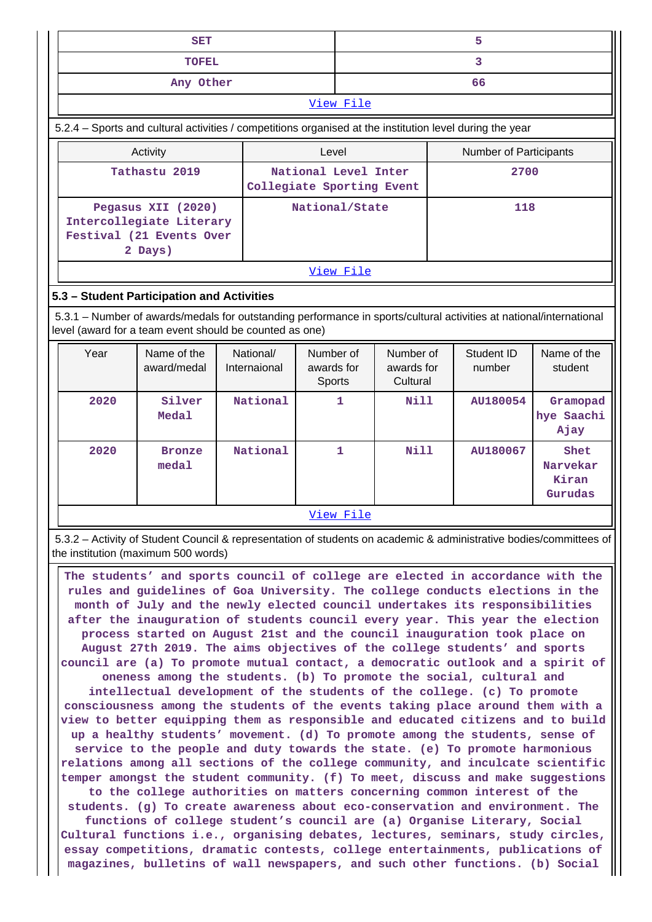| <b>SET</b>                                                                                                                                                                     |                                                   | 5                |                        |  |  |  |  |
|--------------------------------------------------------------------------------------------------------------------------------------------------------------------------------|---------------------------------------------------|------------------|------------------------|--|--|--|--|
| <b>TOFEL</b>                                                                                                                                                                   |                                                   | 3                |                        |  |  |  |  |
| Any Other                                                                                                                                                                      |                                                   |                  | 66                     |  |  |  |  |
|                                                                                                                                                                                |                                                   | <u>View File</u> |                        |  |  |  |  |
| 5.2.4 – Sports and cultural activities / competitions organised at the institution level during the year                                                                       |                                                   |                  |                        |  |  |  |  |
| Activity                                                                                                                                                                       | Level                                             |                  | Number of Participants |  |  |  |  |
| Tathastu 2019                                                                                                                                                                  | National Level Inter<br>Collegiate Sporting Event |                  | 2700                   |  |  |  |  |
| Pegasus XII (2020)<br>Intercollegiate Literary<br>Festival (21 Events Over<br>2 Days)                                                                                          | National/State                                    |                  | 118                    |  |  |  |  |
|                                                                                                                                                                                |                                                   | <u>View File</u> |                        |  |  |  |  |
|                                                                                                                                                                                | 5.3 - Student Participation and Activities        |                  |                        |  |  |  |  |
| 5.3.1 – Number of awards/medals for outstanding performance in sports/cultural activities at national/international<br>level (award for a team event should be counted as one) |                                                   |                  |                        |  |  |  |  |

| Year | Name of the<br>award/medal | National/<br>Internaional | Number of<br>awards for<br><b>Sports</b> | Number of<br>awards for<br>Cultural | Student ID<br>number | Name of the<br>student               |
|------|----------------------------|---------------------------|------------------------------------------|-------------------------------------|----------------------|--------------------------------------|
| 2020 | Silver<br>Medal            | National                  | 1                                        | Nill                                | AU180054             | Gramopad<br>hye Saachi<br>Ajay       |
| 2020 | <b>Bronze</b><br>medal     | National                  | 1                                        | <b>Nill</b>                         | AU180067             | Shet<br>Narvekar<br>Kiran<br>Gurudas |
|      |                            |                           | View File                                |                                     |                      |                                      |

 5.3.2 – Activity of Student Council & representation of students on academic & administrative bodies/committees of the institution (maximum 500 words)

 **The students' and sports council of college are elected in accordance with the rules and guidelines of Goa University. The college conducts elections in the month of July and the newly elected council undertakes its responsibilities after the inauguration of students council every year. This year the election process started on August 21st and the council inauguration took place on August 27th 2019. The aims objectives of the college students' and sports council are (a) To promote mutual contact, a democratic outlook and a spirit of oneness among the students. (b) To promote the social, cultural and intellectual development of the students of the college. (c) To promote consciousness among the students of the events taking place around them with a view to better equipping them as responsible and educated citizens and to build up a healthy students' movement. (d) To promote among the students, sense of service to the people and duty towards the state. (e) To promote harmonious relations among all sections of the college community, and inculcate scientific temper amongst the student community. (f) To meet, discuss and make suggestions to the college authorities on matters concerning common interest of the students. (g) To create awareness about eco-conservation and environment. The functions of college student's council are (a) Organise Literary, Social Cultural functions i.e., organising debates, lectures, seminars, study circles, essay competitions, dramatic contests, college entertainments, publications of magazines, bulletins of wall newspapers, and such other functions. (b) Social**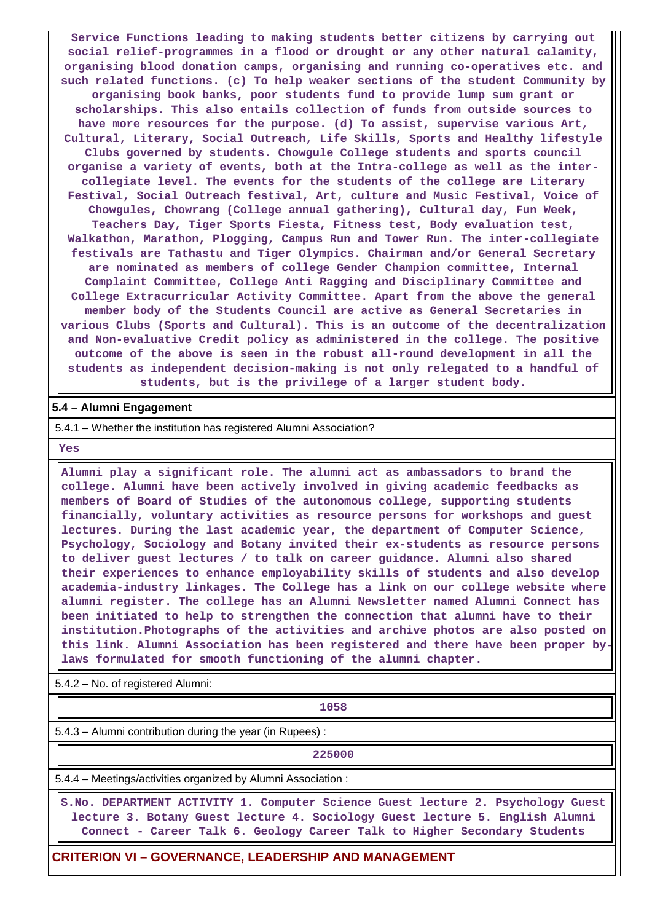**Service Functions leading to making students better citizens by carrying out social relief-programmes in a flood or drought or any other natural calamity, organising blood donation camps, organising and running co-operatives etc. and such related functions. (c) To help weaker sections of the student Community by organising book banks, poor students fund to provide lump sum grant or scholarships. This also entails collection of funds from outside sources to have more resources for the purpose. (d) To assist, supervise various Art, Cultural, Literary, Social Outreach, Life Skills, Sports and Healthy lifestyle Clubs governed by students. Chowgule College students and sports council organise a variety of events, both at the Intra-college as well as the intercollegiate level. The events for the students of the college are Literary Festival, Social Outreach festival, Art, culture and Music Festival, Voice of Chowgules, Chowrang (College annual gathering), Cultural day, Fun Week, Teachers Day, Tiger Sports Fiesta, Fitness test, Body evaluation test, Walkathon, Marathon, Plogging, Campus Run and Tower Run. The inter-collegiate festivals are Tathastu and Tiger Olympics. Chairman and/or General Secretary are nominated as members of college Gender Champion committee, Internal Complaint Committee, College Anti Ragging and Disciplinary Committee and College Extracurricular Activity Committee. Apart from the above the general member body of the Students Council are active as General Secretaries in various Clubs (Sports and Cultural). This is an outcome of the decentralization and Non-evaluative Credit policy as administered in the college. The positive outcome of the above is seen in the robust all-round development in all the students as independent decision-making is not only relegated to a handful of students, but is the privilege of a larger student body.**

### **5.4 – Alumni Engagement**

5.4.1 – Whether the institution has registered Alumni Association?

 **Yes**

 **Alumni play a significant role. The alumni act as ambassadors to brand the college. Alumni have been actively involved in giving academic feedbacks as members of Board of Studies of the autonomous college, supporting students financially, voluntary activities as resource persons for workshops and guest lectures. During the last academic year, the department of Computer Science, Psychology, Sociology and Botany invited their ex-students as resource persons to deliver guest lectures / to talk on career guidance. Alumni also shared their experiences to enhance employability skills of students and also develop academia-industry linkages. The College has a link on our college website where alumni register. The college has an Alumni Newsletter named Alumni Connect has been initiated to help to strengthen the connection that alumni have to their institution.Photographs of the activities and archive photos are also posted on this link. Alumni Association has been registered and there have been proper bylaws formulated for smooth functioning of the alumni chapter.**

5.4.2 – No. of registered Alumni:

**1058** 

5.4.3 – Alumni contribution during the year (in Rupees) :

**225000** 

5.4.4 – Meetings/activities organized by Alumni Association :

 **S.No. DEPARTMENT ACTIVITY 1. Computer Science Guest lecture 2. Psychology Guest lecture 3. Botany Guest lecture 4. Sociology Guest lecture 5. English Alumni Connect - Career Talk 6. Geology Career Talk to Higher Secondary Students**

**CRITERION VI – GOVERNANCE, LEADERSHIP AND MANAGEMENT**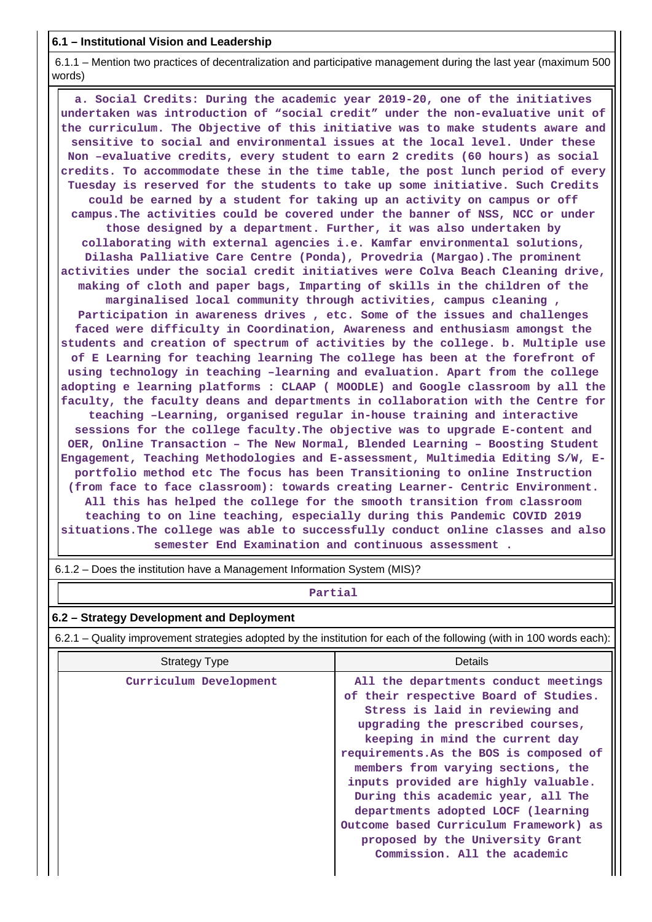## **6.1 – Institutional Vision and Leadership**

 6.1.1 – Mention two practices of decentralization and participative management during the last year (maximum 500 words)

 **a. Social Credits: During the academic year 2019-20, one of the initiatives undertaken was introduction of "social credit" under the non-evaluative unit of the curriculum. The Objective of this initiative was to make students aware and sensitive to social and environmental issues at the local level. Under these Non –evaluative credits, every student to earn 2 credits (60 hours) as social credits. To accommodate these in the time table, the post lunch period of every Tuesday is reserved for the students to take up some initiative. Such Credits could be earned by a student for taking up an activity on campus or off campus.The activities could be covered under the banner of NSS, NCC or under those designed by a department. Further, it was also undertaken by collaborating with external agencies i.e. Kamfar environmental solutions, Dilasha Palliative Care Centre (Ponda), Provedria (Margao).The prominent activities under the social credit initiatives were Colva Beach Cleaning drive, making of cloth and paper bags, Imparting of skills in the children of the marginalised local community through activities, campus cleaning , Participation in awareness drives , etc. Some of the issues and challenges faced were difficulty in Coordination, Awareness and enthusiasm amongst the students and creation of spectrum of activities by the college. b. Multiple use of E Learning for teaching learning The college has been at the forefront of using technology in teaching –learning and evaluation. Apart from the college adopting e learning platforms : CLAAP ( MOODLE) and Google classroom by all the faculty, the faculty deans and departments in collaboration with the Centre for teaching –Learning, organised regular in-house training and interactive sessions for the college faculty.The objective was to upgrade E-content and OER, Online Transaction – The New Normal, Blended Learning – Boosting Student Engagement, Teaching Methodologies and E-assessment, Multimedia Editing S/W, Eportfolio method etc The focus has been Transitioning to online Instruction (from face to face classroom): towards creating Learner- Centric Environment. All this has helped the college for the smooth transition from classroom teaching to on line teaching, especially during this Pandemic COVID 2019 situations.The college was able to successfully conduct online classes and also semester End Examination and continuous assessment .**

6.1.2 – Does the institution have a Management Information System (MIS)?

## **Partial**

## **6.2 – Strategy Development and Deployment**

6.2.1 – Quality improvement strategies adopted by the institution for each of the following (with in 100 words each):

| <b>Strategy Type</b>   | Details                                                                                                                                                                                                                                                                                                                                                                                                                                                                                                     |
|------------------------|-------------------------------------------------------------------------------------------------------------------------------------------------------------------------------------------------------------------------------------------------------------------------------------------------------------------------------------------------------------------------------------------------------------------------------------------------------------------------------------------------------------|
| Curriculum Development | All the departments conduct meetings<br>of their respective Board of Studies.<br>Stress is laid in reviewing and<br>upgrading the prescribed courses,<br>keeping in mind the current day<br>requirements. As the BOS is composed of<br>members from varying sections, the<br>inputs provided are highly valuable.<br>During this academic year, all The<br>departments adopted LOCF (learning<br>Outcome based Curriculum Framework) as<br>proposed by the University Grant<br>Commission. All the academic |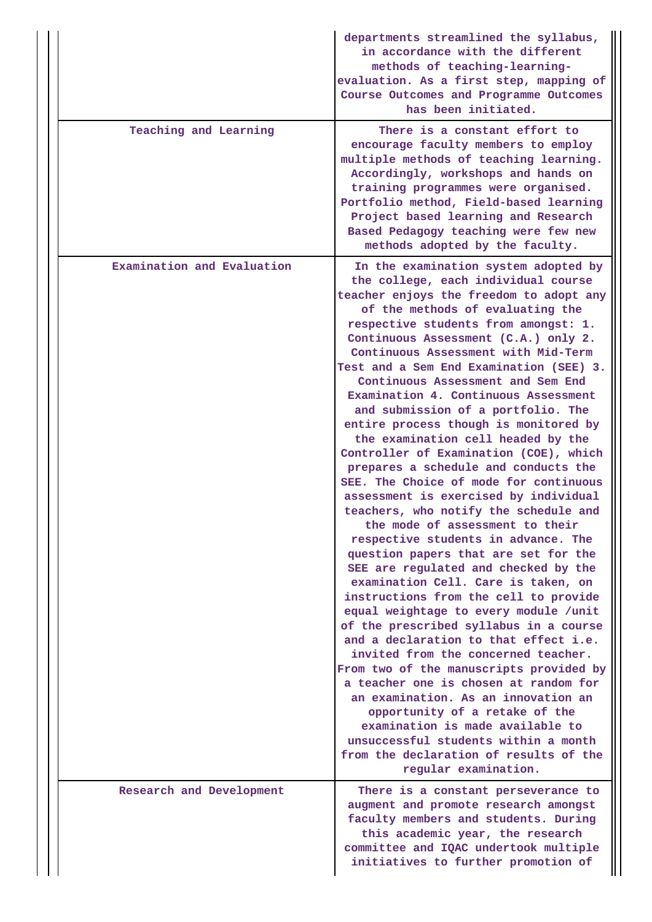|                            | evaluation. As a first step, mapping of<br>Course Outcomes and Programme Outcomes<br>has been initiated.                                                                                                                                                                                                                                                                                                                                                                                                                                                                                                                                                                                                                                                                                                                                                                                                                                                                                                                                                                                                                                                                                                                                                                                                                                                                                                                                                             |
|----------------------------|----------------------------------------------------------------------------------------------------------------------------------------------------------------------------------------------------------------------------------------------------------------------------------------------------------------------------------------------------------------------------------------------------------------------------------------------------------------------------------------------------------------------------------------------------------------------------------------------------------------------------------------------------------------------------------------------------------------------------------------------------------------------------------------------------------------------------------------------------------------------------------------------------------------------------------------------------------------------------------------------------------------------------------------------------------------------------------------------------------------------------------------------------------------------------------------------------------------------------------------------------------------------------------------------------------------------------------------------------------------------------------------------------------------------------------------------------------------------|
| Teaching and Learning      | There is a constant effort to<br>encourage faculty members to employ<br>multiple methods of teaching learning.<br>Accordingly, workshops and hands on<br>training programmes were organised.<br>Portfolio method, Field-based learning<br>Project based learning and Research<br>Based Pedagogy teaching were few new<br>methods adopted by the faculty.                                                                                                                                                                                                                                                                                                                                                                                                                                                                                                                                                                                                                                                                                                                                                                                                                                                                                                                                                                                                                                                                                                             |
| Examination and Evaluation | In the examination system adopted by<br>the college, each individual course<br>teacher enjoys the freedom to adopt any<br>of the methods of evaluating the<br>respective students from amongst: 1.<br>Continuous Assessment (C.A.) only 2.<br>Continuous Assessment with Mid-Term<br>Test and a Sem End Examination (SEE) 3.<br>Continuous Assessment and Sem End<br>Examination 4. Continuous Assessment<br>and submission of a portfolio. The<br>entire process though is monitored by<br>the examination cell headed by the<br>Controller of Examination (COE), which<br>prepares a schedule and conducts the<br>SEE. The Choice of mode for continuous<br>assessment is exercised by individual<br>teachers, who notify the schedule and<br>the mode of assessment to their<br>respective students in advance. The<br>question papers that are set for the<br>SEE are regulated and checked by the<br>examination Cell. Care is taken, on<br>instructions from the cell to provide<br>equal weightage to every module /unit<br>of the prescribed syllabus in a course<br>and a declaration to that effect i.e.<br>invited from the concerned teacher.<br>From two of the manuscripts provided by<br>a teacher one is chosen at random for<br>an examination. As an innovation an<br>opportunity of a retake of the<br>examination is made available to<br>unsuccessful students within a month<br>from the declaration of results of the<br>regular examination. |
| Research and Development   | There is a constant perseverance to<br>augment and promote research amongst<br>faculty members and students. During<br>this academic year, the research<br>committee and IQAC undertook multiple<br>initiatives to further promotion of                                                                                                                                                                                                                                                                                                                                                                                                                                                                                                                                                                                                                                                                                                                                                                                                                                                                                                                                                                                                                                                                                                                                                                                                                              |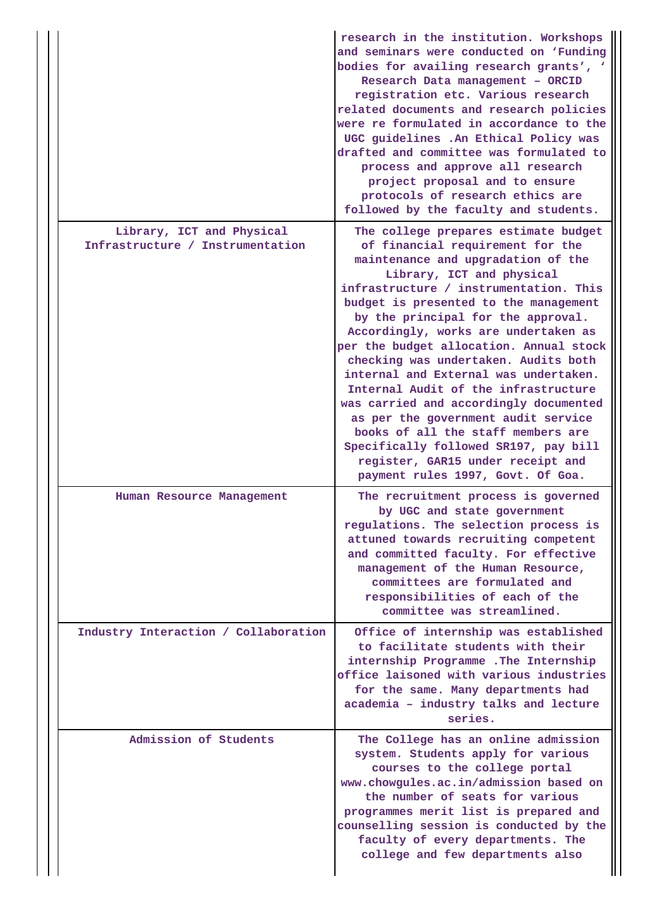|                                                               | research in the institution. Workshops<br>and seminars were conducted on 'Funding<br>bodies for availing research grants', '<br>Research Data management - ORCID<br>registration etc. Various research<br>related documents and research policies<br>were re formulated in accordance to the<br>UGC guidelines .An Ethical Policy was<br>drafted and committee was formulated to<br>process and approve all research<br>project proposal and to ensure<br>protocols of research ethics are<br>followed by the faculty and students.                                                                                                                                                                                        |
|---------------------------------------------------------------|----------------------------------------------------------------------------------------------------------------------------------------------------------------------------------------------------------------------------------------------------------------------------------------------------------------------------------------------------------------------------------------------------------------------------------------------------------------------------------------------------------------------------------------------------------------------------------------------------------------------------------------------------------------------------------------------------------------------------|
| Library, ICT and Physical<br>Infrastructure / Instrumentation | The college prepares estimate budget<br>of financial requirement for the<br>maintenance and upgradation of the<br>Library, ICT and physical<br>infrastructure / instrumentation. This<br>budget is presented to the management<br>by the principal for the approval.<br>Accordingly, works are undertaken as<br>per the budget allocation. Annual stock<br>checking was undertaken. Audits both<br>internal and External was undertaken.<br>Internal Audit of the infrastructure<br>was carried and accordingly documented<br>as per the government audit service<br>books of all the staff members are<br>Specifically followed SR197, pay bill<br>register, GAR15 under receipt and<br>payment rules 1997, Govt. Of Goa. |
| Human Resource Management                                     | The recruitment process is governed<br>by UGC and state government<br>regulations. The selection process is<br>attuned towards recruiting competent<br>and committed faculty. For effective<br>management of the Human Resource,<br>committees are formulated and<br>responsibilities of each of the<br>committee was streamlined.                                                                                                                                                                                                                                                                                                                                                                                         |
| Industry Interaction / Collaboration                          | Office of internship was established<br>to facilitate students with their<br>internship Programme . The Internship<br>office laisoned with various industries<br>for the same. Many departments had<br>academia - industry talks and lecture<br>series.                                                                                                                                                                                                                                                                                                                                                                                                                                                                    |
| Admission of Students                                         | The College has an online admission<br>system. Students apply for various<br>courses to the college portal<br>www.chowgules.ac.in/admission based on<br>the number of seats for various<br>programmes merit list is prepared and<br>counselling session is conducted by the<br>faculty of every departments. The<br>college and few departments also                                                                                                                                                                                                                                                                                                                                                                       |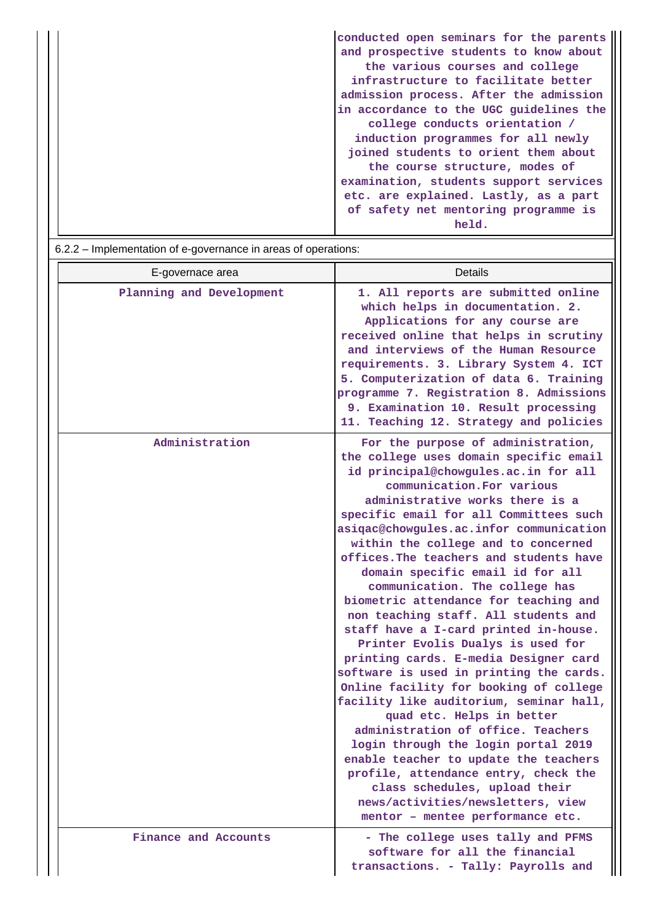| conducted open seminars for the parents<br>and prospective students to know about<br>the various courses and college |
|----------------------------------------------------------------------------------------------------------------------|
| infrastructure to facilitate better                                                                                  |
| admission process. After the admission                                                                               |
| in accordance to the UGC quidelines the                                                                              |
| college conducts orientation /                                                                                       |
| induction programmes for all newly                                                                                   |
| joined students to orient them about                                                                                 |
| the course structure, modes of                                                                                       |
| examination, students support services                                                                               |
| etc. are explained. Lastly, as a part                                                                                |
| of safety net mentoring programme is                                                                                 |
| held.                                                                                                                |

| 6.2.2 – Implementation of e-governance in areas of operations: |                                                                                                                                                                                                                                                                                                                                                                                                                                                                                                                                                                                                                                                                                                                                                                                                                                                                                                                                                                                                                                                                                 |  |  |  |
|----------------------------------------------------------------|---------------------------------------------------------------------------------------------------------------------------------------------------------------------------------------------------------------------------------------------------------------------------------------------------------------------------------------------------------------------------------------------------------------------------------------------------------------------------------------------------------------------------------------------------------------------------------------------------------------------------------------------------------------------------------------------------------------------------------------------------------------------------------------------------------------------------------------------------------------------------------------------------------------------------------------------------------------------------------------------------------------------------------------------------------------------------------|--|--|--|
| E-governace area                                               | Details                                                                                                                                                                                                                                                                                                                                                                                                                                                                                                                                                                                                                                                                                                                                                                                                                                                                                                                                                                                                                                                                         |  |  |  |
| Planning and Development                                       | 1. All reports are submitted online<br>which helps in documentation. 2.<br>Applications for any course are<br>received online that helps in scrutiny<br>and interviews of the Human Resource<br>requirements. 3. Library System 4. ICT<br>5. Computerization of data 6. Training<br>programme 7. Registration 8. Admissions<br>9. Examination 10. Result processing<br>11. Teaching 12. Strategy and policies                                                                                                                                                                                                                                                                                                                                                                                                                                                                                                                                                                                                                                                                   |  |  |  |
| Administration                                                 | For the purpose of administration,<br>the college uses domain specific email<br>id principal@chowgules.ac.in for all<br>communication. For various<br>administrative works there is a<br>specific email for all Committees such<br>asiqac@chowgules.ac.infor communication<br>within the college and to concerned<br>offices. The teachers and students have<br>domain specific email id for all<br>communication. The college has<br>biometric attendance for teaching and<br>non teaching staff. All students and<br>staff have a I-card printed in-house.<br>Printer Evolis Dualys is used for<br>printing cards. E-media Designer card<br>software is used in printing the cards.<br>Online facility for booking of college<br>facility like auditorium, seminar hall,<br>quad etc. Helps in better<br>administration of office. Teachers<br>login through the login portal 2019<br>enable teacher to update the teachers<br>profile, attendance entry, check the<br>class schedules, upload their<br>news/activities/newsletters, view<br>mentor - mentee performance etc. |  |  |  |
| Finance and Accounts                                           | - The college uses tally and PFMS<br>software for all the financial<br>transactions. - Tally: Payrolls and                                                                                                                                                                                                                                                                                                                                                                                                                                                                                                                                                                                                                                                                                                                                                                                                                                                                                                                                                                      |  |  |  |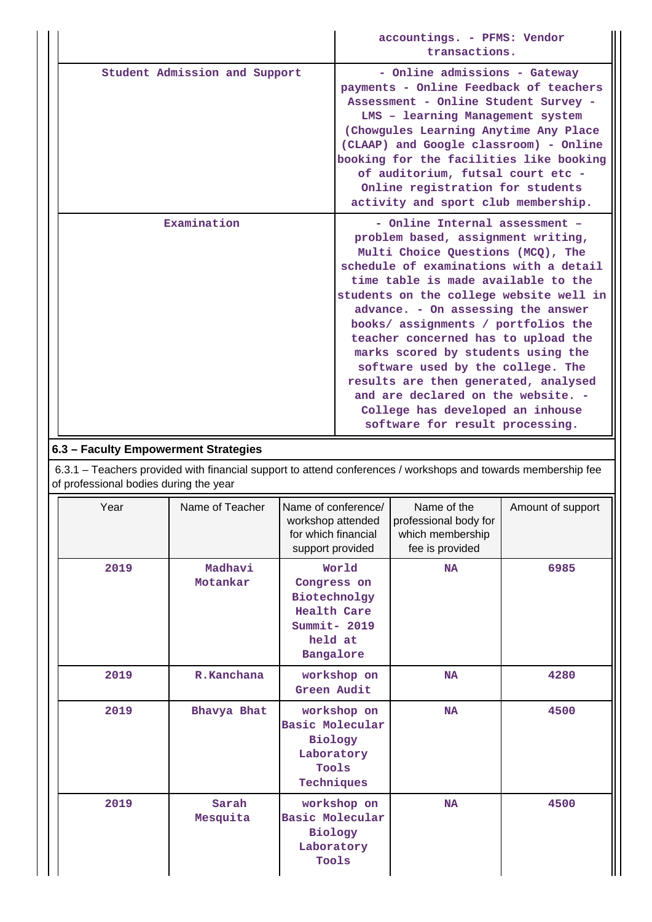|                               | accountings. - PFMS: Vendor<br>transactions.                                                                                                                                                                                                                                                                                                                                                                                                                                                                                                                                              |
|-------------------------------|-------------------------------------------------------------------------------------------------------------------------------------------------------------------------------------------------------------------------------------------------------------------------------------------------------------------------------------------------------------------------------------------------------------------------------------------------------------------------------------------------------------------------------------------------------------------------------------------|
| Student Admission and Support | - Online admissions - Gateway<br>payments - Online Feedback of teachers<br>Assessment - Online Student Survey -<br>LMS - learning Management system<br>(Chowgules Learning Anytime Any Place<br>(CLAAP) and Google classroom) - Online<br>booking for the facilities like booking<br>of auditorium, futsal court etc -<br>Online registration for students<br>activity and sport club membership.                                                                                                                                                                                         |
| Examination                   | - Online Internal assessment -<br>problem based, assignment writing,<br>Multi Choice Questions (MCQ), The<br>schedule of examinations with a detail<br>time table is made available to the<br>students on the college website well in<br>advance. - On assessing the answer<br>books/ assignments / portfolios the<br>teacher concerned has to upload the<br>marks scored by students using the<br>software used by the college. The<br>results are then generated, analysed<br>and are declared on the website. -<br>College has developed an inhouse<br>software for result processing. |

# **6.3 – Faculty Empowerment Strategies**

 6.3.1 – Teachers provided with financial support to attend conferences / workshops and towards membership fee of professional bodies during the year

| Year | Name of Teacher     | Name of conference/<br>workshop attended<br>for which financial<br>support provided                | Name of the<br>professional body for<br>which membership<br>fee is provided | Amount of support |
|------|---------------------|----------------------------------------------------------------------------------------------------|-----------------------------------------------------------------------------|-------------------|
| 2019 | Madhavi<br>Motankar | World<br>Congress on<br>Biotechnolgy<br><b>Health Care</b><br>Summit- 2019<br>held at<br>Bangalore | <b>NA</b>                                                                   | 6985              |
| 2019 | R.Kanchana          | workshop on<br>Green Audit                                                                         | <b>NA</b>                                                                   | 4280              |
| 2019 | Bhavya Bhat         | workshop on<br>Basic Molecular<br>Biology<br>Laboratory<br>Tools<br>Techniques                     | <b>NA</b>                                                                   | 4500              |
| 2019 | Sarah<br>Mesquita   | workshop on<br>Basic Molecular<br>Biology<br>Laboratory<br>Tools                                   | <b>NA</b>                                                                   | 4500              |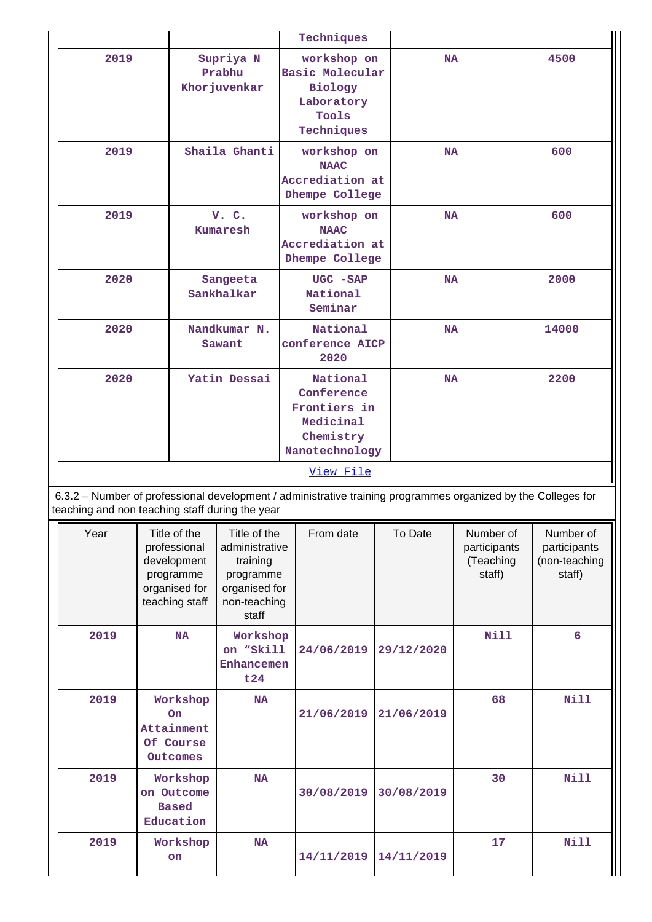|           |                                                                                             |                                                                                                   | Techniques                                                                                                    |            |                                                  |  |                                                      |
|-----------|---------------------------------------------------------------------------------------------|---------------------------------------------------------------------------------------------------|---------------------------------------------------------------------------------------------------------------|------------|--------------------------------------------------|--|------------------------------------------------------|
| 2019      |                                                                                             | Supriya N<br>Prabhu<br>Khor juvenkar                                                              | workshop on<br>Basic Molecular<br>Biology<br>Laboratory<br>Tools<br>Techniques                                | <b>NA</b>  |                                                  |  | 4500                                                 |
| 2019      |                                                                                             | Shaila Ghanti                                                                                     | workshop on<br><b>NAAC</b><br>Accrediation at<br>Dhempe College                                               | <b>NA</b>  |                                                  |  | 600                                                  |
| 2019      |                                                                                             | V. C.<br><b>Kumaresh</b>                                                                          | workshop on<br><b>NAAC</b><br>Accrediation at<br>Dhempe College                                               | <b>NA</b>  |                                                  |  | 600                                                  |
| 2020      |                                                                                             | Sangeeta<br>Sankhalkar                                                                            | UGC - SAP<br>National<br>Seminar                                                                              | <b>NA</b>  |                                                  |  | 2000                                                 |
| 2020      |                                                                                             | Nandkumar N.<br>Sawant                                                                            | National<br>conference AICP<br>2020                                                                           | <b>NA</b>  |                                                  |  | 14000                                                |
| 2020      |                                                                                             | Yatin Dessai                                                                                      | National<br>Conference<br>Frontiers in<br>Medicinal<br>Chemistry<br>Nanotechnology                            | <b>NA</b>  |                                                  |  | 2200                                                 |
| View File |                                                                                             |                                                                                                   |                                                                                                               |            |                                                  |  |                                                      |
|           | teaching and non teaching staff during the year                                             |                                                                                                   | 6.3.2 - Number of professional development / administrative training programmes organized by the Colleges for |            |                                                  |  |                                                      |
| Year      | Title of the<br>professional<br>development<br>programme<br>organised for<br>teaching staff | Title of the<br>administrative<br>training<br>programme<br>organised for<br>non-teaching<br>staff | From date                                                                                                     | To Date    | Number of<br>participants<br>(Teaching<br>staff) |  | Number of<br>participants<br>(non-teaching<br>staff) |
| 2019      | NA                                                                                          | Workshop<br>on "Skill<br>Enhancemen<br>t24                                                        | 24/06/2019                                                                                                    | 29/12/2020 | <b>Nill</b>                                      |  | $6\overline{6}$                                      |
| 2019      | Workshop<br><b>On</b><br>Attainment<br>Of Course<br>Outcomes                                | <b>NA</b>                                                                                         | 21/06/2019                                                                                                    | 21/06/2019 | 68                                               |  | Nill                                                 |
| 2019      | Workshop<br>on Outcome<br><b>Based</b><br>Education                                         | <b>NA</b>                                                                                         | 30/08/2019                                                                                                    | 30/08/2019 | 30                                               |  | Nill                                                 |
| 2019      | Workshop<br>on                                                                              | <b>NA</b>                                                                                         | 14/11/2019                                                                                                    | 14/11/2019 | 17                                               |  | <b>Nill</b>                                          |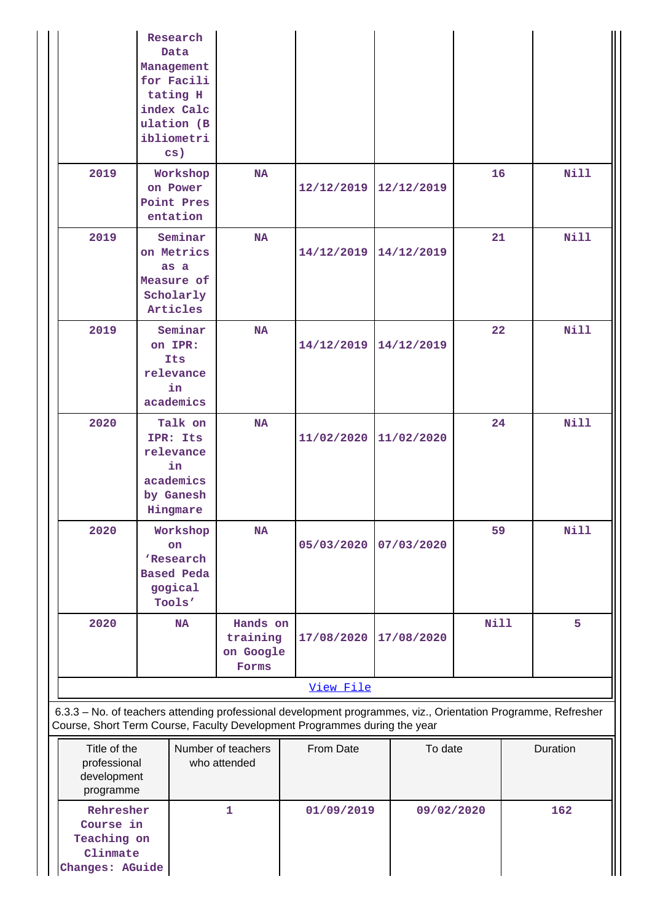|                                                                      | Research<br>Data<br>Management<br>for Facili<br>tating H<br>index Calc<br>ulation (B<br>ibliometri<br>$\mathbf{cs}$ ) |                                            |                                                                                                                                                                                            |            |             |    |             |
|----------------------------------------------------------------------|-----------------------------------------------------------------------------------------------------------------------|--------------------------------------------|--------------------------------------------------------------------------------------------------------------------------------------------------------------------------------------------|------------|-------------|----|-------------|
| 2019                                                                 | Workshop<br>on Power<br>Point Pres<br>entation                                                                        | <b>NA</b>                                  | 12/12/2019                                                                                                                                                                                 | 12/12/2019 | 16          |    | Nill        |
| 2019                                                                 | Seminar<br>on Metrics<br>as a<br>Measure of<br>Scholarly<br>Articles                                                  | <b>NA</b>                                  | 14/12/2019                                                                                                                                                                                 | 14/12/2019 | 21          |    | Nill        |
| 2019                                                                 | Seminar<br>on IPR:<br>Its<br>relevance<br>in<br>academics                                                             | <b>NA</b>                                  | 14/12/2019                                                                                                                                                                                 | 14/12/2019 | 22          |    | <b>Nill</b> |
| 2020                                                                 | Talk on<br>IPR: Its<br>relevance<br>in<br>academics<br>by Ganesh<br>Hingmare                                          | <b>NA</b>                                  | 11/02/2020                                                                                                                                                                                 | 11/02/2020 |             | 24 | Nill        |
| 2020                                                                 | Workshop<br>on<br>'Research<br><b>Based Peda</b><br>gogical<br>Tools'                                                 | <b>NA</b>                                  | 05/03/2020                                                                                                                                                                                 | 07/03/2020 |             | 59 | Nill        |
| 2020                                                                 | <b>NA</b>                                                                                                             | Hands on<br>training<br>on Google<br>Forms | 17/08/2020                                                                                                                                                                                 | 17/08/2020 | <b>Nill</b> |    | 5           |
|                                                                      |                                                                                                                       |                                            | View File                                                                                                                                                                                  |            |             |    |             |
|                                                                      |                                                                                                                       |                                            | 6.3.3 - No. of teachers attending professional development programmes, viz., Orientation Programme, Refresher<br>Course, Short Term Course, Faculty Development Programmes during the year |            |             |    |             |
| Title of the<br>professional<br>development<br>programme             |                                                                                                                       | Number of teachers<br>who attended         | From Date                                                                                                                                                                                  |            | To date     |    | Duration    |
| Rehresher<br>Course in<br>Teaching on<br>Clinmate<br>Changes: AGuide |                                                                                                                       | $\mathbf{1}$                               | 01/09/2019                                                                                                                                                                                 |            | 09/02/2020  |    | 162         |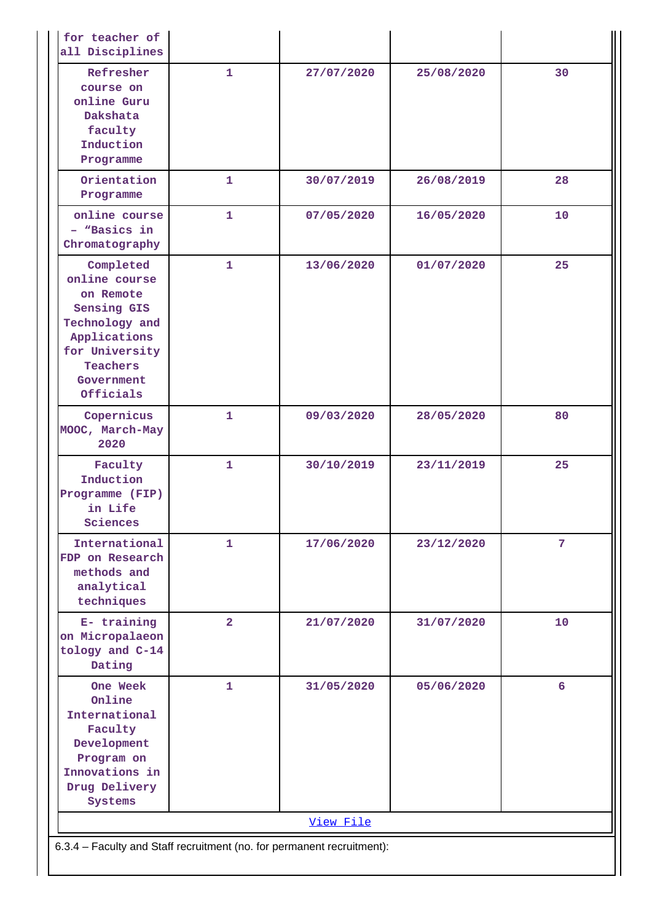| for teacher of<br>all Disciplines                                                                                                                 |                |            |            |                |  |
|---------------------------------------------------------------------------------------------------------------------------------------------------|----------------|------------|------------|----------------|--|
| Refresher<br>course on<br>online Guru<br>Dakshata<br>faculty<br>Induction<br>Programme                                                            | $\mathbf{1}$   | 27/07/2020 | 25/08/2020 | 30             |  |
| Orientation<br>Programme                                                                                                                          | $\mathbf{1}$   | 30/07/2019 | 26/08/2019 | 28             |  |
| online course<br>- "Basics in<br>Chromatography                                                                                                   | $\mathbf{1}$   | 07/05/2020 | 16/05/2020 | 10             |  |
| Completed<br>online course<br>on Remote<br>Sensing GIS<br>Technology and<br>Applications<br>for University<br>Teachers<br>Government<br>Officials | $\mathbf{1}$   | 13/06/2020 | 01/07/2020 | 25             |  |
| Copernicus<br>MOOC, March-May<br>2020                                                                                                             | $\mathbf{1}$   | 09/03/2020 | 28/05/2020 | 80             |  |
| Faculty<br>Induction<br>Programme (FIP)<br>in Life<br>Sciences                                                                                    | $\mathbf{1}$   | 30/10/2019 | 23/11/2019 | 25             |  |
| International<br>FDP on Research<br>methods and<br>analytical<br>techniques                                                                       | 1              | 17/06/2020 | 23/12/2020 | $7\phantom{.}$ |  |
| E- training<br>on Micropalaeon<br>tology and C-14<br>Dating                                                                                       | 2 <sup>1</sup> | 21/07/2020 | 31/07/2020 | 10             |  |
| One Week<br>Online<br>International<br>Faculty<br>Development<br>Program on<br>Innovations in<br>Drug Delivery<br>Systems                         | 1              | 31/05/2020 | 05/06/2020 | 6              |  |
|                                                                                                                                                   |                | View File  |            |                |  |
| 6.3.4 - Faculty and Staff recruitment (no. for permanent recruitment):                                                                            |                |            |            |                |  |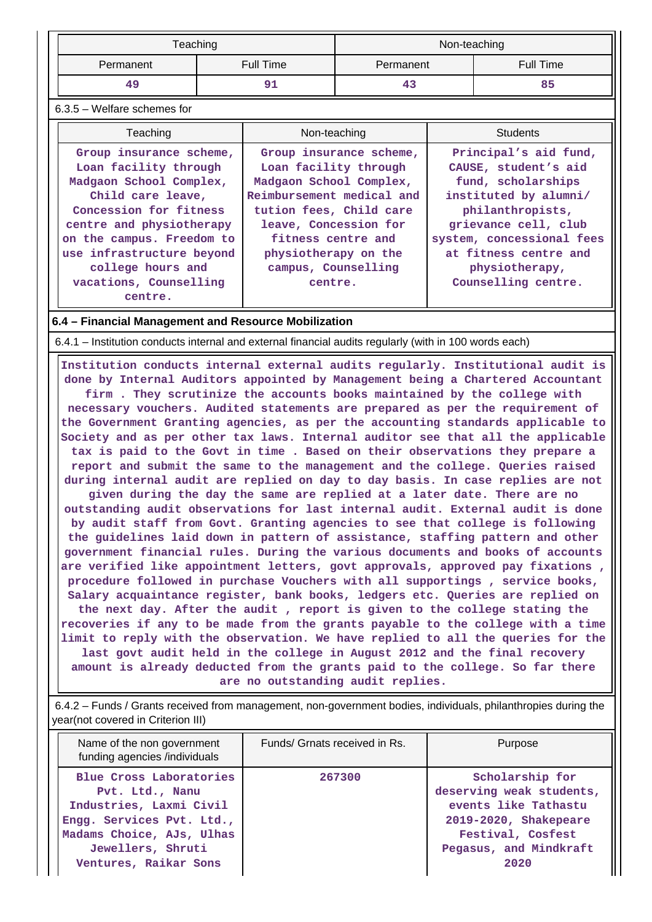|           | Teaching  | Non-teaching |           |
|-----------|-----------|--------------|-----------|
| Permanent | Full Time | Permanent    | Full Time |
| 49        |           | 43           | 85        |

## 6.3.5 – Welfare schemes for

| Teaching                                                                                                                                                                                                         | Non-teaching                                                                                                                                                                                               | <b>Students</b>                                                                                                                                                                                |
|------------------------------------------------------------------------------------------------------------------------------------------------------------------------------------------------------------------|------------------------------------------------------------------------------------------------------------------------------------------------------------------------------------------------------------|------------------------------------------------------------------------------------------------------------------------------------------------------------------------------------------------|
| Group insurance scheme,<br>Loan facility through<br>Madgaon School Complex,<br>Child care leave,<br>Concession for fitness<br>centre and physiotherapy<br>on the campus. Freedom to<br>use infrastructure beyond | Group insurance scheme,<br>Loan facility through<br>Madgaon School Complex,<br>Reimbursement medical and<br>tution fees, Child care<br>leave, Concession for<br>fitness centre and<br>physiotherapy on the | Principal's aid fund,<br>CAUSE, student's aid<br>fund, scholarships<br>instituted by alumni/<br>philanthropists,<br>grievance cell, club<br>system, concessional fees<br>at fitness centre and |
| college hours and<br>vacations, Counselling<br>centre.                                                                                                                                                           | campus, Counselling<br>centre.                                                                                                                                                                             | physiotherapy,<br>Counselling centre.                                                                                                                                                          |

#### **6.4 – Financial Management and Resource Mobilization**

6.4.1 – Institution conducts internal and external financial audits regularly (with in 100 words each)

 **Institution conducts internal external audits regularly. Institutional audit is done by Internal Auditors appointed by Management being a Chartered Accountant firm . They scrutinize the accounts books maintained by the college with necessary vouchers. Audited statements are prepared as per the requirement of the Government Granting agencies, as per the accounting standards applicable to Society and as per other tax laws. Internal auditor see that all the applicable tax is paid to the Govt in time . Based on their observations they prepare a report and submit the same to the management and the college. Queries raised during internal audit are replied on day to day basis. In case replies are not given during the day the same are replied at a later date. There are no outstanding audit observations for last internal audit. External audit is done by audit staff from Govt. Granting agencies to see that college is following the guidelines laid down in pattern of assistance, staffing pattern and other government financial rules. During the various documents and books of accounts are verified like appointment letters, govt approvals, approved pay fixations , procedure followed in purchase Vouchers with all supportings , service books, Salary acquaintance register, bank books, ledgers etc. Queries are replied on the next day. After the audit , report is given to the college stating the recoveries if any to be made from the grants payable to the college with a time limit to reply with the observation. We have replied to all the queries for the last govt audit held in the college in August 2012 and the final recovery amount is already deducted from the grants paid to the college. So far there are no outstanding audit replies.**

 6.4.2 – Funds / Grants received from management, non-government bodies, individuals, philanthropies during the year(not covered in Criterion III)

| Name of the non government<br>funding agencies /individuals                                                                                                                   | Funds/ Grnats received in Rs. | Purpose                                                                                                                                             |
|-------------------------------------------------------------------------------------------------------------------------------------------------------------------------------|-------------------------------|-----------------------------------------------------------------------------------------------------------------------------------------------------|
| Blue Cross Laboratories<br>Pvt. Ltd., Nanu<br>Industries, Laxmi Civil<br>Engg. Services Pvt. Ltd.,<br>Madams Choice, AJs, Ulhas<br>Jewellers, Shruti<br>Ventures, Raikar Sons | 267300                        | Scholarship for<br>deserving weak students,<br>events like Tathastu<br>2019-2020, Shakepeare<br>Festival, Cosfest<br>Pegasus, and Mindkraft<br>2020 |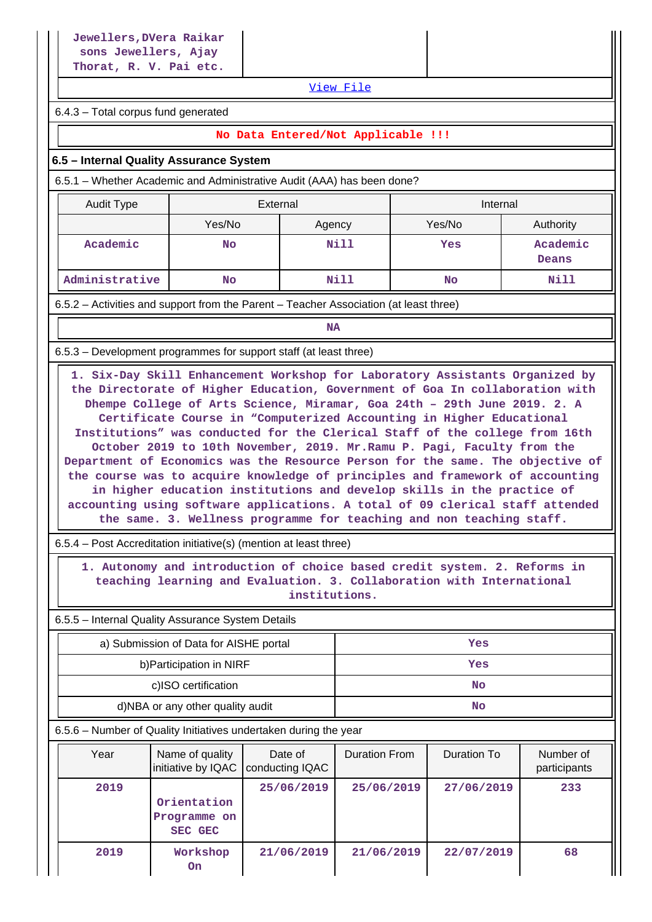[View File](https://assessmentonline.naac.gov.in/public/Postacc/Funds_or_Grants/10904_Funds_or_Grants_1626248478.xlsx)

6.4.3 – Total corpus fund generated

### **No Data Entered/Not Applicable !!!**

#### **6.5 – Internal Quality Assurance System**

6.5.1 – Whether Academic and Administrative Audit (AAA) has been done?

| Audit Type     | External |        | Internal |                          |  |
|----------------|----------|--------|----------|--------------------------|--|
|                | Yes/No   | Agency | Yes/No   | Authority                |  |
| Academic       | No       | Nill   | Yes      | Academic<br><b>Deans</b> |  |
| Administrative | No       | Nill   | No       | Nill                     |  |

6.5.2 – Activities and support from the Parent – Teacher Association (at least three)

**NA** 

6.5.3 – Development programmes for support staff (at least three)

 **1. Six-Day Skill Enhancement Workshop for Laboratory Assistants Organized by the Directorate of Higher Education, Government of Goa In collaboration with Dhempe College of Arts Science, Miramar, Goa 24th – 29th June 2019. 2. A Certificate Course in "Computerized Accounting in Higher Educational Institutions" was conducted for the Clerical Staff of the college from 16th October 2019 to 10th November, 2019. Mr.Ramu P. Pagi, Faculty from the Department of Economics was the Resource Person for the same. The objective of the course was to acquire knowledge of principles and framework of accounting in higher education institutions and develop skills in the practice of accounting using software applications. A total of 09 clerical staff attended the same. 3. Wellness programme for teaching and non teaching staff.**

6.5.4 – Post Accreditation initiative(s) (mention at least three)

 **1. Autonomy and introduction of choice based credit system. 2. Reforms in teaching learning and Evaluation. 3. Collaboration with International institutions.**

6.5.5 – Internal Quality Assurance System Details

| a) Submission of Data for AISHE portal | Yes |
|----------------------------------------|-----|
| b) Participation in NIRF               | Yes |
| c)ISO certification                    | No  |
| d)NBA or any other quality audit       | No  |

6.5.6 – Number of Quality Initiatives undertaken during the year

| Year | Name of quality<br>initiative by IQAC  | Date of<br>conducting IQAC | <b>Duration From</b> | Duration To | Number of<br>participants |
|------|----------------------------------------|----------------------------|----------------------|-------------|---------------------------|
| 2019 | Orientation<br>Programme on<br>SEC GEC | 25/06/2019                 | 25/06/2019           | 27/06/2019  | 233                       |
| 2019 | Workshop<br>0n                         | 21/06/2019                 | 21/06/2019           | 22/07/2019  | 68                        |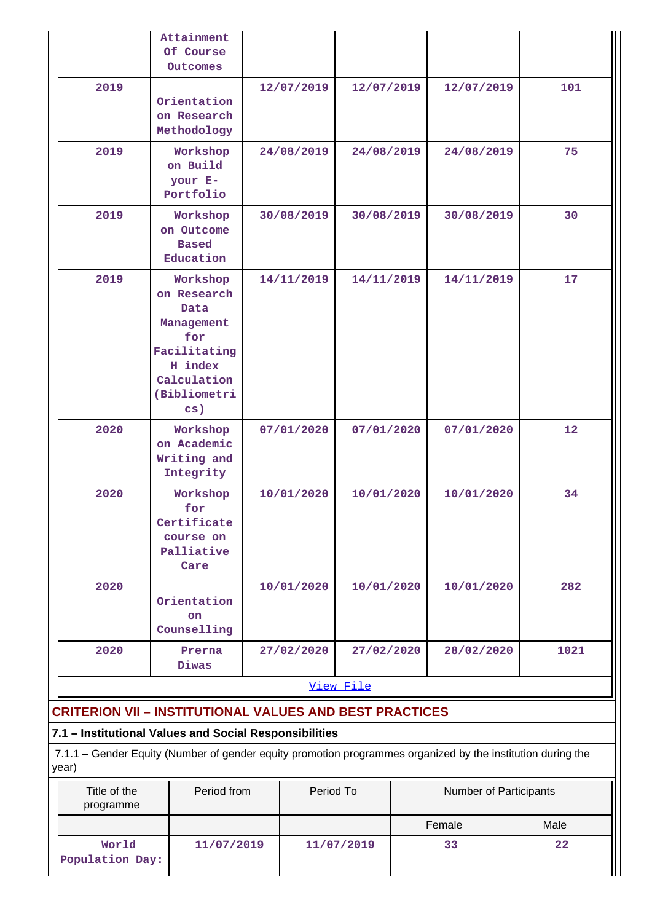|                                                                | Attainment<br>Of Course<br>Outcomes                                                                                               |            |            |                        |                 |
|----------------------------------------------------------------|-----------------------------------------------------------------------------------------------------------------------------------|------------|------------|------------------------|-----------------|
| 2019                                                           | Orientation<br>on Research<br>Methodology                                                                                         | 12/07/2019 | 12/07/2019 | 12/07/2019             | 101             |
| 2019                                                           | Workshop<br>on Build<br>your E-<br>Portfolio                                                                                      | 24/08/2019 | 24/08/2019 | 24/08/2019             | 75              |
| 2019                                                           | Workshop<br>on Outcome<br><b>Based</b><br>Education                                                                               | 30/08/2019 | 30/08/2019 | 30/08/2019             | 30              |
| 2019                                                           | Workshop<br>on Research<br>Data<br>Management<br>for<br>Facilitating<br>H index<br>Calculation<br>(Bibliometri<br>$\mathbf{cs}$ ) | 14/11/2019 | 14/11/2019 | 14/11/2019             | 17              |
| 2020                                                           | Workshop<br>on Academic<br>Writing and<br>Integrity                                                                               | 07/01/2020 | 07/01/2020 | 07/01/2020             | 12 <sup>2</sup> |
| 2020                                                           | Workshop<br>for<br>Certificate<br>course on<br>Palliative<br>Care                                                                 | 10/01/2020 | 10/01/2020 | 10/01/2020             | 34              |
| 2020                                                           | Orientation<br><b>on</b><br>Counselling                                                                                           | 10/01/2020 | 10/01/2020 | 10/01/2020             | 282             |
| 2020                                                           | Prerna<br>Diwas                                                                                                                   | 27/02/2020 | 27/02/2020 | 28/02/2020             | 1021            |
|                                                                |                                                                                                                                   |            | View File  |                        |                 |
| <b>CRITERION VII - INSTITUTIONAL VALUES AND BEST PRACTICES</b> |                                                                                                                                   |            |            |                        |                 |
| 7.1 - Institutional Values and Social Responsibilities         |                                                                                                                                   |            |            |                        |                 |
| year)                                                          | 7.1.1 - Gender Equity (Number of gender equity promotion programmes organized by the institution during the                       |            |            |                        |                 |
| Title of the<br>programme                                      | Period from                                                                                                                       | Period To  |            | Number of Participants |                 |
|                                                                |                                                                                                                                   |            |            | Female                 | Male            |

 **11/07/2019 11/07/2019 33 22**

 **World Population Day:**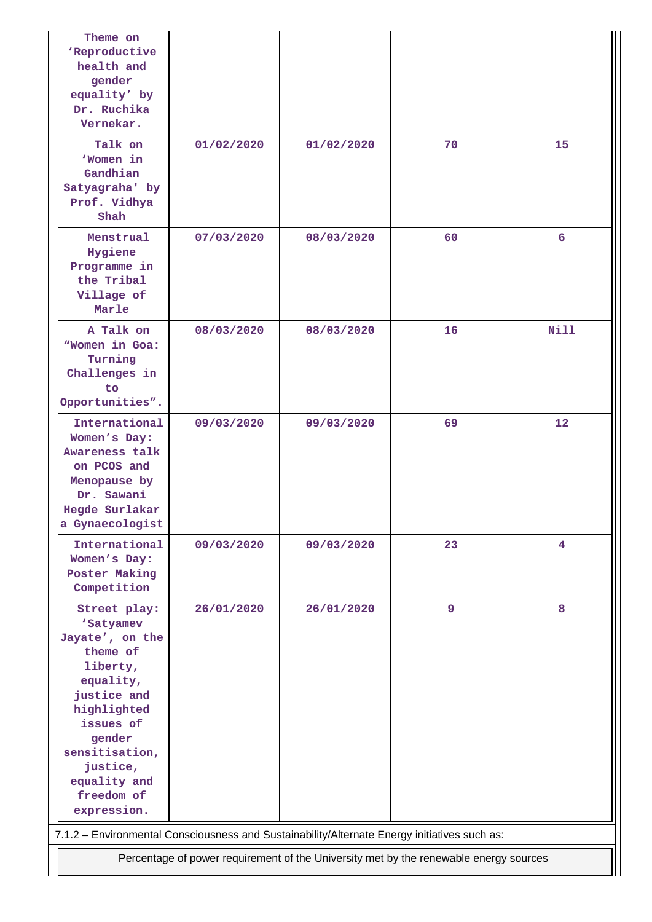| Theme on<br>'Reproductive<br>health and<br>gender<br>equality' by<br>Dr. Ruchika<br>Vernekar.                                                                                                                     |            |            |    |                 |  |  |  |
|-------------------------------------------------------------------------------------------------------------------------------------------------------------------------------------------------------------------|------------|------------|----|-----------------|--|--|--|
| Talk on<br>'Women in<br>Gandhian<br>Satyagraha' by<br>Prof. Vidhya<br>Shah                                                                                                                                        | 01/02/2020 | 01/02/2020 | 70 | 15              |  |  |  |
| Menstrual<br>Hygiene<br>Programme in<br>the Tribal<br>Village of<br>Marle                                                                                                                                         | 07/03/2020 | 08/03/2020 | 60 | 6               |  |  |  |
| A Talk on<br>"Women in Goa:<br>Turning<br>Challenges in<br>to.<br>Opportunities".                                                                                                                                 | 08/03/2020 | 08/03/2020 | 16 | <b>Nill</b>     |  |  |  |
| International<br>Women's Day:<br>Awareness talk<br>on PCOS and<br>Menopause by<br>Dr. Sawani<br>Hegde Surlakar<br>a Gynaecologist                                                                                 | 09/03/2020 | 09/03/2020 | 69 | 12 <sup>2</sup> |  |  |  |
| International<br>Women's Day:<br>Poster Making<br>Competition                                                                                                                                                     | 09/03/2020 | 09/03/2020 | 23 | 4               |  |  |  |
| Street play:<br>'Satyamev<br>Jayate', on the<br>theme of<br>liberty,<br>equality,<br>justice and<br>highlighted<br>issues of<br>gender<br>sensitisation,<br>justice,<br>equality and<br>freedom of<br>expression. | 26/01/2020 | 26/01/2020 | 9  | 8               |  |  |  |
| 7.1.2 - Environmental Consciousness and Sustainability/Alternate Energy initiatives such as:                                                                                                                      |            |            |    |                 |  |  |  |
| Percentage of power requirement of the University met by the renewable energy sources                                                                                                                             |            |            |    |                 |  |  |  |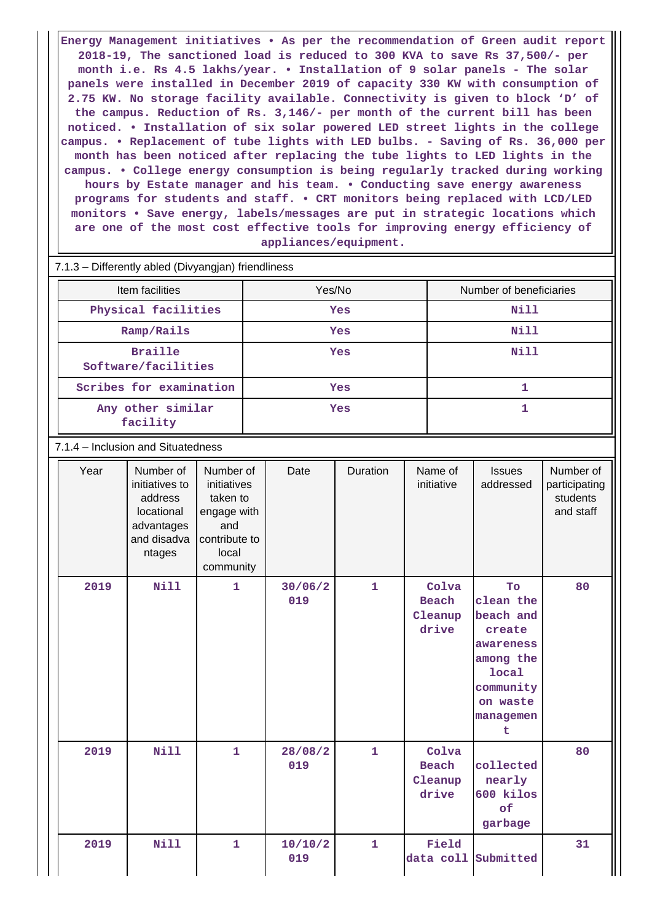**Energy Management initiatives • As per the recommendation of Green audit report 2018-19, The sanctioned load is reduced to 300 KVA to save Rs 37,500/- per month i.e. Rs 4.5 lakhs/year. • Installation of 9 solar panels - The solar panels were installed in December 2019 of capacity 330 KW with consumption of 2.75 KW. No storage facility available. Connectivity is given to block 'D' of the campus. Reduction of Rs. 3,146/- per month of the current bill has been noticed. • Installation of six solar powered LED street lights in the college campus. • Replacement of tube lights with LED bulbs. - Saving of Rs. 36,000 per month has been noticed after replacing the tube lights to LED lights in the campus. • College energy consumption is being regularly tracked during working hours by Estate manager and his team. • Conducting save energy awareness programs for students and staff. • CRT monitors being replaced with LCD/LED monitors • Save energy, labels/messages are put in strategic locations which are one of the most cost effective tools for improving energy efficiency of appliances/equipment.**

| 7.1.3 – Differently abled (Divyangjan) friendliness |        |                         |  |  |  |  |  |
|-----------------------------------------------------|--------|-------------------------|--|--|--|--|--|
| Item facilities                                     | Yes/No | Number of beneficiaries |  |  |  |  |  |
| Physical facilities                                 | Yes    | Nill                    |  |  |  |  |  |
| Ramp/Rails                                          | Yes    | Nill                    |  |  |  |  |  |
| <b>Braille</b><br>Software/facilities               | Yes    | Nill                    |  |  |  |  |  |
| Scribes for examination                             | Yes    |                         |  |  |  |  |  |
| Any other similar<br>facility                       | Yes    |                         |  |  |  |  |  |

7.1.4 – Inclusion and Situatedness

| Year | Number of<br>initiatives to<br>address<br>locational<br>advantages<br>and disadva<br>ntages | Number of<br>initiatives<br>taken to<br>engage with<br>and<br>contribute to<br>local<br>community | Date           | Duration     | Name of<br>initiative              | <b>Issues</b><br>addressed                                                                                                  | Number of<br>participating<br>students<br>and staff |
|------|---------------------------------------------------------------------------------------------|---------------------------------------------------------------------------------------------------|----------------|--------------|------------------------------------|-----------------------------------------------------------------------------------------------------------------------------|-----------------------------------------------------|
| 2019 | <b>Nill</b>                                                                                 | $\mathbf{1}$                                                                                      | 30/06/2<br>019 | $\mathbf{1}$ | Colva<br>Beach<br>Cleanup<br>drive | To<br>clean the<br>beach and<br>create<br>awareness<br>among the<br><b>local</b><br>community<br>on waste<br>managemen<br>t | 80                                                  |
| 2019 | <b>Nill</b>                                                                                 | $\mathbf{1}$                                                                                      | 28/08/2<br>019 | $\mathbf{1}$ | Colva<br>Beach<br>Cleanup<br>drive | collected<br>nearly<br>600 kilos<br>of<br>garbage                                                                           | 80                                                  |
| 2019 | <b>Nill</b>                                                                                 | $\mathbf{1}$                                                                                      | 10/10/2<br>019 | $\mathbf{1}$ | Field<br>data coll                 | Submitted                                                                                                                   | 31                                                  |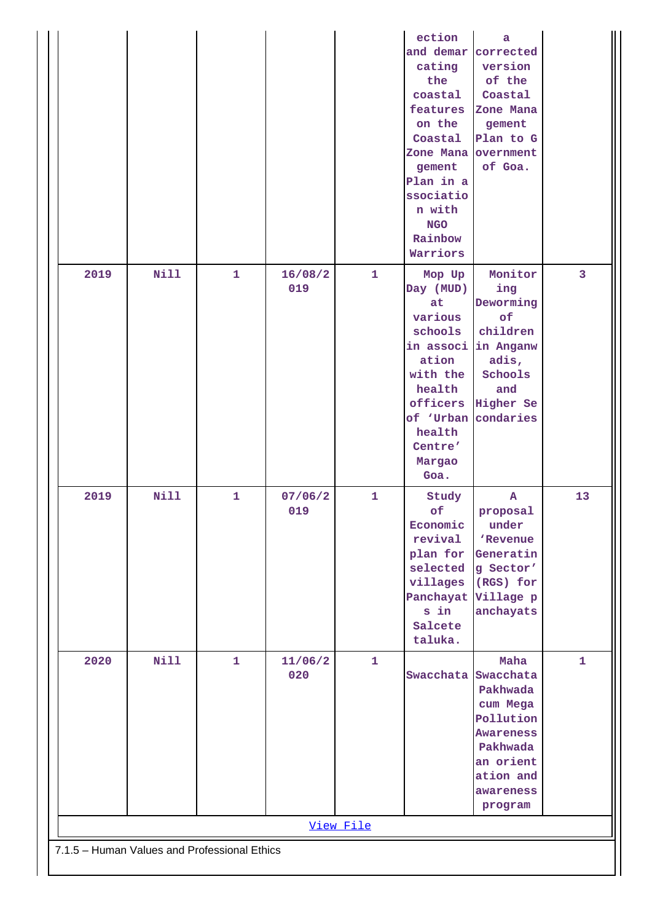| 2019<br><b>Nill</b><br>16/08/2<br>$\mathbf{1}$<br>Monitor<br>$\overline{3}$<br>$\mathbf{1}$<br>Mop Up<br>019<br>Day (MUD)<br>ing<br>Deworming<br>at<br>various<br>of<br>schools<br>children<br>in associ in Anganw<br>adis,<br>ation<br>with the<br>Schools<br>health<br>and<br>officers Higher Se<br>of 'Urban condaries<br>health<br>Centre'<br>Margao<br>Goa.<br><b>Nill</b><br>2019<br>$\mathbf{1}$<br>07/06/2<br>$\mathbf{1}$<br>Study<br>13<br>$\mathbf{A}$<br>of<br>019<br>proposal<br>Economic<br>under<br>revival<br>'Revenue<br>plan for<br>Generatin<br>selected<br>g Sector'<br>villages<br>(RGS) for<br>Panchayat Village p<br>s in<br>anchayats<br>Salcete<br>taluka.<br>2020<br><b>Nill</b><br>$\mathbf{1}$<br>$\mathbf{1}$<br>11/06/2<br>Maha<br>1<br>020<br>Swacchata Swacchata<br>Pakhwada<br>cum Mega<br>Pollution<br><b>Awareness</b><br>Pakhwada<br>an orient<br>ation and<br>awareness<br>program<br>View File |  |  | ection<br>cating<br>the<br>coastal<br>features<br>on the<br>Coastal<br>Zone Mana overnment<br>gement<br>Plan in a<br>ssociatio<br>n with<br><b>NGO</b><br>Rainbow<br>Warriors | a<br>and demar corrected<br>version<br>of the<br>Coastal<br>Zone Mana<br>gement<br>Plan to G<br>of Goa. |  |
|--------------------------------------------------------------------------------------------------------------------------------------------------------------------------------------------------------------------------------------------------------------------------------------------------------------------------------------------------------------------------------------------------------------------------------------------------------------------------------------------------------------------------------------------------------------------------------------------------------------------------------------------------------------------------------------------------------------------------------------------------------------------------------------------------------------------------------------------------------------------------------------------------------------------------------------|--|--|-------------------------------------------------------------------------------------------------------------------------------------------------------------------------------|---------------------------------------------------------------------------------------------------------|--|
|                                                                                                                                                                                                                                                                                                                                                                                                                                                                                                                                                                                                                                                                                                                                                                                                                                                                                                                                      |  |  |                                                                                                                                                                               |                                                                                                         |  |
|                                                                                                                                                                                                                                                                                                                                                                                                                                                                                                                                                                                                                                                                                                                                                                                                                                                                                                                                      |  |  |                                                                                                                                                                               |                                                                                                         |  |
|                                                                                                                                                                                                                                                                                                                                                                                                                                                                                                                                                                                                                                                                                                                                                                                                                                                                                                                                      |  |  |                                                                                                                                                                               |                                                                                                         |  |
|                                                                                                                                                                                                                                                                                                                                                                                                                                                                                                                                                                                                                                                                                                                                                                                                                                                                                                                                      |  |  |                                                                                                                                                                               |                                                                                                         |  |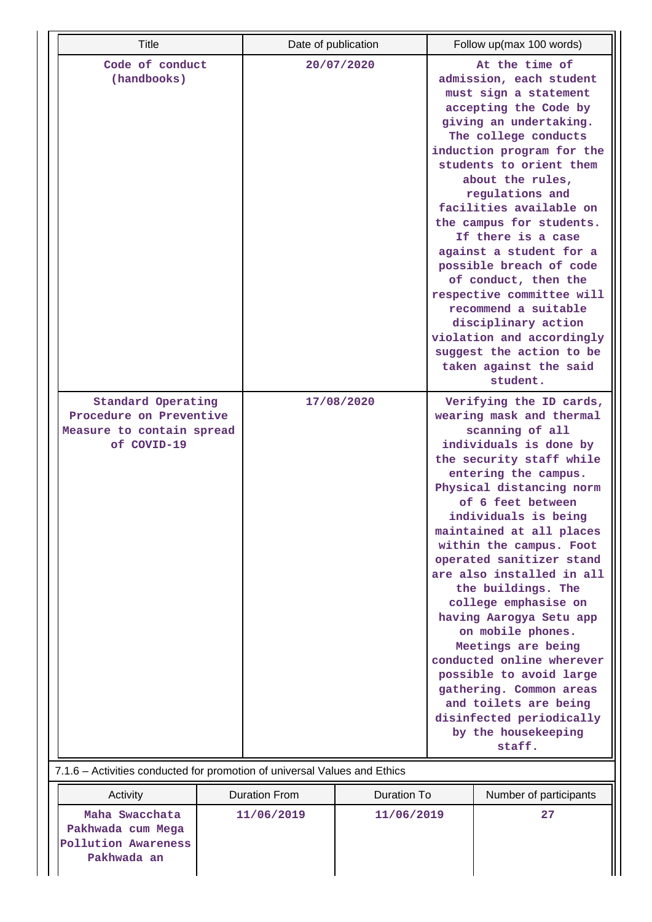| <b>Title</b>                                                                                     | Date of publication                                                                                                                                                                                                                                                                                                                                                                                                                                                                                                                                                                                                           |                    |                         | Follow up(max 100 words)                                                                                                                                                                                                                                                                                                                                                                                                                                                                                                                                                           |
|--------------------------------------------------------------------------------------------------|-------------------------------------------------------------------------------------------------------------------------------------------------------------------------------------------------------------------------------------------------------------------------------------------------------------------------------------------------------------------------------------------------------------------------------------------------------------------------------------------------------------------------------------------------------------------------------------------------------------------------------|--------------------|-------------------------|------------------------------------------------------------------------------------------------------------------------------------------------------------------------------------------------------------------------------------------------------------------------------------------------------------------------------------------------------------------------------------------------------------------------------------------------------------------------------------------------------------------------------------------------------------------------------------|
| Code of conduct<br>(handbooks)                                                                   |                                                                                                                                                                                                                                                                                                                                                                                                                                                                                                                                                                                                                               | 20/07/2020         |                         | At the time of<br>admission, each student<br>must sign a statement<br>accepting the Code by<br>giving an undertaking.<br>The college conducts<br>induction program for the<br>students to orient them<br>about the rules,<br>regulations and<br>facilities available on<br>the campus for students.<br>If there is a case<br>against a student for a<br>possible breach of code<br>of conduct, then the<br>respective committee will<br>recommend a suitable<br>disciplinary action<br>violation and accordingly<br>suggest the action to be<br>taken against the said<br>student. |
| <b>Standard Operating</b><br>Procedure on Preventive<br>Measure to contain spread<br>of COVID-19 | 17/08/2020<br>wearing mask and thermal<br>scanning of all<br>individuals is done by<br>the security staff while<br>entering the campus.<br>Physical distancing norm<br>of 6 feet between<br>individuals is being<br>maintained at all places<br>within the campus. Foot<br>operated sanitizer stand<br>are also installed in all<br>the buildings. The<br>college emphasise on<br>having Aarogya Setu app<br>on mobile phones.<br>Meetings are being<br>conducted online wherever<br>possible to avoid large<br>gathering. Common areas<br>and toilets are being<br>disinfected periodically<br>by the housekeeping<br>staff. |                    | Verifying the ID cards, |                                                                                                                                                                                                                                                                                                                                                                                                                                                                                                                                                                                    |
| 7.1.6 - Activities conducted for promotion of universal Values and Ethics                        |                                                                                                                                                                                                                                                                                                                                                                                                                                                                                                                                                                                                                               |                    |                         |                                                                                                                                                                                                                                                                                                                                                                                                                                                                                                                                                                                    |
| Activity                                                                                         | <b>Duration From</b>                                                                                                                                                                                                                                                                                                                                                                                                                                                                                                                                                                                                          | <b>Duration To</b> |                         | Number of participants                                                                                                                                                                                                                                                                                                                                                                                                                                                                                                                                                             |
| Maha Swacchata                                                                                   | 11/06/2019                                                                                                                                                                                                                                                                                                                                                                                                                                                                                                                                                                                                                    | 11/06/2019         |                         | 27                                                                                                                                                                                                                                                                                                                                                                                                                                                                                                                                                                                 |

**Pakhwada cum Mega Pollution Awareness Pakhwada an**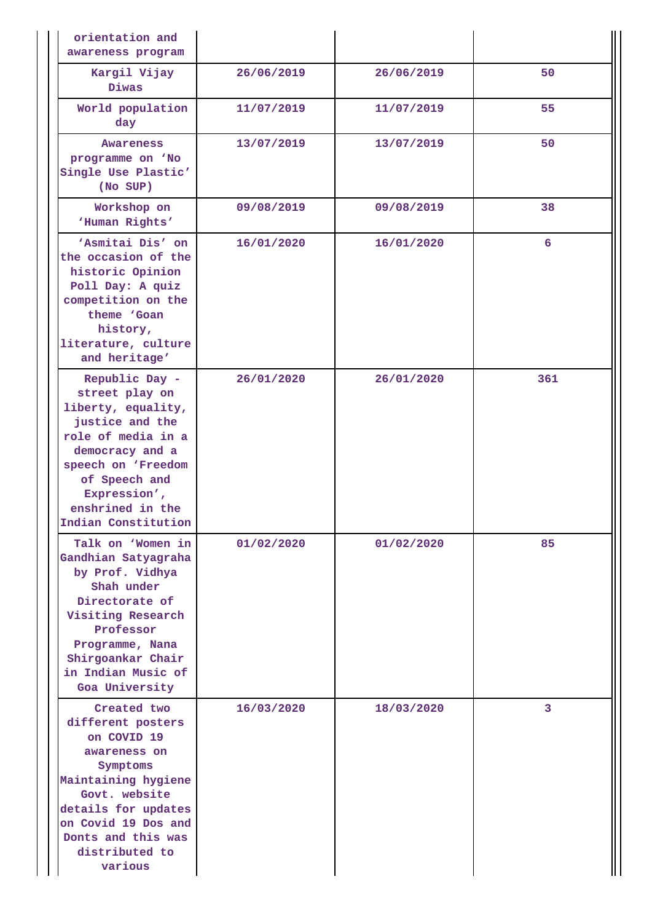| orientation and<br>awareness program                                                                                                                                                                                 |            |            |     |
|----------------------------------------------------------------------------------------------------------------------------------------------------------------------------------------------------------------------|------------|------------|-----|
| Kargil Vijay<br><b>Diwas</b>                                                                                                                                                                                         | 26/06/2019 | 26/06/2019 | 50  |
| World population<br>day                                                                                                                                                                                              | 11/07/2019 | 11/07/2019 | 55  |
| Awareness<br>programme on 'No<br>Single Use Plastic'<br>(No SUP)                                                                                                                                                     | 13/07/2019 | 13/07/2019 | 50  |
| Workshop on<br>'Human Rights'                                                                                                                                                                                        | 09/08/2019 | 09/08/2019 | 38  |
| 'Asmitai Dis' on<br>the occasion of the<br>historic Opinion<br>Poll Day: A quiz<br>competition on the<br>theme 'Goan<br>history,<br>literature, culture<br>and heritage'                                             | 16/01/2020 | 16/01/2020 | 6   |
| Republic Day -<br>street play on<br>liberty, equality,<br>justice and the<br>role of media in a<br>democracy and a<br>speech on 'Freedom<br>of Speech and<br>Expression',<br>enshrined in the<br>Indian Constitution | 26/01/2020 | 26/01/2020 | 361 |
| Talk on 'Women in<br>Gandhian Satyagraha<br>by Prof. Vidhya<br>Shah under<br>Directorate of<br>Visiting Research<br>Professor<br>Programme, Nana<br>Shirgoankar Chair<br>in Indian Music of<br>Goa University        | 01/02/2020 | 01/02/2020 | 85  |
| Created two<br>different posters<br>on COVID 19<br>awareness on<br>Symptoms<br>Maintaining hygiene<br>Govt. website<br>details for updates<br>on Covid 19 Dos and<br>Donts and this was<br>distributed to<br>various | 16/03/2020 | 18/03/2020 | 3   |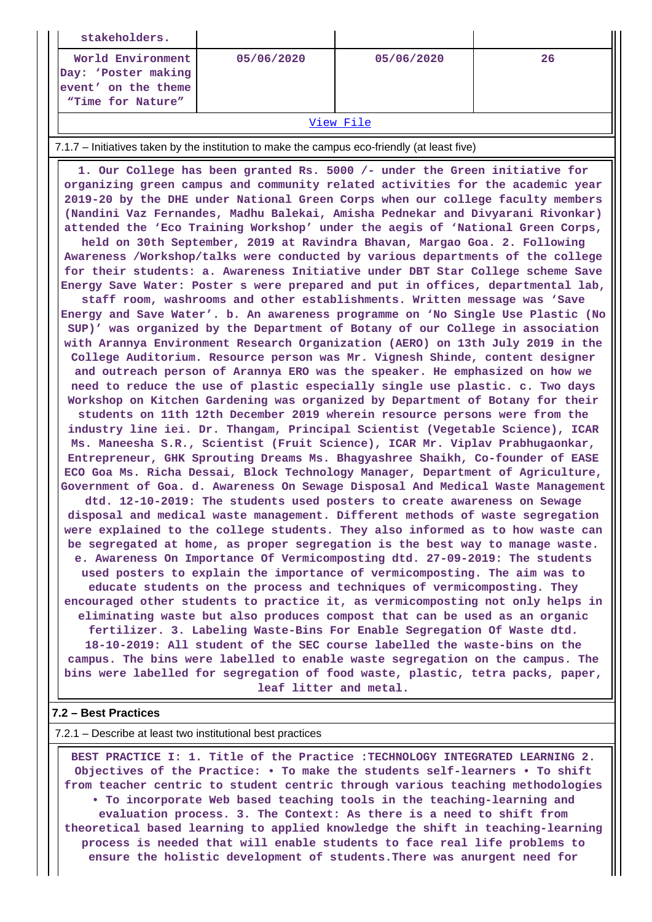| stakeholders.                                                                          |            |            |    |
|----------------------------------------------------------------------------------------|------------|------------|----|
| World Environment  <br>Day: 'Poster making<br>event' on the theme<br>"Time for Nature" | 05/06/2020 | 05/06/2020 | 26 |
|                                                                                        | -- -       |            |    |

#### [View File](https://assessmentonline.naac.gov.in/public/Postacc/promotion_activities/10904_promotion_activities_1626324125.xlsx)

#### 7.1.7 – Initiatives taken by the institution to make the campus eco-friendly (at least five)

 **1. Our College has been granted Rs. 5000 /- under the Green initiative for organizing green campus and community related activities for the academic year 2019-20 by the DHE under National Green Corps when our college faculty members (Nandini Vaz Fernandes, Madhu Balekai, Amisha Pednekar and Divyarani Rivonkar) attended the 'Eco Training Workshop' under the aegis of 'National Green Corps, held on 30th September, 2019 at Ravindra Bhavan, Margao Goa. 2. Following Awareness /Workshop/talks were conducted by various departments of the college for their students: a. Awareness Initiative under DBT Star College scheme Save Energy Save Water: Poster s were prepared and put in offices, departmental lab, staff room, washrooms and other establishments. Written message was 'Save Energy and Save Water'. b. An awareness programme on 'No Single Use Plastic (No SUP)' was organized by the Department of Botany of our College in association with Arannya Environment Research Organization (AERO) on 13th July 2019 in the College Auditorium. Resource person was Mr. Vignesh Shinde, content designer and outreach person of Arannya ERO was the speaker. He emphasized on how we need to reduce the use of plastic especially single use plastic. c. Two days Workshop on Kitchen Gardening was organized by Department of Botany for their students on 11th 12th December 2019 wherein resource persons were from the industry line iei. Dr. Thangam, Principal Scientist (Vegetable Science), ICAR Ms. Maneesha S.R., Scientist (Fruit Science), ICAR Mr. Viplav Prabhugaonkar, Entrepreneur, GHK Sprouting Dreams Ms. Bhagyashree Shaikh, Co-founder of EASE ECO Goa Ms. Richa Dessai, Block Technology Manager, Department of Agriculture, Government of Goa. d. Awareness On Sewage Disposal And Medical Waste Management dtd. 12-10-2019: The students used posters to create awareness on Sewage disposal and medical waste management. Different methods of waste segregation were explained to the college students. They also informed as to how waste can be segregated at home, as proper segregation is the best way to manage waste. e. Awareness On Importance Of Vermicomposting dtd. 27-09-2019: The students used posters to explain the importance of vermicomposting. The aim was to educate students on the process and techniques of vermicomposting. They encouraged other students to practice it, as vermicomposting not only helps in eliminating waste but also produces compost that can be used as an organic fertilizer. 3. Labeling Waste-Bins For Enable Segregation Of Waste dtd. 18-10-2019: All student of the SEC course labelled the waste-bins on the campus. The bins were labelled to enable waste segregation on the campus. The bins were labelled for segregation of food waste, plastic, tetra packs, paper, leaf litter and metal.**

## **7.2 – Best Practices**

#### 7.2.1 – Describe at least two institutional best practices

 **BEST PRACTICE I: 1. Title of the Practice :TECHNOLOGY INTEGRATED LEARNING 2. Objectives of the Practice: • To make the students self-learners • To shift from teacher centric to student centric through various teaching methodologies • To incorporate Web based teaching tools in the teaching-learning and evaluation process. 3. The Context: As there is a need to shift from theoretical based learning to applied knowledge the shift in teaching-learning process is needed that will enable students to face real life problems to ensure the holistic development of students.There was anurgent need for**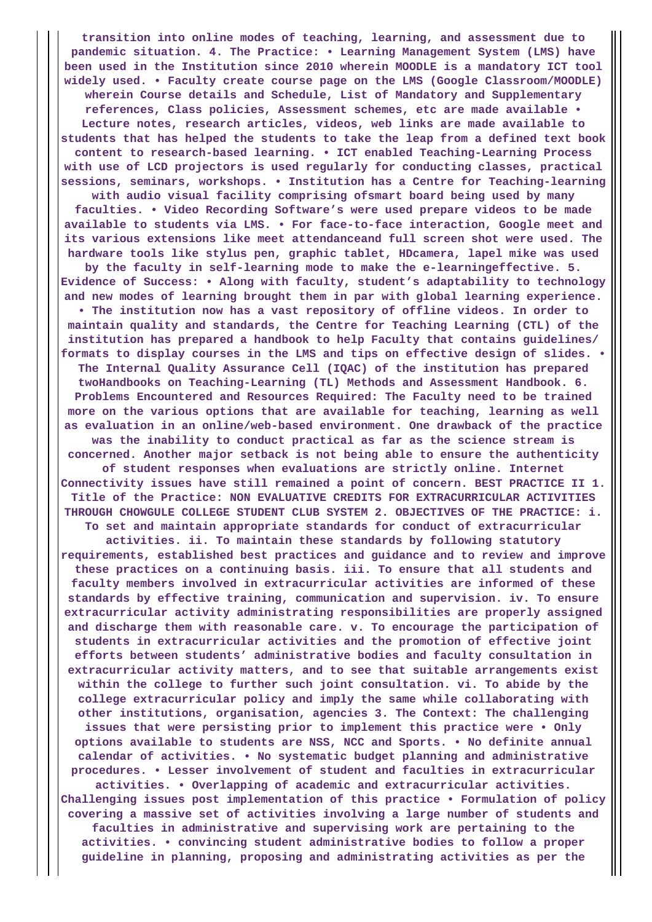**transition into online modes of teaching, learning, and assessment due to pandemic situation. 4. The Practice: • Learning Management System (LMS) have been used in the Institution since 2010 wherein MOODLE is a mandatory ICT tool widely used. • Faculty create course page on the LMS (Google Classroom/MOODLE) wherein Course details and Schedule, List of Mandatory and Supplementary references, Class policies, Assessment schemes, etc are made available • Lecture notes, research articles, videos, web links are made available to students that has helped the students to take the leap from a defined text book content to research-based learning. • ICT enabled Teaching-Learning Process with use of LCD projectors is used regularly for conducting classes, practical sessions, seminars, workshops. • Institution has a Centre for Teaching-learning with audio visual facility comprising ofsmart board being used by many faculties. • Video Recording Software's were used prepare videos to be made available to students via LMS. • For face-to-face interaction, Google meet and its various extensions like meet attendanceand full screen shot were used. The hardware tools like stylus pen, graphic tablet, HDcamera, lapel mike was used by the faculty in self-learning mode to make the e-learningeffective. 5. Evidence of Success: • Along with faculty, student's adaptability to technology and new modes of learning brought them in par with global learning experience. • The institution now has a vast repository of offline videos. In order to maintain quality and standards, the Centre for Teaching Learning (CTL) of the institution has prepared a handbook to help Faculty that contains guidelines/ formats to display courses in the LMS and tips on effective design of slides. • The Internal Quality Assurance Cell (IQAC) of the institution has prepared twoHandbooks on Teaching-Learning (TL) Methods and Assessment Handbook. 6. Problems Encountered and Resources Required: The Faculty need to be trained more on the various options that are available for teaching, learning as well as evaluation in an online/web-based environment. One drawback of the practice was the inability to conduct practical as far as the science stream is concerned. Another major setback is not being able to ensure the authenticity of student responses when evaluations are strictly online. Internet Connectivity issues have still remained a point of concern. BEST PRACTICE II 1. Title of the Practice: NON EVALUATIVE CREDITS FOR EXTRACURRICULAR ACTIVITIES THROUGH CHOWGULE COLLEGE STUDENT CLUB SYSTEM 2. OBJECTIVES OF THE PRACTICE: i. To set and maintain appropriate standards for conduct of extracurricular activities. ii. To maintain these standards by following statutory requirements, established best practices and guidance and to review and improve these practices on a continuing basis. iii. To ensure that all students and faculty members involved in extracurricular activities are informed of these standards by effective training, communication and supervision. iv. To ensure extracurricular activity administrating responsibilities are properly assigned and discharge them with reasonable care. v. To encourage the participation of students in extracurricular activities and the promotion of effective joint efforts between students' administrative bodies and faculty consultation in extracurricular activity matters, and to see that suitable arrangements exist within the college to further such joint consultation. vi. To abide by the college extracurricular policy and imply the same while collaborating with other institutions, organisation, agencies 3. The Context: The challenging issues that were persisting prior to implement this practice were • Only options available to students are NSS, NCC and Sports. • No definite annual calendar of activities. • No systematic budget planning and administrative procedures. • Lesser involvement of student and faculties in extracurricular activities. • Overlapping of academic and extracurricular activities. Challenging issues post implementation of this practice • Formulation of policy covering a massive set of activities involving a large number of students and faculties in administrative and supervising work are pertaining to the activities. • convincing student administrative bodies to follow a proper guideline in planning, proposing and administrating activities as per the**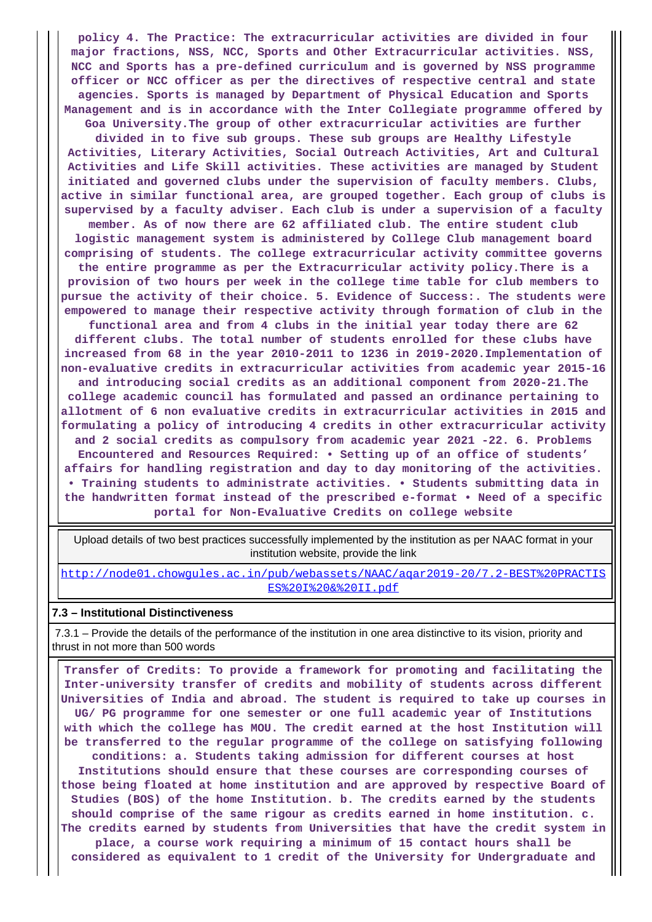**policy 4. The Practice: The extracurricular activities are divided in four major fractions, NSS, NCC, Sports and Other Extracurricular activities. NSS, NCC and Sports has a pre-defined curriculum and is governed by NSS programme officer or NCC officer as per the directives of respective central and state agencies. Sports is managed by Department of Physical Education and Sports Management and is in accordance with the Inter Collegiate programme offered by Goa University.The group of other extracurricular activities are further divided in to five sub groups. These sub groups are Healthy Lifestyle Activities, Literary Activities, Social Outreach Activities, Art and Cultural Activities and Life Skill activities. These activities are managed by Student initiated and governed clubs under the supervision of faculty members. Clubs, active in similar functional area, are grouped together. Each group of clubs is supervised by a faculty adviser. Each club is under a supervision of a faculty member. As of now there are 62 affiliated club. The entire student club logistic management system is administered by College Club management board comprising of students. The college extracurricular activity committee governs the entire programme as per the Extracurricular activity policy.There is a provision of two hours per week in the college time table for club members to pursue the activity of their choice. 5. Evidence of Success:. The students were empowered to manage their respective activity through formation of club in the functional area and from 4 clubs in the initial year today there are 62 different clubs. The total number of students enrolled for these clubs have increased from 68 in the year 2010-2011 to 1236 in 2019-2020.Implementation of non-evaluative credits in extracurricular activities from academic year 2015-16 and introducing social credits as an additional component from 2020-21.The college academic council has formulated and passed an ordinance pertaining to allotment of 6 non evaluative credits in extracurricular activities in 2015 and formulating a policy of introducing 4 credits in other extracurricular activity and 2 social credits as compulsory from academic year 2021 -22. 6. Problems Encountered and Resources Required: • Setting up of an office of students' affairs for handling registration and day to day monitoring of the activities. • Training students to administrate activities. • Students submitting data in the handwritten format instead of the prescribed e-format • Need of a specific portal for Non-Evaluative Credits on college website**

 Upload details of two best practices successfully implemented by the institution as per NAAC format in your institution website, provide the link

[http://node01.chowgules.ac.in/pub/webassets/NAAC/aqar2019-20/7.2-BEST%20PRACTIS](http://node01.chowgules.ac.in/pub/webassets/NAAC/aqar2019-20/7.2-BEST%20PRACTISES%20I%20&%20II.pdf) [ES%20I%20&%20II.pdf](http://node01.chowgules.ac.in/pub/webassets/NAAC/aqar2019-20/7.2-BEST%20PRACTISES%20I%20&%20II.pdf)

### **7.3 – Institutional Distinctiveness**

 7.3.1 – Provide the details of the performance of the institution in one area distinctive to its vision, priority and thrust in not more than 500 words

 **Transfer of Credits: To provide a framework for promoting and facilitating the Inter-university transfer of credits and mobility of students across different Universities of India and abroad. The student is required to take up courses in UG/ PG programme for one semester or one full academic year of Institutions with which the college has MOU. The credit earned at the host Institution will be transferred to the regular programme of the college on satisfying following conditions: a. Students taking admission for different courses at host Institutions should ensure that these courses are corresponding courses of those being floated at home institution and are approved by respective Board of Studies (BOS) of the home Institution. b. The credits earned by the students should comprise of the same rigour as credits earned in home institution. c. The credits earned by students from Universities that have the credit system in place, a course work requiring a minimum of 15 contact hours shall be considered as equivalent to 1 credit of the University for Undergraduate and**